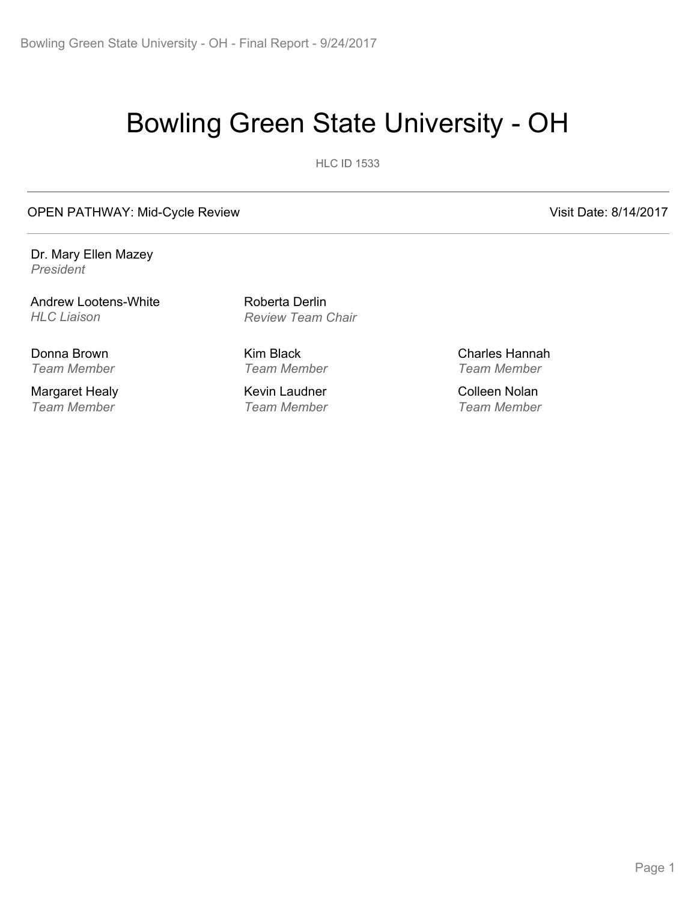# Bowling Green State University - OH

**HLC ID 1533** 

OPEN PATHWAY: Mid-Cycle Review Visit Date: 8/14/2017

Dr. Mary Ellen Mazey *President*

Andrew Lootens-White *HLC Liaison*

Donna Brown *Team Member*

Margaret Healy *Team Member*

Roberta Derlin *Review Team Chair*

Kim Black *Team Member*

Kevin Laudner *Team Member* Charles Hannah *Team Member*

Colleen Nolan *Team Member*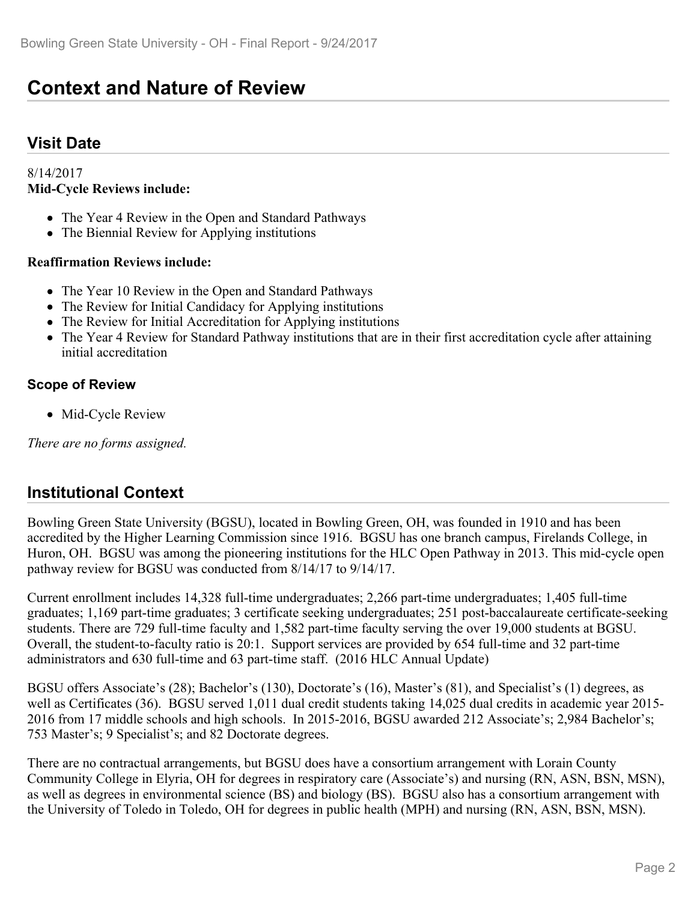## **Context and Nature of Review**

### **Visit Date**

#### 8/14/2017 **Mid-Cycle Reviews include:**

- The Year 4 Review in the Open and Standard Pathways
- The Biennial Review for Applying institutions

#### **Reaffirmation Reviews include:**

- The Year 10 Review in the Open and Standard Pathways
- The Review for Initial Candidacy for Applying institutions
- The Review for Initial Accreditation for Applying institutions
- The Year 4 Review for Standard Pathway institutions that are in their first accreditation cycle after attaining initial accreditation

#### **Scope of Review**

• Mid-Cycle Review

*There are no forms assigned.*

### **Institutional Context**

Bowling Green State University (BGSU), located in Bowling Green, OH, was founded in 1910 and has been accredited by the Higher Learning Commission since 1916. BGSU has one branch campus, Firelands College, in Huron, OH. BGSU was among the pioneering institutions for the HLC Open Pathway in 2013. This mid-cycle open pathway review for BGSU was conducted from 8/14/17 to 9/14/17.

Current enrollment includes 14,328 full-time undergraduates; 2,266 part-time undergraduates; 1,405 full-time graduates; 1,169 part-time graduates; 3 certificate seeking undergraduates; 251 post-baccalaureate certificate-seeking students. There are 729 full-time faculty and 1,582 part-time faculty serving the over 19,000 students at BGSU. Overall, the student-to-faculty ratio is 20:1. Support services are provided by 654 full-time and 32 part-time administrators and 630 full-time and 63 part-time staff. (2016 HLC Annual Update)

BGSU offers Associate's (28); Bachelor's (130), Doctorate's (16), Master's (81), and Specialist's (1) degrees, as well as Certificates (36). BGSU served 1,011 dual credit students taking 14,025 dual credits in academic year 2015- 2016 from 17 middle schools and high schools. In 2015-2016, BGSU awarded 212 Associate's; 2,984 Bachelor's; 753 Master's; 9 Specialist's; and 82 Doctorate degrees.

There are no contractual arrangements, but BGSU does have a consortium arrangement with Lorain County Community College in Elyria, OH for degrees in respiratory care (Associate's) and nursing (RN, ASN, BSN, MSN), as well as degrees in environmental science (BS) and biology (BS). BGSU also has a consortium arrangement with the University of Toledo in Toledo, OH for degrees in public health (MPH) and nursing (RN, ASN, BSN, MSN).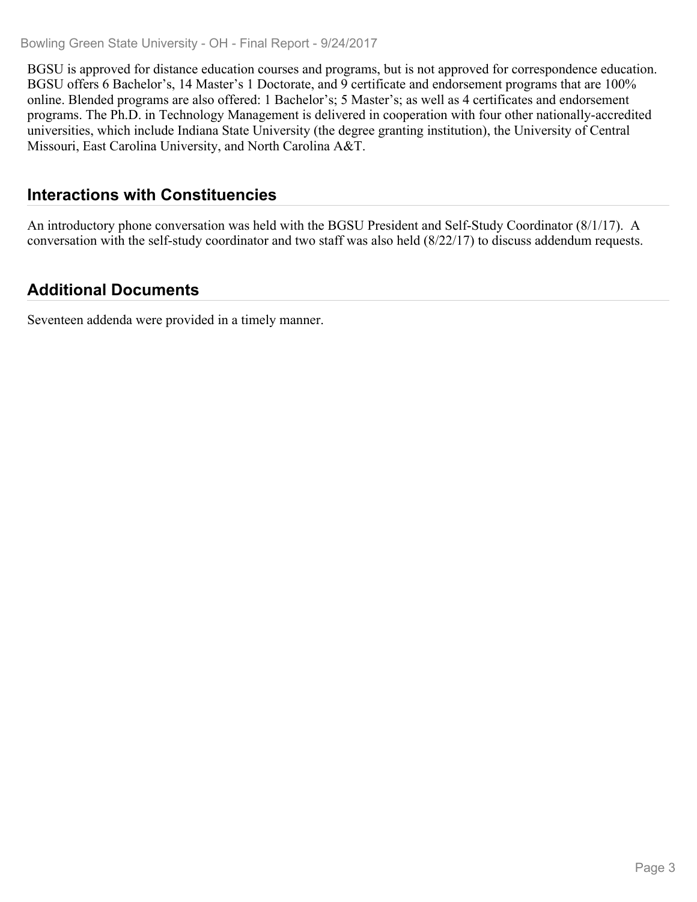Bowling Green State University - OH - Final Report - 9/24/2017

BGSU is approved for distance education courses and programs, but is not approved for correspondence education. BGSU offers 6 Bachelor's, 14 Master's 1 Doctorate, and 9 certificate and endorsement programs that are 100% online. Blended programs are also offered: 1 Bachelor's; 5 Master's; as well as 4 certificates and endorsement programs. The Ph.D. in Technology Management is delivered in cooperation with four other nationally-accredited universities, which include Indiana State University (the degree granting institution), the University of Central Missouri, East Carolina University, and North Carolina A&T.

### **Interactions with Constituencies**

An introductory phone conversation was held with the BGSU President and Self-Study Coordinator (8/1/17). A conversation with the self-study coordinator and two staff was also held (8/22/17) to discuss addendum requests.

## **Additional Documents**

Seventeen addenda were provided in a timely manner.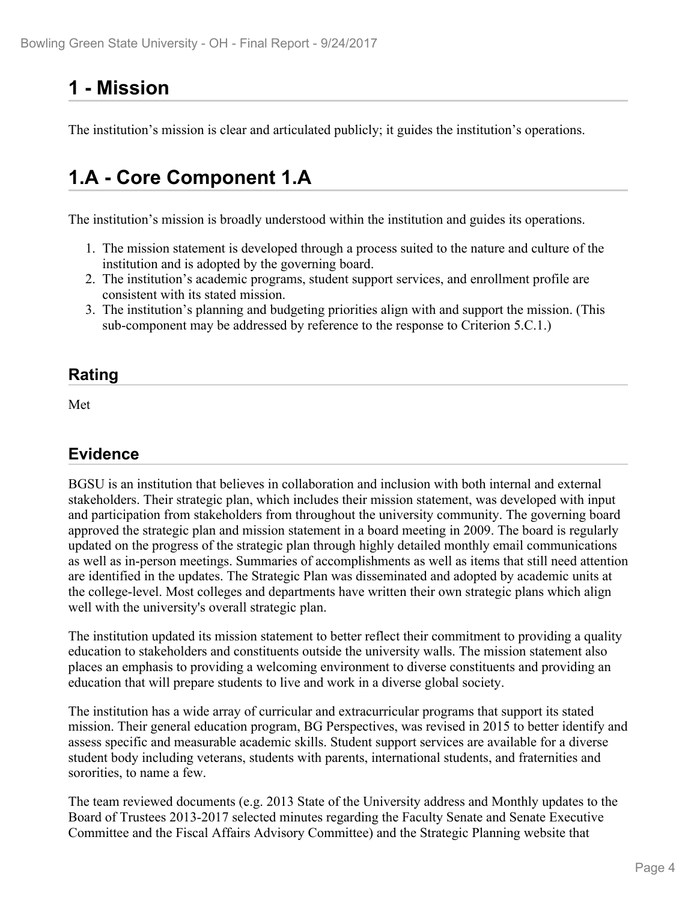## **1 - Mission**

The institution's mission is clear and articulated publicly; it guides the institution's operations.

## **1.A - Core Component 1.A**

The institution's mission is broadly understood within the institution and guides its operations.

- 1. The mission statement is developed through a process suited to the nature and culture of the institution and is adopted by the governing board.
- 2. The institution's academic programs, student support services, and enrollment profile are consistent with its stated mission.
- 3. The institution's planning and budgeting priorities align with and support the mission. (This sub-component may be addressed by reference to the response to Criterion 5.C.1.)

### **Rating**

Met and the state of the state of the state of the state of the state of the state of the state of the state of the state of the state of the state of the state of the state of the state of the state of the state of the st

### **Evidence**

BGSU is an institution that believes in collaboration and inclusion with both internal and external stakeholders. Their strategic plan, which includes their mission statement, was developed with input and participation from stakeholders from throughout the university community. The governing board approved the strategic plan and mission statement in a board meeting in 2009. The board is regularly updated on the progress of the strategic plan through highly detailed monthly email communications as well as in-person meetings. Summaries of accomplishments as well as items that still need attention are identified in the updates. The Strategic Plan was disseminated and adopted by academic units at the college-level. Most colleges and departments have written their own strategic plans which align well with the university's overall strategic plan.

The institution updated its mission statement to better reflect their commitment to providing a quality education to stakeholders and constituents outside the university walls. The mission statement also places an emphasis to providing a welcoming environment to diverse constituents and providing an education that will prepare students to live and work in a diverse global society.

The institution has a wide array of curricular and extracurricular programs that support its stated mission. Their general education program, BG Perspectives, was revised in 2015 to better identify and assess specific and measurable academic skills. Student support services are available for a diverse student body including veterans, students with parents, international students, and fraternities and sororities, to name a few.

The team reviewed documents (e.g. 2013 State of the University address and Monthly updates to the Board of Trustees 2013-2017 selected minutes regarding the Faculty Senate and Senate Executive Committee and the Fiscal Affairs Advisory Committee) and the Strategic Planning website that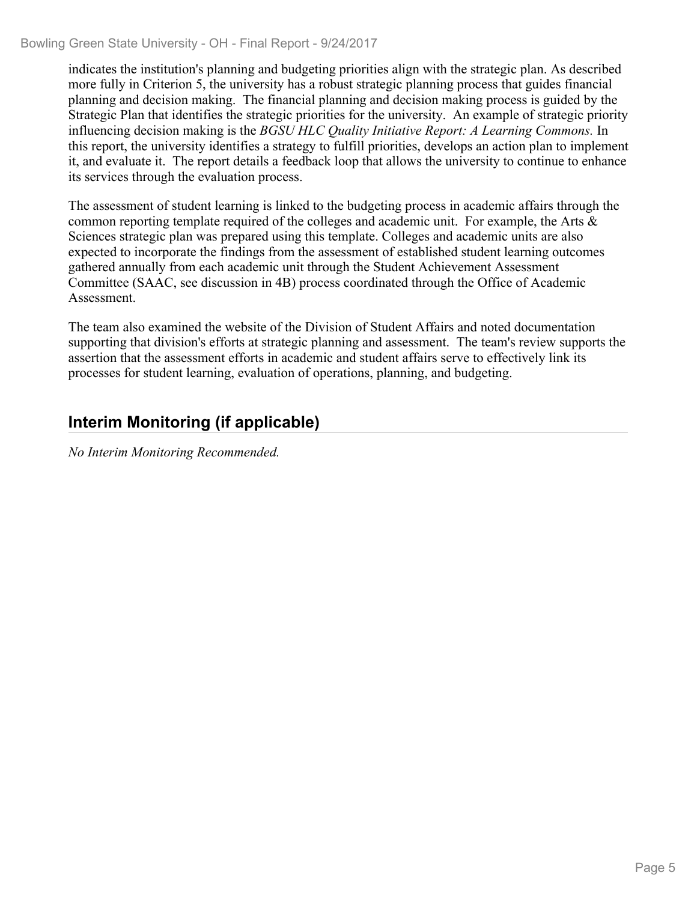#### Bowling Green State University - OH - Final Report - 9/24/2017

indicates the institution's planning and budgeting priorities align with the strategic plan. As described more fully in Criterion 5, the university has a robust strategic planning process that guides financial planning and decision making. The financial planning and decision making process is guided by the Strategic Plan that identifies the strategic priorities for the university. An example of strategic priority influencing decision making is the *BGSU HLC Quality Initiative Report: A Learning Commons.* In this report, the university identifies a strategy to fulfill priorities, develops an action plan to implement it, and evaluate it. The report details a feedback loop that allows the university to continue to enhance its services through the evaluation process.

The assessment of student learning is linked to the budgeting process in academic affairs through the common reporting template required of the colleges and academic unit. For example, the Arts  $\&$ Sciences strategic plan was prepared using this template. Colleges and academic units are also expected to incorporate the findings from the assessment of established student learning outcomes gathered annually from each academic unit through the Student Achievement Assessment Committee (SAAC, see discussion in 4B) process coordinated through the Office of Academic Assessment.

The team also examined the website of the Division of Student Affairs and noted documentation supporting that division's efforts at strategic planning and assessment. The team's review supports the assertion that the assessment efforts in academic and student affairs serve to effectively link its processes for student learning, evaluation of operations, planning, and budgeting.

## **Interim Monitoring (if applicable)**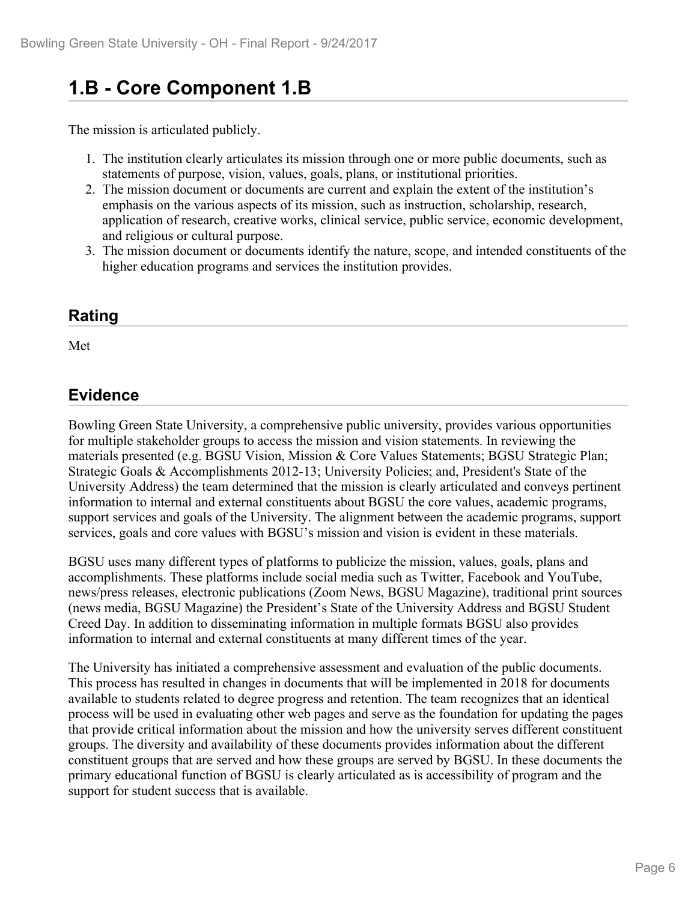## **1.B - Core Component 1.B**

The mission is articulated publicly.

- 1. The institution clearly articulates its mission through one or more public documents, such as statements of purpose, vision, values, goals, plans, or institutional priorities.
- 2. The mission document or documents are current and explain the extent of the institution's emphasis on the various aspects of its mission, such as instruction, scholarship, research, application of research, creative works, clinical service, public service, economic development, and religious or cultural purpose.
- 3. The mission document or documents identify the nature, scope, and intended constituents of the higher education programs and services the institution provides.

### **Rating**

Met

### **Evidence**

Bowling Green State University, a comprehensive public university, provides various opportunities for multiple stakeholder groups to access the mission and vision statements. In reviewing the materials presented (e.g. BGSU Vision, Mission & Core Values Statements; BGSU Strategic Plan; Strategic Goals & Accomplishments 2012-13; University Policies; and, President's State of the University Address) the team determined that the mission is clearly articulated and conveys pertinent information to internal and external constituents about BGSU the core values, academic programs, support services and goals of the University. The alignment between the academic programs, support services, goals and core values with BGSU's mission and vision is evident in these materials.

BGSU uses many different types of platforms to publicize the mission, values, goals, plans and accomplishments. These platforms include social media such as Twitter, Facebook and YouTube, news/press releases, electronic publications (Zoom News, BGSU Magazine), traditional print sources (news media, BGSU Magazine) the President's State of the University Address and BGSU Student Creed Day. In addition to disseminating information in multiple formats BGSU also provides information to internal and external constituents at many different times of the year.

The University has initiated a comprehensive assessment and evaluation of the public documents. This process has resulted in changes in documents that will be implemented in 2018 for documents available to students related to degree progress and retention. The team recognizes that an identical process will be used in evaluating other web pages and serve as the foundation for updating the pages that provide critical information about the mission and how the university serves different constituent groups. The diversity and availability of these documents provides information about the different constituent groups that are served and how these groups are served by BGSU. In these documents the primary educational function of BGSU is clearly articulated as is accessibility of program and the support for student success that is available.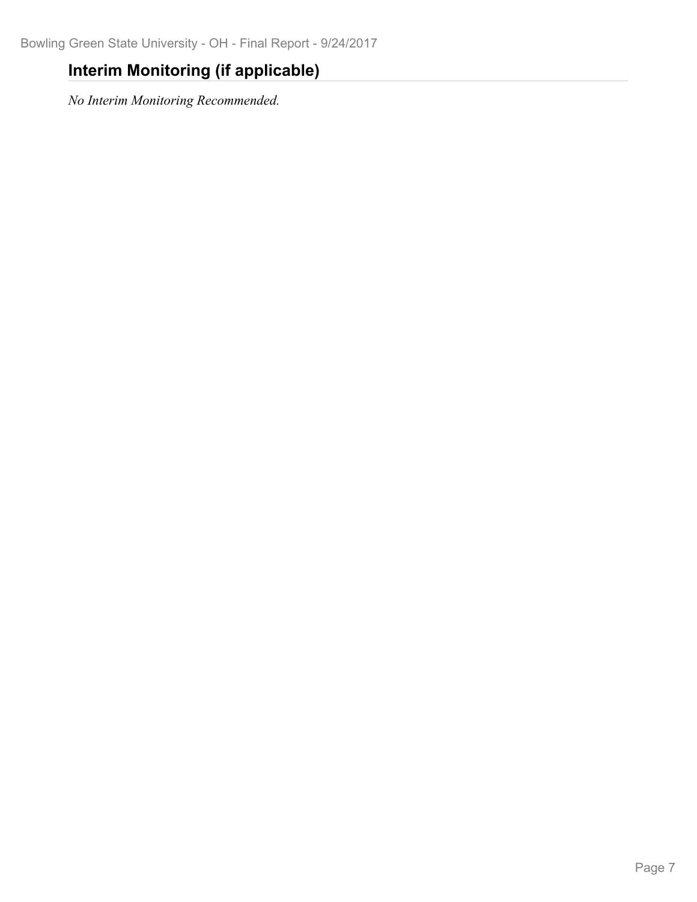## **Interim Monitoring (if applicable)**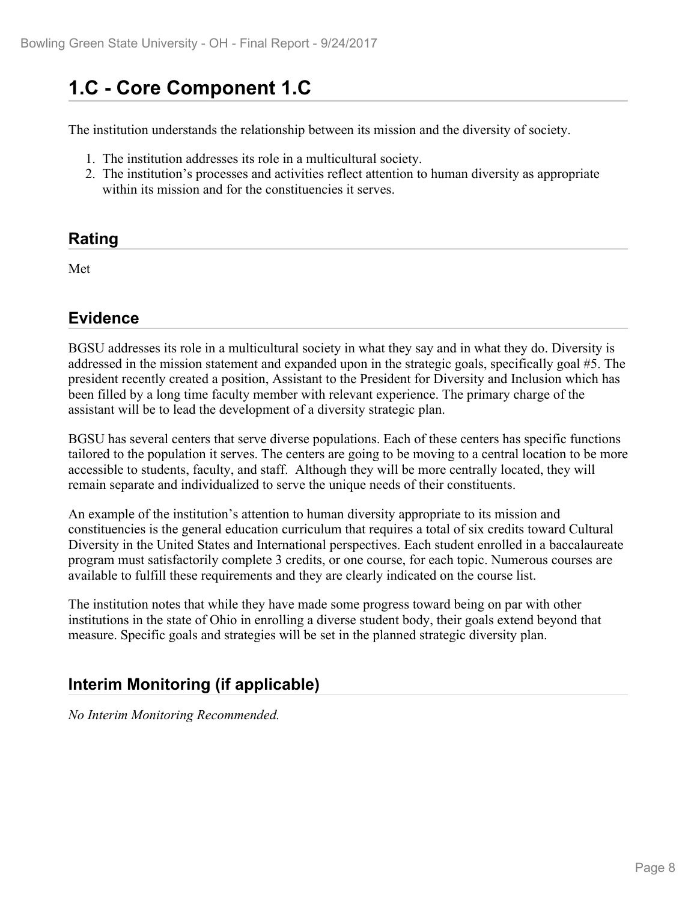# **1.C - Core Component 1.C**

The institution understands the relationship between its mission and the diversity of society.

- 1. The institution addresses its role in a multicultural society.
- 2. The institution's processes and activities reflect attention to human diversity as appropriate within its mission and for the constituencies it serves.

### **Rating**

Met and the state of the state of the state of the state of the state of the state of the state of the state of the state of the state of the state of the state of the state of the state of the state of the state of the st

### **Evidence**

BGSU addresses its role in a multicultural society in what they say and in what they do. Diversity is addressed in the mission statement and expanded upon in the strategic goals, specifically goal #5. The president recently created a position, Assistant to the President for Diversity and Inclusion which has been filled by a long time faculty member with relevant experience. The primary charge of the assistant will be to lead the development of a diversity strategic plan.

BGSU has several centers that serve diverse populations. Each of these centers has specific functions tailored to the population it serves. The centers are going to be moving to a central location to be more accessible to students, faculty, and staff. Although they will be more centrally located, they will remain separate and individualized to serve the unique needs of their constituents.

An example of the institution's attention to human diversity appropriate to its mission and constituencies is the general education curriculum that requires a total of six credits toward Cultural Diversity in the United States and International perspectives. Each student enrolled in a baccalaureate program must satisfactorily complete 3 credits, or one course, for each topic. Numerous courses are available to fulfill these requirements and they are clearly indicated on the course list.

The institution notes that while they have made some progress toward being on par with other institutions in the state of Ohio in enrolling a diverse student body, their goals extend beyond that measure. Specific goals and strategies will be set in the planned strategic diversity plan.

## **Interim Monitoring (if applicable)**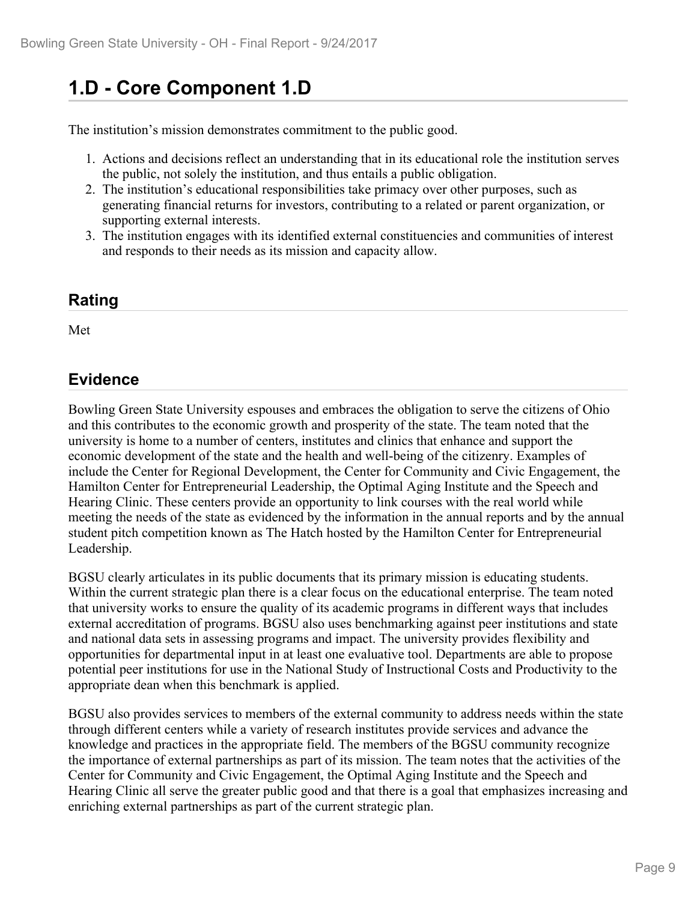# **1.D - Core Component 1.D**

The institution's mission demonstrates commitment to the public good.

- 1. Actions and decisions reflect an understanding that in its educational role the institution serves the public, not solely the institution, and thus entails a public obligation.
- 2. The institution's educational responsibilities take primacy over other purposes, such as generating financial returns for investors, contributing to a related or parent organization, or supporting external interests.
- 3. The institution engages with its identified external constituencies and communities of interest and responds to their needs as its mission and capacity allow.

### **Rating**

Met and the state of the state of the state of the state of the state of the state of the state of the state of the state of the state of the state of the state of the state of the state of the state of the state of the st

### **Evidence**

Bowling Green State University espouses and embraces the obligation to serve the citizens of Ohio and this contributes to the economic growth and prosperity of the state. The team noted that the university is home to a number of centers, institutes and clinics that enhance and support the economic development of the state and the health and well-being of the citizenry. Examples of include the Center for Regional Development, the Center for Community and Civic Engagement, the Hamilton Center for Entrepreneurial Leadership, the Optimal Aging Institute and the Speech and Hearing Clinic. These centers provide an opportunity to link courses with the real world while meeting the needs of the state as evidenced by the information in the annual reports and by the annual student pitch competition known as The Hatch hosted by the Hamilton Center for Entrepreneurial Leadership.

BGSU clearly articulates in its public documents that its primary mission is educating students. Within the current strategic plan there is a clear focus on the educational enterprise. The team noted that university works to ensure the quality of its academic programs in different ways that includes external accreditation of programs. BGSU also uses benchmarking against peer institutions and state and national data sets in assessing programs and impact. The university provides flexibility and opportunities for departmental input in at least one evaluative tool. Departments are able to propose potential peer institutions for use in the National Study of Instructional Costs and Productivity to the appropriate dean when this benchmark is applied.

BGSU also provides services to members of the external community to address needs within the state through different centers while a variety of research institutes provide services and advance the knowledge and practices in the appropriate field. The members of the BGSU community recognize the importance of external partnerships as part of its mission. The team notes that the activities of the Center for Community and Civic Engagement, the Optimal Aging Institute and the Speech and Hearing Clinic all serve the greater public good and that there is a goal that emphasizes increasing and enriching external partnerships as part of the current strategic plan.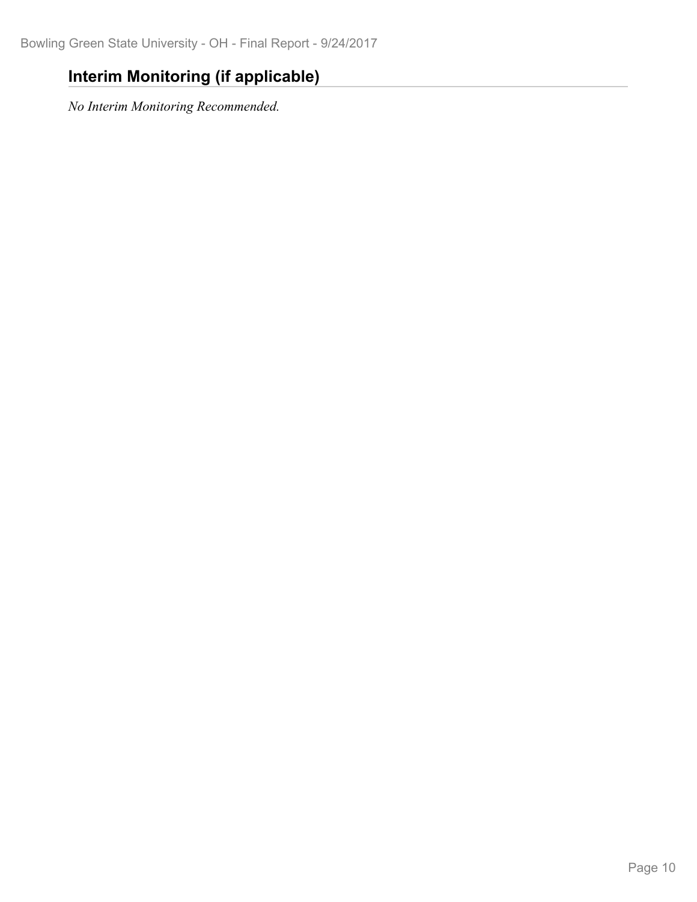## **Interim Monitoring (if applicable)**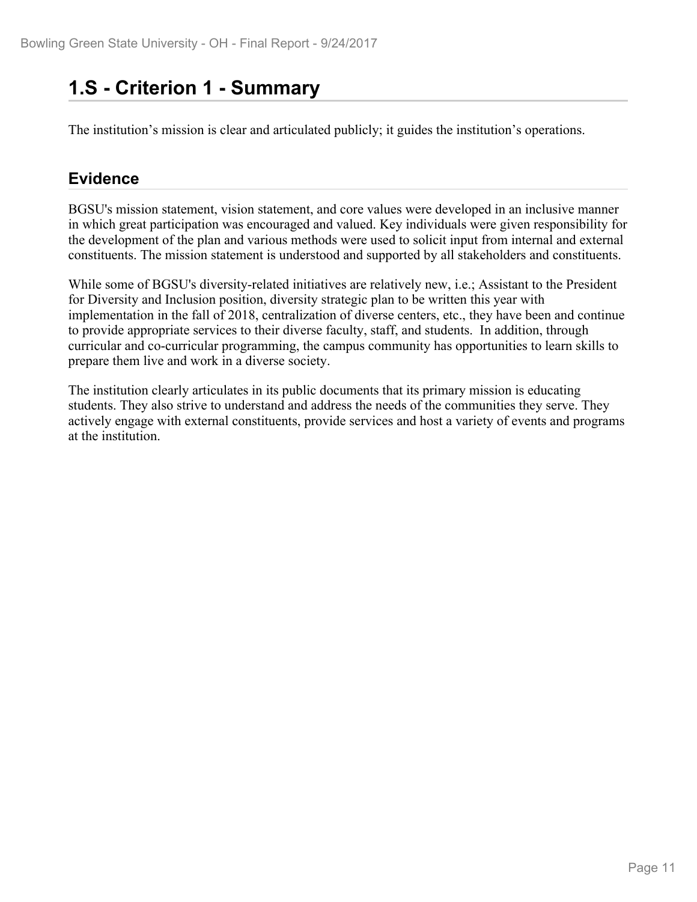## **1.S - Criterion 1 - Summary**

The institution's mission is clear and articulated publicly; it guides the institution's operations.

## **Evidence**

BGSU's mission statement, vision statement, and core values were developed in an inclusive manner in which great participation was encouraged and valued. Key individuals were given responsibility for the development of the plan and various methods were used to solicit input from internal and external constituents. The mission statement is understood and supported by all stakeholders and constituents.

While some of BGSU's diversity-related initiatives are relatively new, i.e.; Assistant to the President for Diversity and Inclusion position, diversity strategic plan to be written this year with implementation in the fall of 2018, centralization of diverse centers, etc., they have been and continue to provide appropriate services to their diverse faculty, staff, and students. In addition, through curricular and co-curricular programming, the campus community has opportunities to learn skills to prepare them live and work in a diverse society.

The institution clearly articulates in its public documents that its primary mission is educating students. They also strive to understand and address the needs of the communities they serve. They actively engage with external constituents, provide services and host a variety of events and programs at the institution.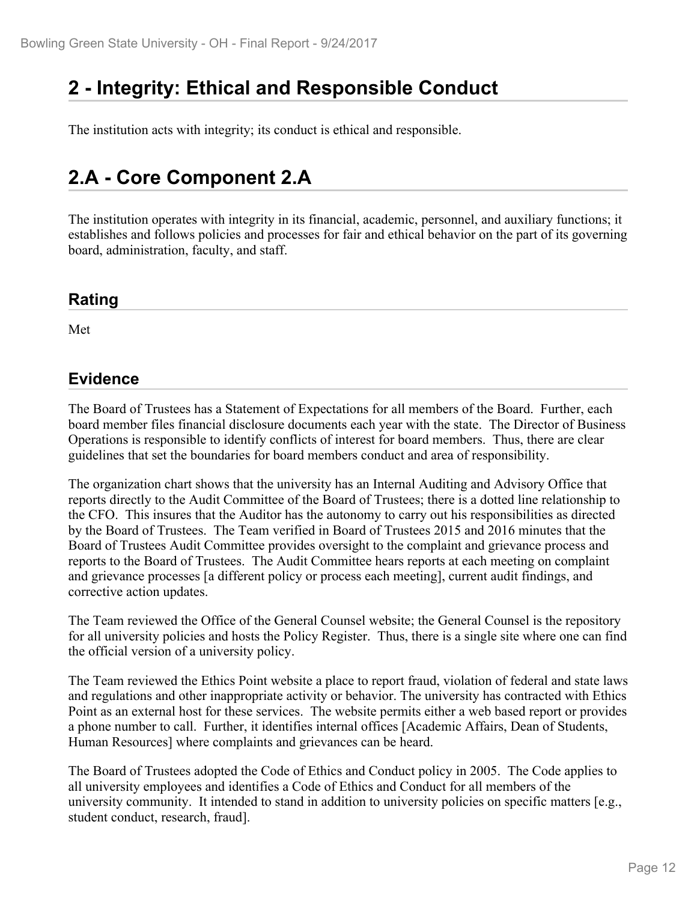# **2 - Integrity: Ethical and Responsible Conduct**

The institution acts with integrity; its conduct is ethical and responsible.

## **2.A - Core Component 2.A**

The institution operates with integrity in its financial, academic, personnel, and auxiliary functions; it establishes and follows policies and processes for fair and ethical behavior on the part of its governing board, administration, faculty, and staff.

#### **Rating**

Met and the state of the state of the state of the state of the state of the state of the state of the state of the state of the state of the state of the state of the state of the state of the state of the state of the st

#### **Evidence**

The Board of Trustees has a Statement of Expectations for all members of the Board. Further, each board member files financial disclosure documents each year with the state. The Director of Business Operations is responsible to identify conflicts of interest for board members. Thus, there are clear guidelines that set the boundaries for board members conduct and area of responsibility.

The organization chart shows that the university has an Internal Auditing and Advisory Office that reports directly to the Audit Committee of the Board of Trustees; there is a dotted line relationship to the CFO. This insures that the Auditor has the autonomy to carry out his responsibilities as directed by the Board of Trustees. The Team verified in Board of Trustees 2015 and 2016 minutes that the Board of Trustees Audit Committee provides oversight to the complaint and grievance process and reports to the Board of Trustees. The Audit Committee hears reports at each meeting on complaint and grievance processes [a different policy or process each meeting], current audit findings, and corrective action updates.

The Team reviewed the Office of the General Counsel website; the General Counsel is the repository for all university policies and hosts the Policy Register. Thus, there is a single site where one can find the official version of a university policy.

The Team reviewed the Ethics Point website a place to report fraud, violation of federal and state laws and regulations and other inappropriate activity or behavior. The university has contracted with Ethics Point as an external host for these services. The website permits either a web based report or provides a phone number to call. Further, it identifies internal offices [Academic Affairs, Dean of Students, Human Resources] where complaints and grievances can be heard.

The Board of Trustees adopted the Code of Ethics and Conduct policy in 2005. The Code applies to all university employees and identifies a Code of Ethics and Conduct for all members of the university community. It intended to stand in addition to university policies on specific matters [e.g., student conduct, research, fraud].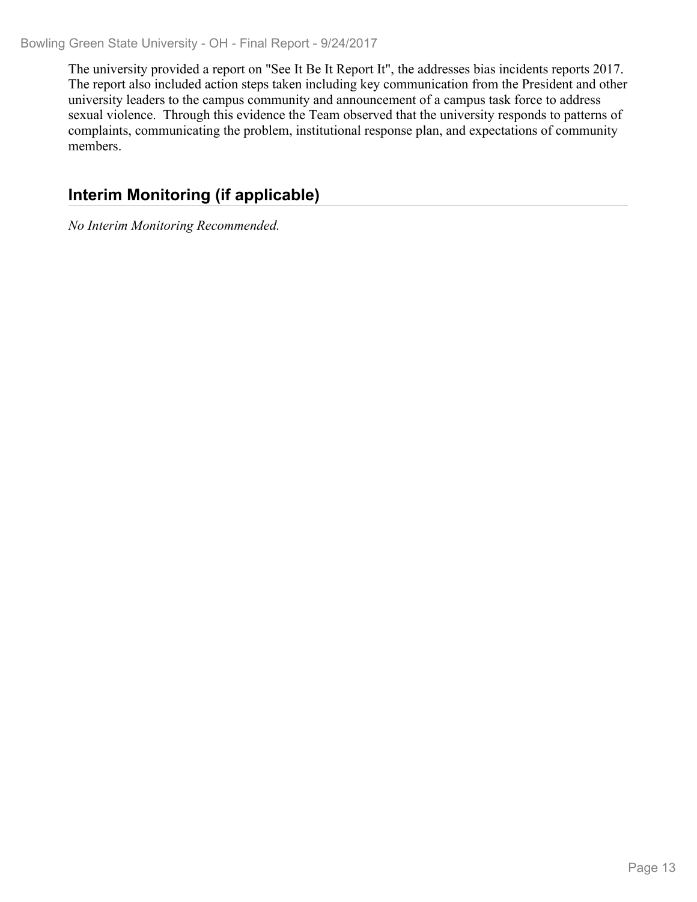The university provided a report on "See It Be It Report It", the addresses bias incidents reports 2017. The report also included action steps taken including key communication from the President and other university leaders to the campus community and announcement of a campus task force to address sexual violence. Through this evidence the Team observed that the university responds to patterns of complaints, communicating the problem, institutional response plan, and expectations of community members.

## **Interim Monitoring (if applicable)**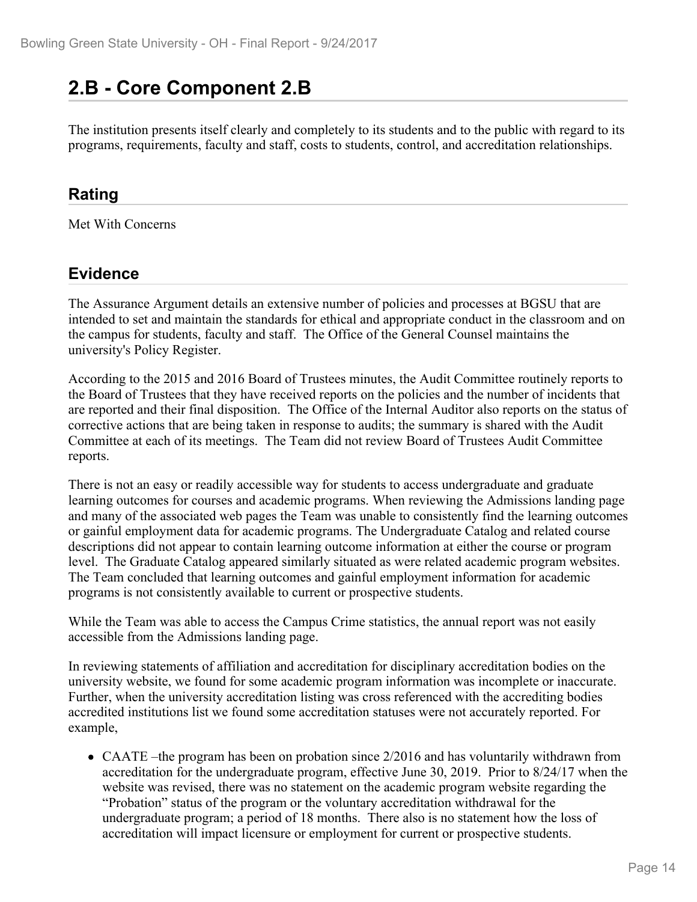## **2.B - Core Component 2.B**

The institution presents itself clearly and completely to its students and to the public with regard to its programs, requirements, faculty and staff, costs to students, control, and accreditation relationships.

#### **Rating**

Met With Concerns

## **Evidence**

The Assurance Argument details an extensive number of policies and processes at BGSU that are intended to set and maintain the standards for ethical and appropriate conduct in the classroom and on the campus for students, faculty and staff. The Office of the General Counsel maintains the university's Policy Register.

According to the 2015 and 2016 Board of Trustees minutes, the Audit Committee routinely reports to the Board of Trustees that they have received reports on the policies and the number of incidents that are reported and their final disposition. The Office of the Internal Auditor also reports on the status of corrective actions that are being taken in response to audits; the summary is shared with the Audit Committee at each of its meetings. The Team did not review Board of Trustees Audit Committee reports.

There is not an easy or readily accessible way for students to access undergraduate and graduate learning outcomes for courses and academic programs. When reviewing the Admissions landing page and many of the associated web pages the Team was unable to consistently find the learning outcomes or gainful employment data for academic programs. The Undergraduate Catalog and related course descriptions did not appear to contain learning outcome information at either the course or program level. The Graduate Catalog appeared similarly situated as were related academic program websites. The Team concluded that learning outcomes and gainful employment information for academic programs is not consistently available to current or prospective students.

While the Team was able to access the Campus Crime statistics, the annual report was not easily accessible from the Admissions landing page.

In reviewing statements of affiliation and accreditation for disciplinary accreditation bodies on the university website, we found for some academic program information was incomplete or inaccurate. Further, when the university accreditation listing was cross referenced with the accrediting bodies accredited institutions list we found some accreditation statuses were not accurately reported. For example,

• CAATE –the program has been on probation since 2/2016 and has voluntarily withdrawn from accreditation for the undergraduate program, effective June 30, 2019. Prior to 8/24/17 when the website was revised, there was no statement on the academic program website regarding the "Probation" status of the program or the voluntary accreditation withdrawal for the undergraduate program; a period of 18 months. There also is no statement how the loss of accreditation will impact licensure or employment for current or prospective students.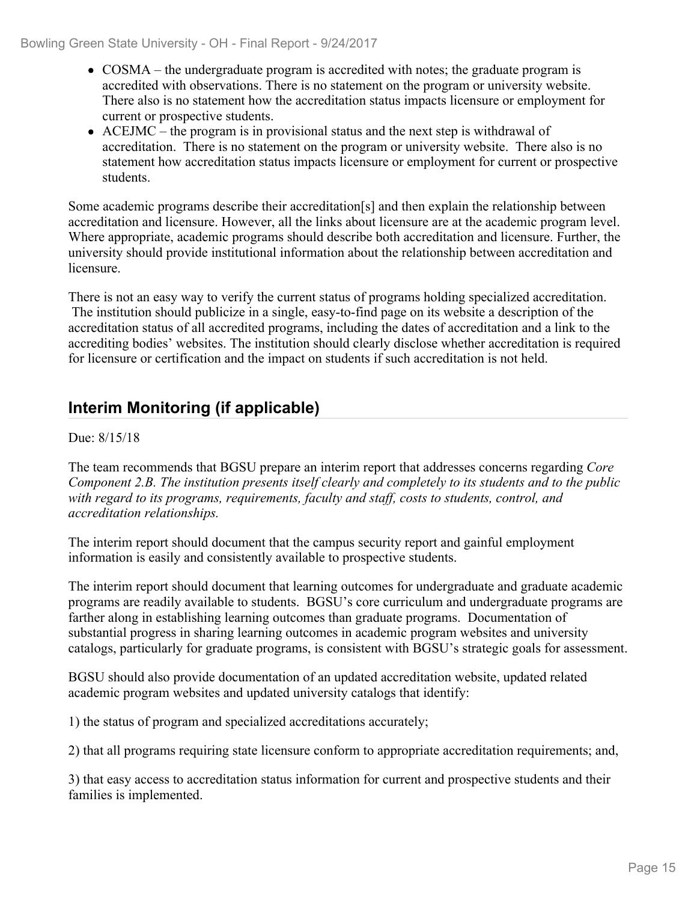- COSMA the undergraduate program is accredited with notes; the graduate program is accredited with observations. There is no statement on the program or university website. There also is no statement how the accreditation status impacts licensure or employment for current or prospective students.
- $\bullet$  ACEJMC the program is in provisional status and the next step is withdrawal of accreditation. There is no statement on the program or university website. There also is no statement how accreditation status impacts licensure or employment for current or prospective students.

Some academic programs describe their accreditation[s] and then explain the relationship between accreditation and licensure. However, all the links about licensure are at the academic program level. Where appropriate, academic programs should describe both accreditation and licensure. Further, the university should provide institutional information about the relationship between accreditation and licensure.

There is not an easy way to verify the current status of programs holding specialized accreditation. The institution should publicize in a single, easy-to-find page on its website a description of the accreditation status of all accredited programs, including the dates of accreditation and a link to the accrediting bodies' websites. The institution should clearly disclose whether accreditation is required for licensure or certification and the impact on students if such accreditation is not held.

## **Interim Monitoring (if applicable)**

#### Due: 8/15/18

The team recommends that BGSU prepare an interim report that addresses concerns regarding *Core Component 2.B. The institution presents itself clearly and completely to its students and to the public with regard to its programs, requirements, faculty and staff, costs to students, control, and accreditation relationships.*

The interim report should document that the campus security report and gainful employment information is easily and consistently available to prospective students.

The interim report should document that learning outcomes for undergraduate and graduate academic programs are readily available to students. BGSU's core curriculum and undergraduate programs are farther along in establishing learning outcomes than graduate programs. Documentation of substantial progress in sharing learning outcomes in academic program websites and university catalogs, particularly for graduate programs, is consistent with BGSU's strategic goals for assessment.

BGSU should also provide documentation of an updated accreditation website, updated related academic program websites and updated university catalogs that identify:

1) the status of program and specialized accreditations accurately;

2) that all programs requiring state licensure conform to appropriate accreditation requirements; and,

3) that easy access to accreditation status information for current and prospective students and their families is implemented.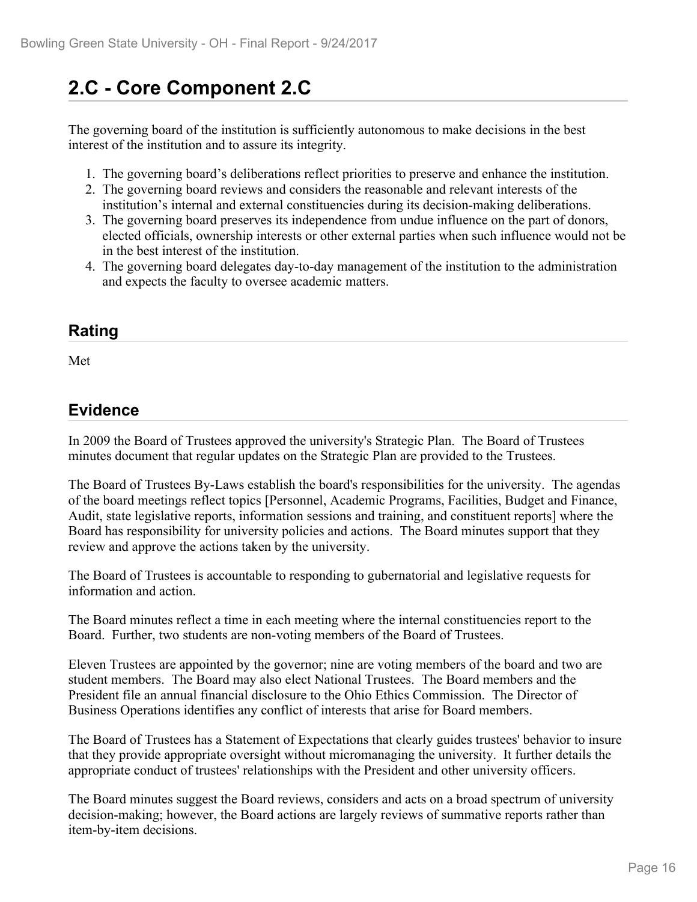# **2.C - Core Component 2.C**

The governing board of the institution is sufficiently autonomous to make decisions in the best interest of the institution and to assure its integrity.

- 1. The governing board's deliberations reflect priorities to preserve and enhance the institution.
- 2. The governing board reviews and considers the reasonable and relevant interests of the institution's internal and external constituencies during its decision-making deliberations.
- 3. The governing board preserves its independence from undue influence on the part of donors, elected officials, ownership interests or other external parties when such influence would not be in the best interest of the institution.
- 4. The governing board delegates day-to-day management of the institution to the administration and expects the faculty to oversee academic matters.

### **Rating**

Met and the state of the state of the state of the state of the state of the state of the state of the state of the state of the state of the state of the state of the state of the state of the state of the state of the st

#### **Evidence**

In 2009 the Board of Trustees approved the university's Strategic Plan. The Board of Trustees minutes document that regular updates on the Strategic Plan are provided to the Trustees.

The Board of Trustees By-Laws establish the board's responsibilities for the university. The agendas of the board meetings reflect topics [Personnel, Academic Programs, Facilities, Budget and Finance, Audit, state legislative reports, information sessions and training, and constituent reports] where the Board has responsibility for university policies and actions. The Board minutes support that they review and approve the actions taken by the university.

The Board of Trustees is accountable to responding to gubernatorial and legislative requests for information and action.

The Board minutes reflect a time in each meeting where the internal constituencies report to the Board. Further, two students are non-voting members of the Board of Trustees.

Eleven Trustees are appointed by the governor; nine are voting members of the board and two are student members. The Board may also elect National Trustees. The Board members and the President file an annual financial disclosure to the Ohio Ethics Commission. The Director of Business Operations identifies any conflict of interests that arise for Board members.

The Board of Trustees has a Statement of Expectations that clearly guides trustees' behavior to insure that they provide appropriate oversight without micromanaging the university. It further details the appropriate conduct of trustees' relationships with the President and other university officers.

The Board minutes suggest the Board reviews, considers and acts on a broad spectrum of university decision-making; however, the Board actions are largely reviews of summative reports rather than item-by-item decisions.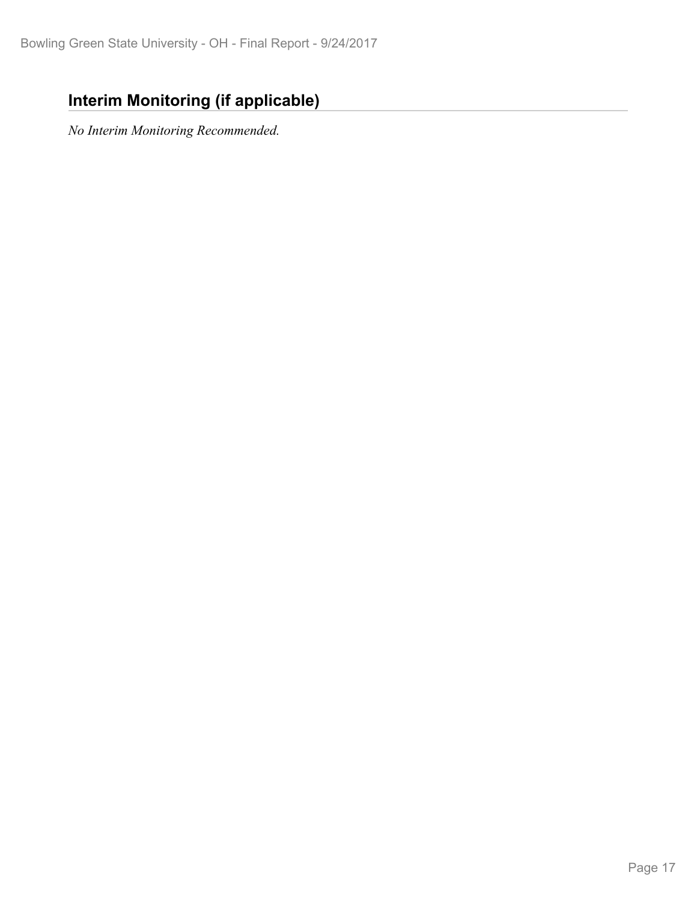## **Interim Monitoring (if applicable)**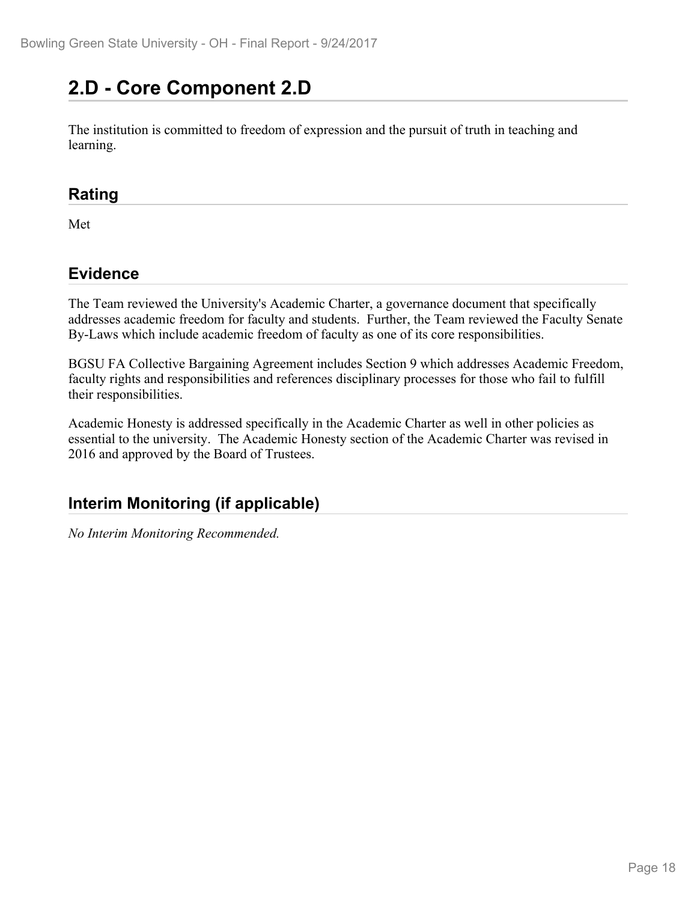# **2.D - Core Component 2.D**

The institution is committed to freedom of expression and the pursuit of truth in teaching and learning.

#### **Rating**

Met

## **Evidence**

The Team reviewed the University's Academic Charter, a governance document that specifically addresses academic freedom for faculty and students. Further, the Team reviewed the Faculty Senate By-Laws which include academic freedom of faculty as one of its core responsibilities.

BGSU FA Collective Bargaining Agreement includes Section 9 which addresses Academic Freedom, faculty rights and responsibilities and references disciplinary processes for those who fail to fulfill their responsibilities.

Academic Honesty is addressed specifically in the Academic Charter as well in other policies as essential to the university. The Academic Honesty section of the Academic Charter was revised in 2016 and approved by the Board of Trustees.

## **Interim Monitoring (if applicable)**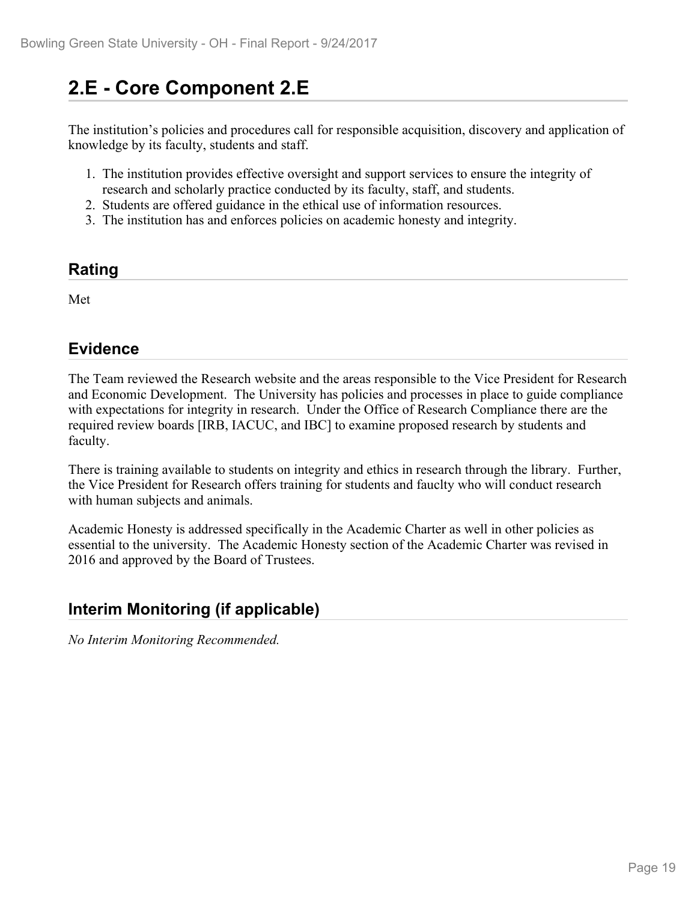# **2.E - Core Component 2.E**

The institution's policies and procedures call for responsible acquisition, discovery and application of knowledge by its faculty, students and staff.

- 1. The institution provides effective oversight and support services to ensure the integrity of research and scholarly practice conducted by its faculty, staff, and students.
- 2. Students are offered guidance in the ethical use of information resources.
- 3. The institution has and enforces policies on academic honesty and integrity.

#### **Rating**

Met

## **Evidence**

The Team reviewed the Research website and the areas responsible to the Vice President for Research and Economic Development. The University has policies and processes in place to guide compliance with expectations for integrity in research. Under the Office of Research Compliance there are the required review boards [IRB, IACUC, and IBC] to examine proposed research by students and faculty.

There is training available to students on integrity and ethics in research through the library. Further, the Vice President for Research offers training for students and fauclty who will conduct research with human subjects and animals.

Academic Honesty is addressed specifically in the Academic Charter as well in other policies as essential to the university. The Academic Honesty section of the Academic Charter was revised in 2016 and approved by the Board of Trustees.

## **Interim Monitoring (if applicable)**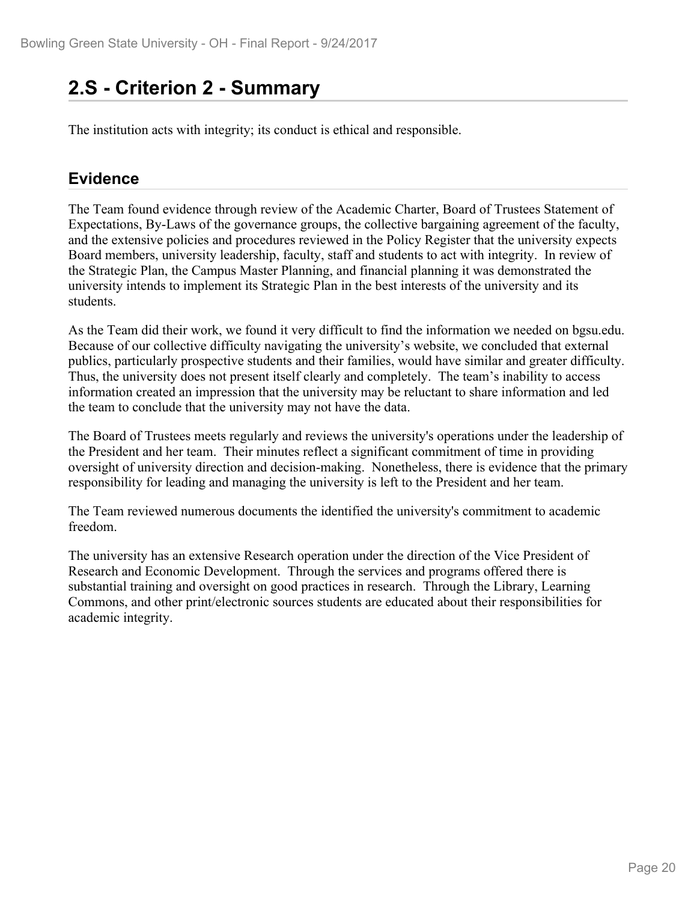## **2.S - Criterion 2 - Summary**

The institution acts with integrity; its conduct is ethical and responsible.

### **Evidence**

The Team found evidence through review of the Academic Charter, Board of Trustees Statement of Expectations, By-Laws of the governance groups, the collective bargaining agreement of the faculty, and the extensive policies and procedures reviewed in the Policy Register that the university expects Board members, university leadership, faculty, staff and students to act with integrity. In review of the Strategic Plan, the Campus Master Planning, and financial planning it was demonstrated the university intends to implement its Strategic Plan in the best interests of the university and its students.

As the Team did their work, we found it very difficult to find the information we needed on bgsu.edu. Because of our collective difficulty navigating the university's website, we concluded that external publics, particularly prospective students and their families, would have similar and greater difficulty. Thus, the university does not present itself clearly and completely. The team's inability to access information created an impression that the university may be reluctant to share information and led the team to conclude that the university may not have the data.

The Board of Trustees meets regularly and reviews the university's operations under the leadership of the President and her team. Their minutes reflect a significant commitment of time in providing oversight of university direction and decision-making. Nonetheless, there is evidence that the primary responsibility for leading and managing the university is left to the President and her team.

The Team reviewed numerous documents the identified the university's commitment to academic freedom.

The university has an extensive Research operation under the direction of the Vice President of Research and Economic Development. Through the services and programs offered there is substantial training and oversight on good practices in research. Through the Library, Learning Commons, and other print/electronic sources students are educated about their responsibilities for academic integrity.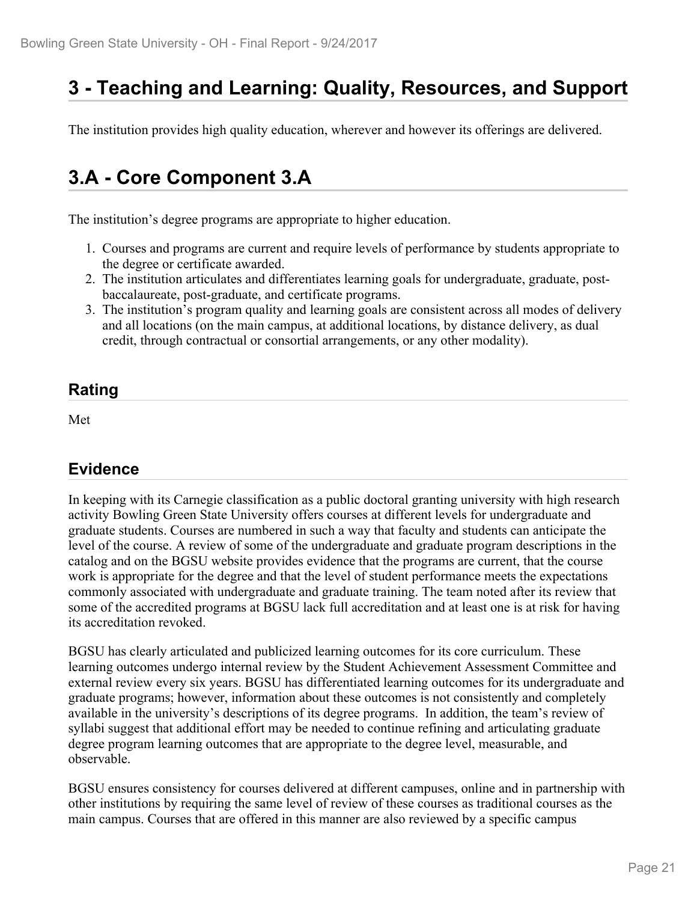# **3 - Teaching and Learning: Quality, Resources, and Support**

The institution provides high quality education, wherever and however its offerings are delivered.

## **3.A - Core Component 3.A**

The institution's degree programs are appropriate to higher education.

- 1. Courses and programs are current and require levels of performance by students appropriate to the degree or certificate awarded.
- 2. The institution articulates and differentiates learning goals for undergraduate, graduate, postbaccalaureate, post-graduate, and certificate programs.
- 3. The institution's program quality and learning goals are consistent across all modes of delivery and all locations (on the main campus, at additional locations, by distance delivery, as dual credit, through contractual or consortial arrangements, or any other modality).

### **Rating**

Met

## **Evidence**

In keeping with its Carnegie classification as a public doctoral granting university with high research activity Bowling Green State University offers courses at different levels for undergraduate and graduate students. Courses are numbered in such a way that faculty and students can anticipate the level of the course. A review of some of the undergraduate and graduate program descriptions in the catalog and on the BGSU website provides evidence that the programs are current, that the course work is appropriate for the degree and that the level of student performance meets the expectations commonly associated with undergraduate and graduate training. The team noted after its review that some of the accredited programs at BGSU lack full accreditation and at least one is at risk for having its accreditation revoked.

BGSU has clearly articulated and publicized learning outcomes for its core curriculum. These learning outcomes undergo internal review by the Student Achievement Assessment Committee and external review every six years. BGSU has differentiated learning outcomes for its undergraduate and graduate programs; however, information about these outcomes is not consistently and completely available in the university's descriptions of its degree programs. In addition, the team's review of syllabi suggest that additional effort may be needed to continue refining and articulating graduate degree program learning outcomes that are appropriate to the degree level, measurable, and observable.

BGSU ensures consistency for courses delivered at different campuses, online and in partnership with other institutions by requiring the same level of review of these courses as traditional courses as the main campus. Courses that are offered in this manner are also reviewed by a specific campus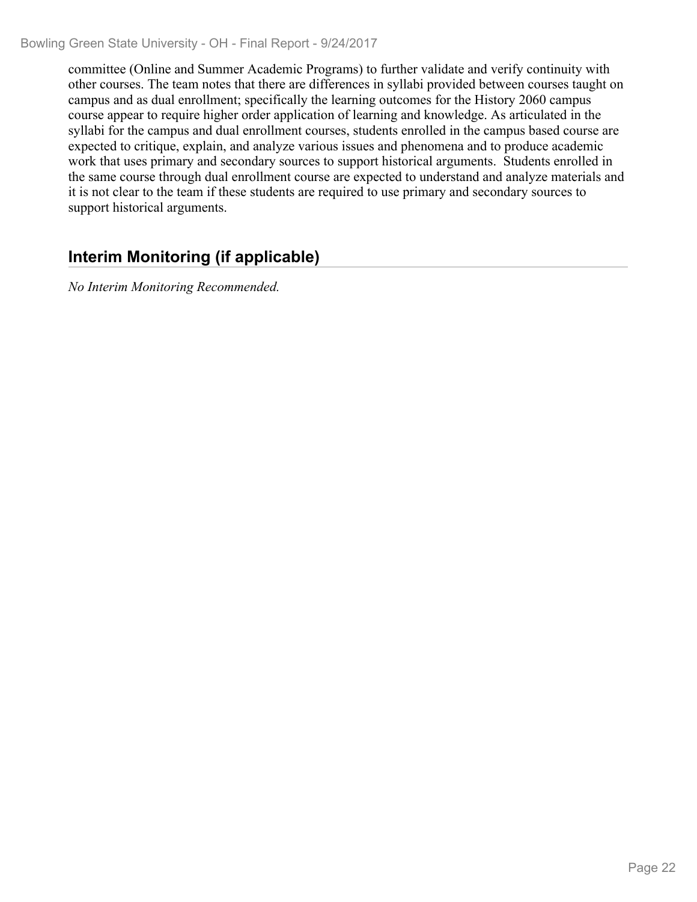committee (Online and Summer Academic Programs) to further validate and verify continuity with other courses. The team notes that there are differences in syllabi provided between courses taught on campus and as dual enrollment; specifically the learning outcomes for the History 2060 campus course appear to require higher order application of learning and knowledge. As articulated in the syllabi for the campus and dual enrollment courses, students enrolled in the campus based course are expected to critique, explain, and analyze various issues and phenomena and to produce academic work that uses primary and secondary sources to support historical arguments. Students enrolled in the same course through dual enrollment course are expected to understand and analyze materials and it is not clear to the team if these students are required to use primary and secondary sources to support historical arguments.

## **Interim Monitoring (if applicable)**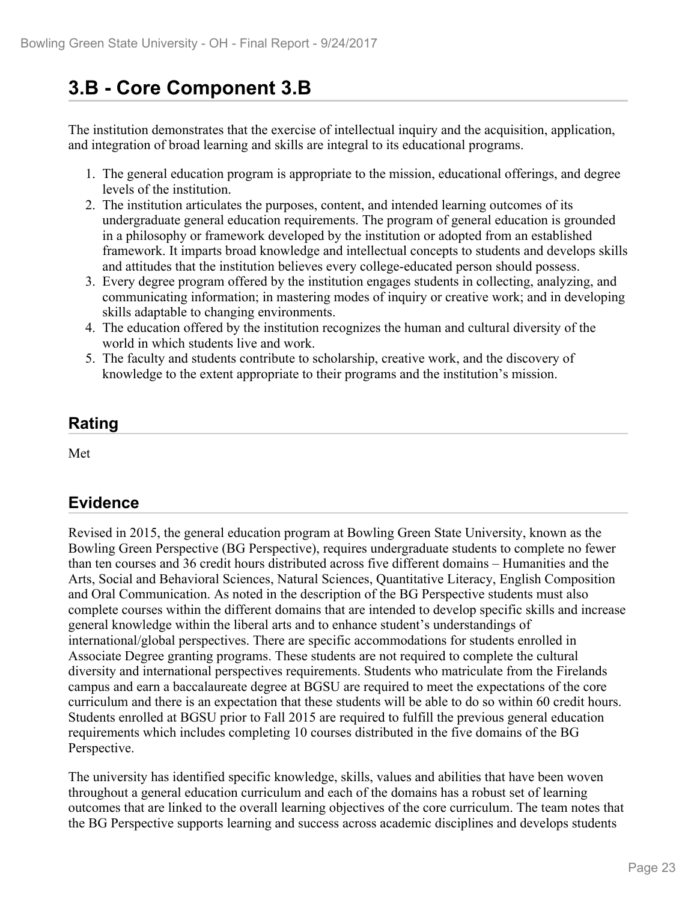# **3.B - Core Component 3.B**

The institution demonstrates that the exercise of intellectual inquiry and the acquisition, application, and integration of broad learning and skills are integral to its educational programs.

- 1. The general education program is appropriate to the mission, educational offerings, and degree levels of the institution.
- 2. The institution articulates the purposes, content, and intended learning outcomes of its undergraduate general education requirements. The program of general education is grounded in a philosophy or framework developed by the institution or adopted from an established framework. It imparts broad knowledge and intellectual concepts to students and develops skills and attitudes that the institution believes every college-educated person should possess.
- 3. Every degree program offered by the institution engages students in collecting, analyzing, and communicating information; in mastering modes of inquiry or creative work; and in developing skills adaptable to changing environments.
- 4. The education offered by the institution recognizes the human and cultural diversity of the world in which students live and work.
- 5. The faculty and students contribute to scholarship, creative work, and the discovery of knowledge to the extent appropriate to their programs and the institution's mission.

## **Rating**

Met and the state of the state of the state of the state of the state of the state of the state of the state of the state of the state of the state of the state of the state of the state of the state of the state of the st

## **Evidence**

Revised in 2015, the general education program at Bowling Green State University, known as the Bowling Green Perspective (BG Perspective), requires undergraduate students to complete no fewer than ten courses and 36 credit hours distributed across five different domains – Humanities and the Arts, Social and Behavioral Sciences, Natural Sciences, Quantitative Literacy, English Composition and Oral Communication. As noted in the description of the BG Perspective students must also complete courses within the different domains that are intended to develop specific skills and increase general knowledge within the liberal arts and to enhance student's understandings of international/global perspectives. There are specific accommodations for students enrolled in Associate Degree granting programs. These students are not required to complete the cultural diversity and international perspectives requirements. Students who matriculate from the Firelands campus and earn a baccalaureate degree at BGSU are required to meet the expectations of the core curriculum and there is an expectation that these students will be able to do so within 60 credit hours. Students enrolled at BGSU prior to Fall 2015 are required to fulfill the previous general education requirements which includes completing 10 courses distributed in the five domains of the BG Perspective.

The university has identified specific knowledge, skills, values and abilities that have been woven throughout a general education curriculum and each of the domains has a robust set of learning outcomes that are linked to the overall learning objectives of the core curriculum. The team notes that the BG Perspective supports learning and success across academic disciplines and develops students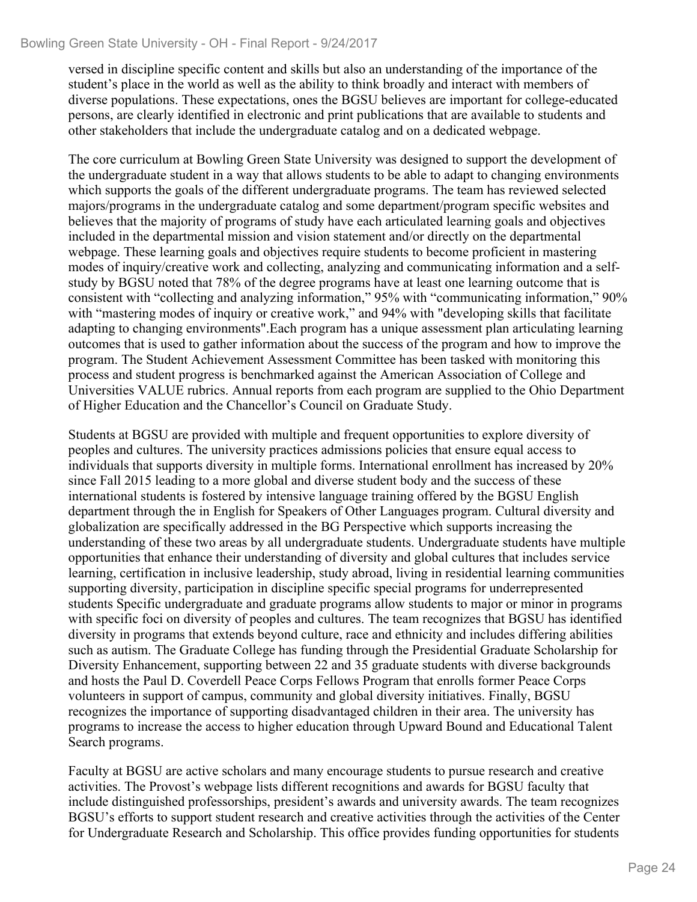versed in discipline specific content and skills but also an understanding of the importance of the student's place in the world as well as the ability to think broadly and interact with members of diverse populations. These expectations, ones the BGSU believes are important for college-educated persons, are clearly identified in electronic and print publications that are available to students and other stakeholders that include the undergraduate catalog and on a dedicated webpage.

The core curriculum at Bowling Green State University was designed to support the development of the undergraduate student in a way that allows students to be able to adapt to changing environments which supports the goals of the different undergraduate programs. The team has reviewed selected majors/programs in the undergraduate catalog and some department/program specific websites and believes that the majority of programs of study have each articulated learning goals and objectives included in the departmental mission and vision statement and/or directly on the departmental webpage. These learning goals and objectives require students to become proficient in mastering modes of inquiry/creative work and collecting, analyzing and communicating information and a selfstudy by BGSU noted that 78% of the degree programs have at least one learning outcome that is consistent with "collecting and analyzing information," 95% with "communicating information," 90% with "mastering modes of inquiry or creative work," and 94% with "developing skills that facilitate adapting to changing environments".Each program has a unique assessment plan articulating learning outcomes that is used to gather information about the success of the program and how to improve the program. The Student Achievement Assessment Committee has been tasked with monitoring this process and student progress is benchmarked against the American Association of College and Universities VALUE rubrics. Annual reports from each program are supplied to the Ohio Department of Higher Education and the Chancellor's Council on Graduate Study.

Students at BGSU are provided with multiple and frequent opportunities to explore diversity of peoples and cultures. The university practices admissions policies that ensure equal access to individuals that supports diversity in multiple forms. International enrollment has increased by 20% since Fall 2015 leading to a more global and diverse student body and the success of these international students is fostered by intensive language training offered by the BGSU English department through the in English for Speakers of Other Languages program. Cultural diversity and globalization are specifically addressed in the BG Perspective which supports increasing the understanding of these two areas by all undergraduate students. Undergraduate students have multiple opportunities that enhance their understanding of diversity and global cultures that includes service learning, certification in inclusive leadership, study abroad, living in residential learning communities supporting diversity, participation in discipline specific special programs for underrepresented students Specific undergraduate and graduate programs allow students to major or minor in programs with specific foci on diversity of peoples and cultures. The team recognizes that BGSU has identified diversity in programs that extends beyond culture, race and ethnicity and includes differing abilities such as autism. The Graduate College has funding through the Presidential Graduate Scholarship for Diversity Enhancement, supporting between 22 and 35 graduate students with diverse backgrounds and hosts the Paul D. Coverdell Peace Corps Fellows Program that enrolls former Peace Corps volunteers in support of campus, community and global diversity initiatives. Finally, BGSU recognizes the importance of supporting disadvantaged children in their area. The university has programs to increase the access to higher education through Upward Bound and Educational Talent Search programs.

Faculty at BGSU are active scholars and many encourage students to pursue research and creative activities. The Provost's webpage lists different recognitions and awards for BGSU faculty that include distinguished professorships, president's awards and university awards. The team recognizes BGSU's efforts to support student research and creative activities through the activities of the Center for Undergraduate Research and Scholarship. This office provides funding opportunities for students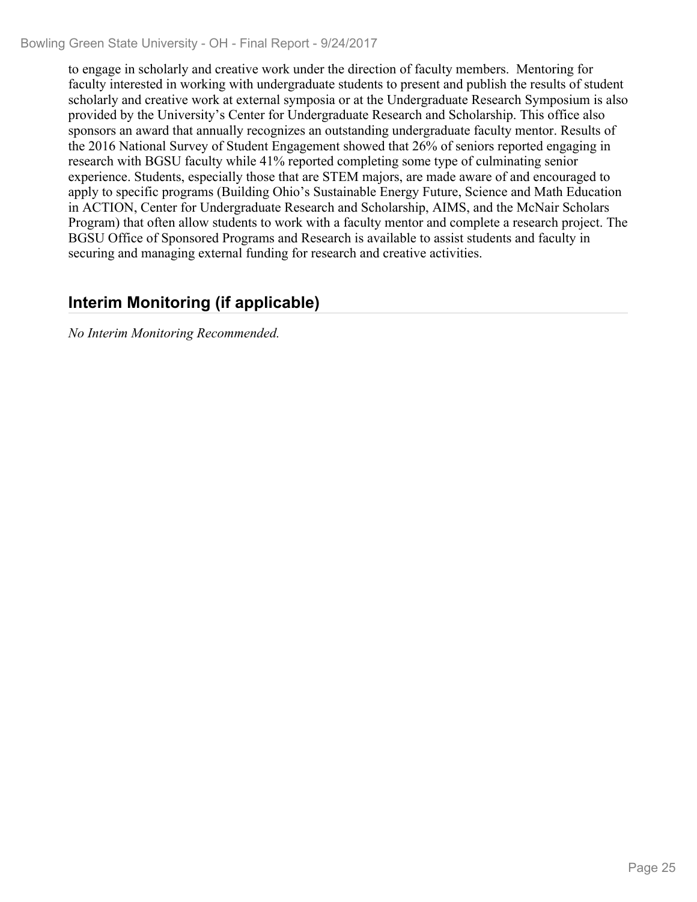Bowling Green State University - OH - Final Report - 9/24/2017

to engage in scholarly and creative work under the direction of faculty members. Mentoring for faculty interested in working with undergraduate students to present and publish the results of student scholarly and creative work at external symposia or at the Undergraduate Research Symposium is also provided by the University's Center for Undergraduate Research and Scholarship. This office also sponsors an award that annually recognizes an outstanding undergraduate faculty mentor. Results of the 2016 National Survey of Student Engagement showed that 26% of seniors reported engaging in research with BGSU faculty while 41% reported completing some type of culminating senior experience. Students, especially those that are STEM majors, are made aware of and encouraged to apply to specific programs (Building Ohio's Sustainable Energy Future, Science and Math Education in ACTION, Center for Undergraduate Research and Scholarship, AIMS, and the McNair Scholars Program) that often allow students to work with a faculty mentor and complete a research project. The BGSU Office of Sponsored Programs and Research is available to assist students and faculty in securing and managing external funding for research and creative activities.

### **Interim Monitoring (if applicable)**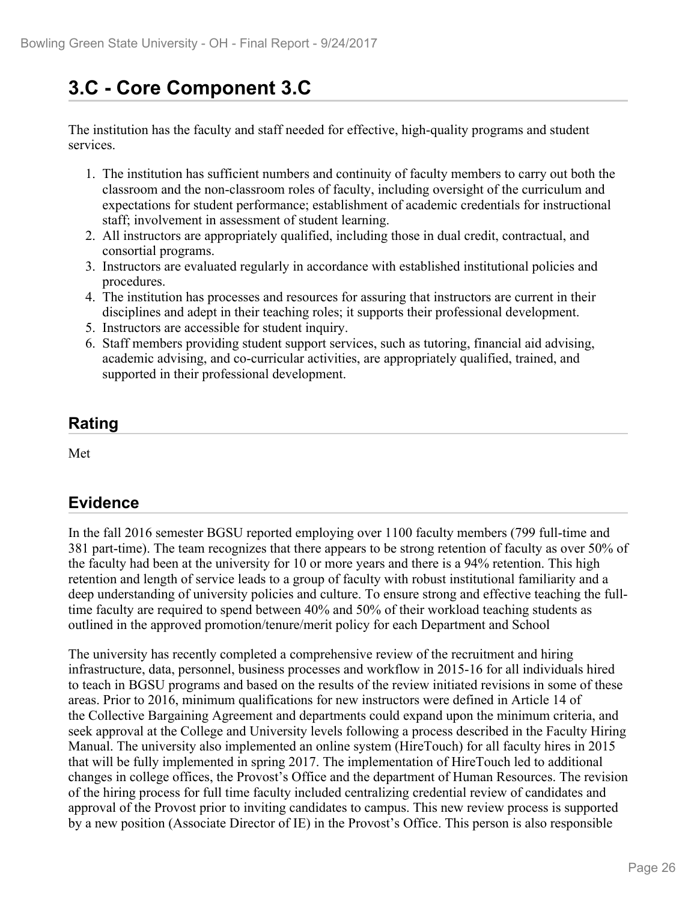# **3.C - Core Component 3.C**

The institution has the faculty and staff needed for effective, high-quality programs and student services.

- 1. The institution has sufficient numbers and continuity of faculty members to carry out both the classroom and the non-classroom roles of faculty, including oversight of the curriculum and expectations for student performance; establishment of academic credentials for instructional staff; involvement in assessment of student learning.
- 2. All instructors are appropriately qualified, including those in dual credit, contractual, and consortial programs.
- 3. Instructors are evaluated regularly in accordance with established institutional policies and procedures.
- 4. The institution has processes and resources for assuring that instructors are current in their disciplines and adept in their teaching roles; it supports their professional development.
- 5. Instructors are accessible for student inquiry.
- 6. Staff members providing student support services, such as tutoring, financial aid advising, academic advising, and co-curricular activities, are appropriately qualified, trained, and supported in their professional development.

## **Rating**

Met and the state of the state of the state of the state of the state of the state of the state of the state of the state of the state of the state of the state of the state of the state of the state of the state of the st

## **Evidence**

In the fall 2016 semester BGSU reported employing over 1100 faculty members (799 full-time and 381 part-time). The team recognizes that there appears to be strong retention of faculty as over 50% of the faculty had been at the university for 10 or more years and there is a 94% retention. This high retention and length of service leads to a group of faculty with robust institutional familiarity and a deep understanding of university policies and culture. To ensure strong and effective teaching the fulltime faculty are required to spend between 40% and 50% of their workload teaching students as outlined in the approved promotion/tenure/merit policy for each Department and School

The university has recently completed a comprehensive review of the recruitment and hiring infrastructure, data, personnel, business processes and workflow in 2015-16 for all individuals hired to teach in BGSU programs and based on the results of the review initiated revisions in some of these areas. Prior to 2016, minimum qualifications for new instructors were defined in Article 14 of the Collective Bargaining Agreement and departments could expand upon the minimum criteria, and seek approval at the College and University levels following a process described in the Faculty Hiring Manual. The university also implemented an online system (HireTouch) for all faculty hires in 2015 that will be fully implemented in spring 2017. The implementation of HireTouch led to additional changes in college offices, the Provost's Office and the department of Human Resources. The revision of the hiring process for full time faculty included centralizing credential review of candidates and approval of the Provost prior to inviting candidates to campus. This new review process is supported by a new position (Associate Director of IE) in the Provost's Office. This person is also responsible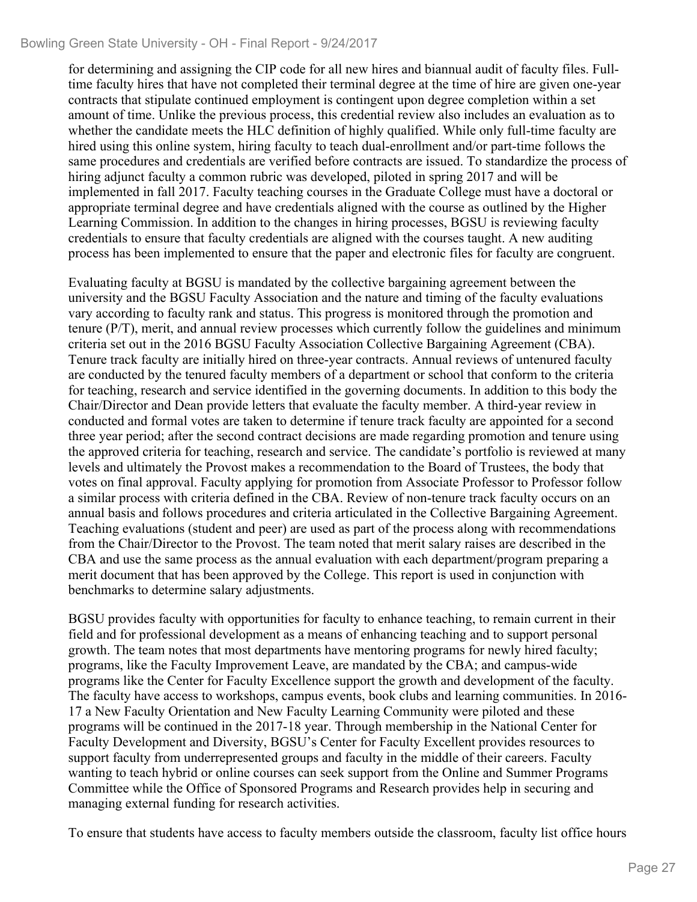#### Bowling Green State University - OH - Final Report - 9/24/2017

for determining and assigning the CIP code for all new hires and biannual audit of faculty files. Fulltime faculty hires that have not completed their terminal degree at the time of hire are given one-year contracts that stipulate continued employment is contingent upon degree completion within a set amount of time. Unlike the previous process, this credential review also includes an evaluation as to whether the candidate meets the HLC definition of highly qualified. While only full-time faculty are hired using this online system, hiring faculty to teach dual-enrollment and/or part-time follows the same procedures and credentials are verified before contracts are issued. To standardize the process of hiring adjunct faculty a common rubric was developed, piloted in spring 2017 and will be implemented in fall 2017. Faculty teaching courses in the Graduate College must have a doctoral or appropriate terminal degree and have credentials aligned with the course as outlined by the Higher Learning Commission. In addition to the changes in hiring processes, BGSU is reviewing faculty credentials to ensure that faculty credentials are aligned with the courses taught. A new auditing process has been implemented to ensure that the paper and electronic files for faculty are congruent.

Evaluating faculty at BGSU is mandated by the collective bargaining agreement between the university and the BGSU Faculty Association and the nature and timing of the faculty evaluations vary according to faculty rank and status. This progress is monitored through the promotion and tenure (P/T), merit, and annual review processes which currently follow the guidelines and minimum criteria set out in the 2016 BGSU Faculty Association Collective Bargaining Agreement (CBA). Tenure track faculty are initially hired on three-year contracts. Annual reviews of untenured faculty are conducted by the tenured faculty members of a department or school that conform to the criteria for teaching, research and service identified in the governing documents. In addition to this body the Chair/Director and Dean provide letters that evaluate the faculty member. A third-year review in conducted and formal votes are taken to determine if tenure track faculty are appointed for a second three year period; after the second contract decisions are made regarding promotion and tenure using the approved criteria for teaching, research and service. The candidate's portfolio is reviewed at many levels and ultimately the Provost makes a recommendation to the Board of Trustees, the body that votes on final approval. Faculty applying for promotion from Associate Professor to Professor follow a similar process with criteria defined in the CBA. Review of non-tenure track faculty occurs on an annual basis and follows procedures and criteria articulated in the Collective Bargaining Agreement. Teaching evaluations (student and peer) are used as part of the process along with recommendations from the Chair/Director to the Provost. The team noted that merit salary raises are described in the CBA and use the same process as the annual evaluation with each department/program preparing a merit document that has been approved by the College. This report is used in conjunction with benchmarks to determine salary adjustments.

BGSU provides faculty with opportunities for faculty to enhance teaching, to remain current in their field and for professional development as a means of enhancing teaching and to support personal growth. The team notes that most departments have mentoring programs for newly hired faculty; programs, like the Faculty Improvement Leave, are mandated by the CBA; and campus-wide programs like the Center for Faculty Excellence support the growth and development of the faculty. The faculty have access to workshops, campus events, book clubs and learning communities. In 2016- 17 a New Faculty Orientation and New Faculty Learning Community were piloted and these programs will be continued in the 2017-18 year. Through membership in the National Center for Faculty Development and Diversity, BGSU's Center for Faculty Excellent provides resources to support faculty from underrepresented groups and faculty in the middle of their careers. Faculty wanting to teach hybrid or online courses can seek support from the Online and Summer Programs Committee while the Office of Sponsored Programs and Research provides help in securing and managing external funding for research activities.

To ensure that students have access to faculty members outside the classroom, faculty list office hours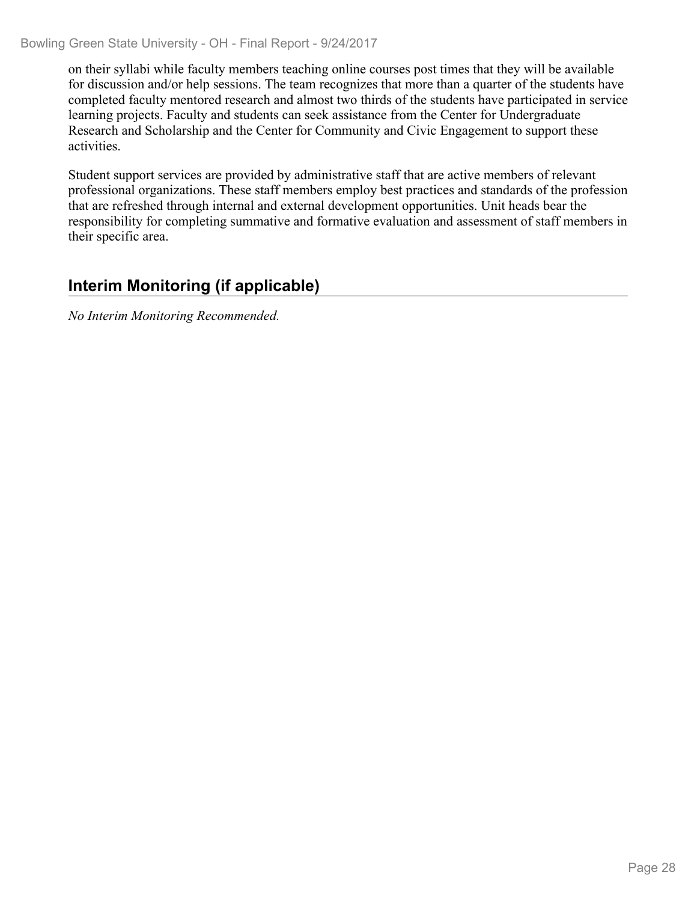on their syllabi while faculty members teaching online courses post times that they will be available for discussion and/or help sessions. The team recognizes that more than a quarter of the students have completed faculty mentored research and almost two thirds of the students have participated in service learning projects. Faculty and students can seek assistance from the Center for Undergraduate Research and Scholarship and the Center for Community and Civic Engagement to support these activities.

Student support services are provided by administrative staff that are active members of relevant professional organizations. These staff members employ best practices and standards of the profession that are refreshed through internal and external development opportunities. Unit heads bear the responsibility for completing summative and formative evaluation and assessment of staff members in their specific area.

## **Interim Monitoring (if applicable)**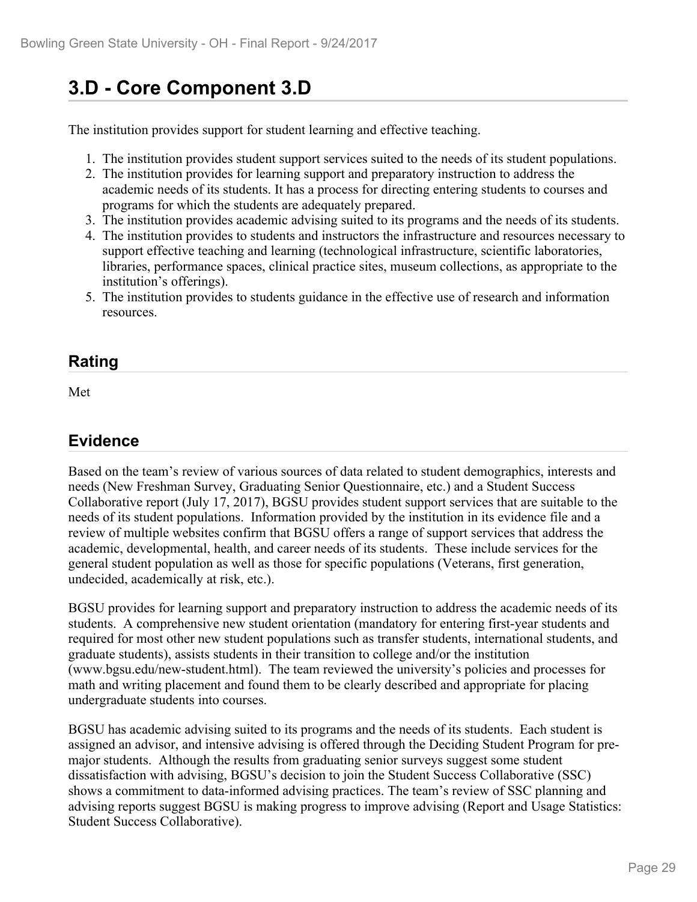# **3.D - Core Component 3.D**

The institution provides support for student learning and effective teaching.

- 1. The institution provides student support services suited to the needs of its student populations.
- 2. The institution provides for learning support and preparatory instruction to address the academic needs of its students. It has a process for directing entering students to courses and programs for which the students are adequately prepared.
- 3. The institution provides academic advising suited to its programs and the needs of its students.
- 4. The institution provides to students and instructors the infrastructure and resources necessary to support effective teaching and learning (technological infrastructure, scientific laboratories, libraries, performance spaces, clinical practice sites, museum collections, as appropriate to the institution's offerings).
- 5. The institution provides to students guidance in the effective use of research and information resources.

### **Rating**

Met and the state of the state of the state of the state of the state of the state of the state of the state of the state of the state of the state of the state of the state of the state of the state of the state of the st

## **Evidence**

Based on the team's review of various sources of data related to student demographics, interests and needs (New Freshman Survey, Graduating Senior Questionnaire, etc.) and a Student Success Collaborative report (July 17, 2017), BGSU provides student support services that are suitable to the needs of its student populations. Information provided by the institution in its evidence file and a review of multiple websites confirm that BGSU offers a range of support services that address the academic, developmental, health, and career needs of its students. These include services for the general student population as well as those for specific populations (Veterans, first generation, undecided, academically at risk, etc.).

BGSU provides for learning support and preparatory instruction to address the academic needs of its students. A comprehensive new student orientation (mandatory for entering first-year students and required for most other new student populations such as transfer students, international students, and graduate students), assists students in their transition to college and/or the institution (www.bgsu.edu/new-student.html). The team reviewed the university's policies and processes for math and writing placement and found them to be clearly described and appropriate for placing undergraduate students into courses.

BGSU has academic advising suited to its programs and the needs of its students. Each student is assigned an advisor, and intensive advising is offered through the Deciding Student Program for premajor students. Although the results from graduating senior surveys suggest some student dissatisfaction with advising, BGSU's decision to join the Student Success Collaborative (SSC) shows a commitment to data-informed advising practices. The team's review of SSC planning and advising reports suggest BGSU is making progress to improve advising (Report and Usage Statistics: Student Success Collaborative).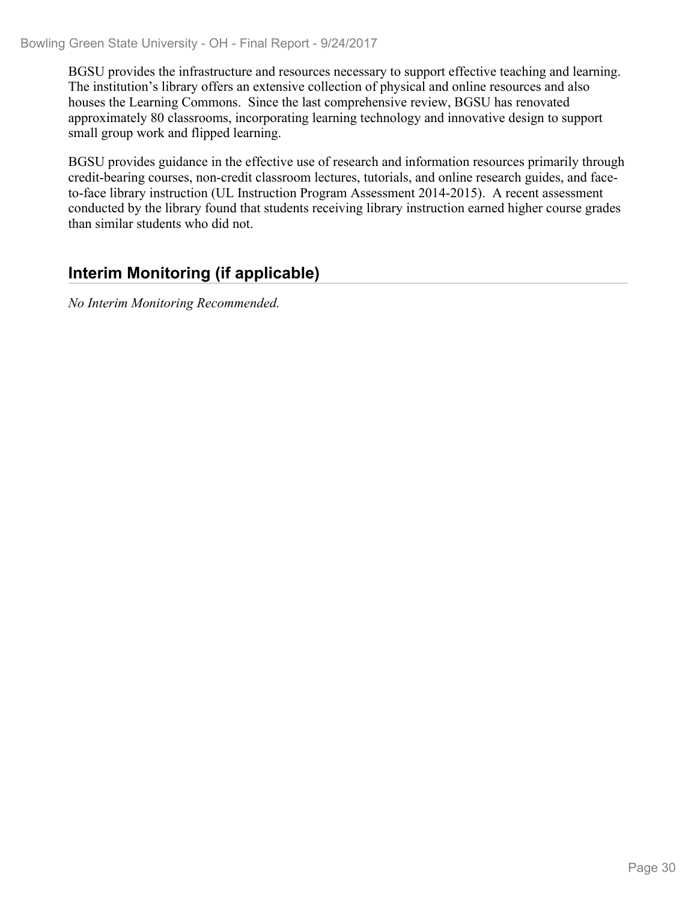BGSU provides the infrastructure and resources necessary to support effective teaching and learning. The institution's library offers an extensive collection of physical and online resources and also houses the Learning Commons. Since the last comprehensive review, BGSU has renovated approximately 80 classrooms, incorporating learning technology and innovative design to support small group work and flipped learning.

BGSU provides guidance in the effective use of research and information resources primarily through credit-bearing courses, non-credit classroom lectures, tutorials, and online research guides, and faceto-face library instruction (UL Instruction Program Assessment 2014-2015). A recent assessment conducted by the library found that students receiving library instruction earned higher course grades than similar students who did not.

## **Interim Monitoring (if applicable)**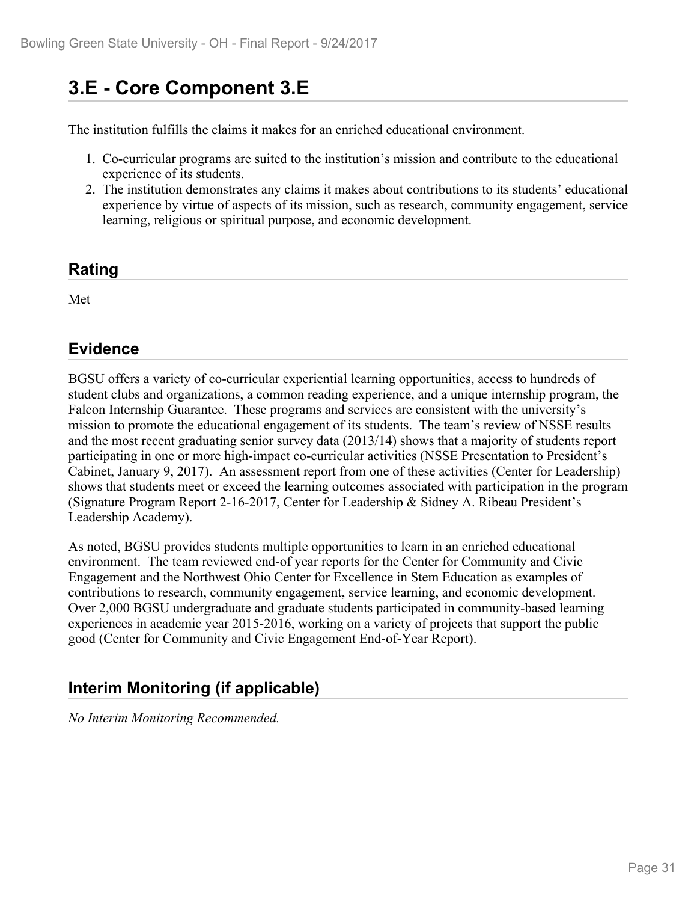# **3.E - Core Component 3.E**

The institution fulfills the claims it makes for an enriched educational environment.

- 1. Co-curricular programs are suited to the institution's mission and contribute to the educational experience of its students.
- 2. The institution demonstrates any claims it makes about contributions to its students' educational experience by virtue of aspects of its mission, such as research, community engagement, service learning, religious or spiritual purpose, and economic development.

#### **Rating**

Met

## **Evidence**

BGSU offers a variety of co-curricular experiential learning opportunities, access to hundreds of student clubs and organizations, a common reading experience, and a unique internship program, the Falcon Internship Guarantee. These programs and services are consistent with the university's mission to promote the educational engagement of its students. The team's review of NSSE results and the most recent graduating senior survey data (2013/14) shows that a majority of students report participating in one or more high-impact co-curricular activities (NSSE Presentation to President's Cabinet, January 9, 2017). An assessment report from one of these activities (Center for Leadership) shows that students meet or exceed the learning outcomes associated with participation in the program (Signature Program Report 2-16-2017, Center for Leadership & Sidney A. Ribeau President's Leadership Academy).

As noted, BGSU provides students multiple opportunities to learn in an enriched educational environment. The team reviewed end-of year reports for the Center for Community and Civic Engagement and the Northwest Ohio Center for Excellence in Stem Education as examples of contributions to research, community engagement, service learning, and economic development. Over 2,000 BGSU undergraduate and graduate students participated in community-based learning experiences in academic year 2015-2016, working on a variety of projects that support the public good (Center for Community and Civic Engagement End-of-Year Report).

## **Interim Monitoring (if applicable)**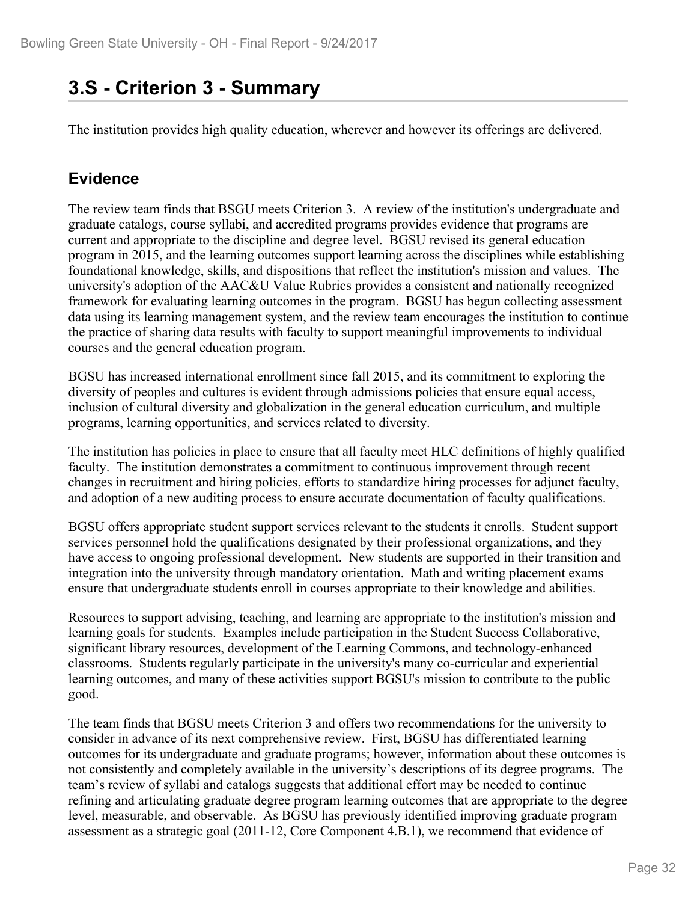## **3.S - Criterion 3 - Summary**

The institution provides high quality education, wherever and however its offerings are delivered.

## **Evidence**

The review team finds that BSGU meets Criterion 3. A review of the institution's undergraduate and graduate catalogs, course syllabi, and accredited programs provides evidence that programs are current and appropriate to the discipline and degree level. BGSU revised its general education program in 2015, and the learning outcomes support learning across the disciplines while establishing foundational knowledge, skills, and dispositions that reflect the institution's mission and values. The university's adoption of the AAC&U Value Rubrics provides a consistent and nationally recognized framework for evaluating learning outcomes in the program. BGSU has begun collecting assessment data using its learning management system, and the review team encourages the institution to continue the practice of sharing data results with faculty to support meaningful improvements to individual courses and the general education program.

BGSU has increased international enrollment since fall 2015, and its commitment to exploring the diversity of peoples and cultures is evident through admissions policies that ensure equal access, inclusion of cultural diversity and globalization in the general education curriculum, and multiple programs, learning opportunities, and services related to diversity.

The institution has policies in place to ensure that all faculty meet HLC definitions of highly qualified faculty. The institution demonstrates a commitment to continuous improvement through recent changes in recruitment and hiring policies, efforts to standardize hiring processes for adjunct faculty, and adoption of a new auditing process to ensure accurate documentation of faculty qualifications.

BGSU offers appropriate student support services relevant to the students it enrolls. Student support services personnel hold the qualifications designated by their professional organizations, and they have access to ongoing professional development. New students are supported in their transition and integration into the university through mandatory orientation. Math and writing placement exams ensure that undergraduate students enroll in courses appropriate to their knowledge and abilities.

Resources to support advising, teaching, and learning are appropriate to the institution's mission and learning goals for students. Examples include participation in the Student Success Collaborative, significant library resources, development of the Learning Commons, and technology-enhanced classrooms. Students regularly participate in the university's many co-curricular and experiential learning outcomes, and many of these activities support BGSU's mission to contribute to the public good.

The team finds that BGSU meets Criterion 3 and offers two recommendations for the university to consider in advance of its next comprehensive review. First, BGSU has differentiated learning outcomes for its undergraduate and graduate programs; however, information about these outcomes is not consistently and completely available in the university's descriptions of its degree programs. The team's review of syllabi and catalogs suggests that additional effort may be needed to continue refining and articulating graduate degree program learning outcomes that are appropriate to the degree level, measurable, and observable. As BGSU has previously identified improving graduate program assessment as a strategic goal (2011-12, Core Component 4.B.1), we recommend that evidence of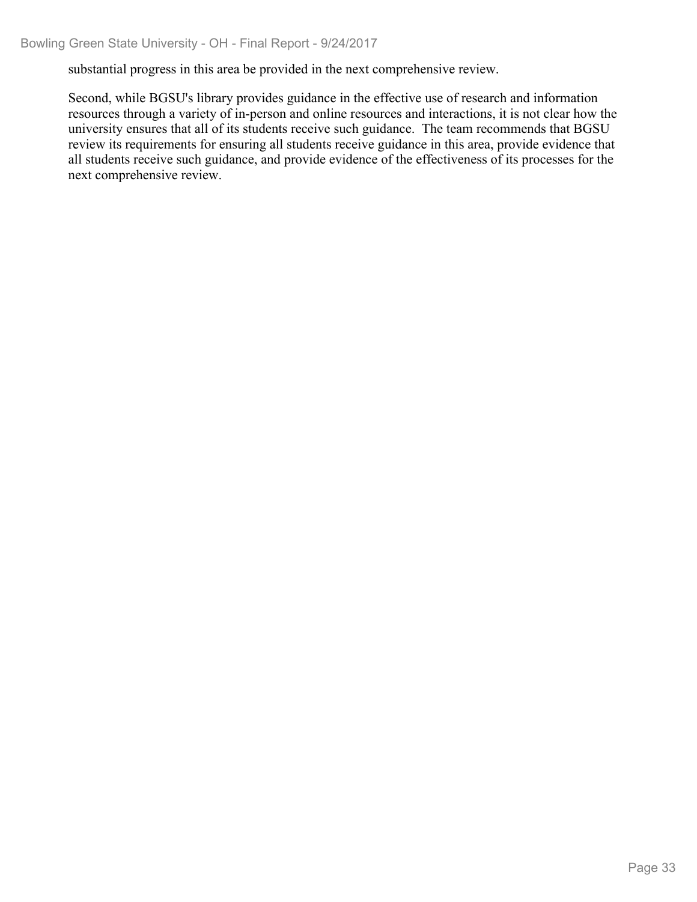substantial progress in this area be provided in the next comprehensive review.

Second, while BGSU's library provides guidance in the effective use of research and information resources through a variety of in-person and online resources and interactions, it is not clear how the university ensures that all of its students receive such guidance. The team recommends that BGSU review its requirements for ensuring all students receive guidance in this area, provide evidence that all students receive such guidance, and provide evidence of the effectiveness of its processes for the next comprehensive review.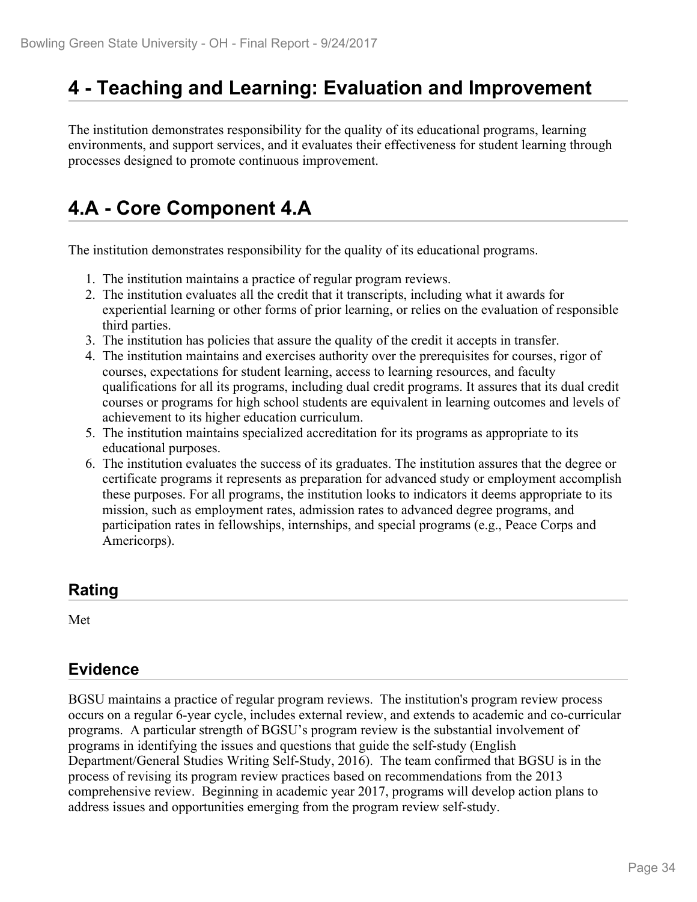## **4 - Teaching and Learning: Evaluation and Improvement**

The institution demonstrates responsibility for the quality of its educational programs, learning environments, and support services, and it evaluates their effectiveness for student learning through processes designed to promote continuous improvement.

# **4.A - Core Component 4.A**

The institution demonstrates responsibility for the quality of its educational programs.

- 1. The institution maintains a practice of regular program reviews.
- 2. The institution evaluates all the credit that it transcripts, including what it awards for experiential learning or other forms of prior learning, or relies on the evaluation of responsible third parties.
- 3. The institution has policies that assure the quality of the credit it accepts in transfer.
- 4. The institution maintains and exercises authority over the prerequisites for courses, rigor of courses, expectations for student learning, access to learning resources, and faculty qualifications for all its programs, including dual credit programs. It assures that its dual credit courses or programs for high school students are equivalent in learning outcomes and levels of achievement to its higher education curriculum.
- 5. The institution maintains specialized accreditation for its programs as appropriate to its educational purposes.
- 6. The institution evaluates the success of its graduates. The institution assures that the degree or certificate programs it represents as preparation for advanced study or employment accomplish these purposes. For all programs, the institution looks to indicators it deems appropriate to its mission, such as employment rates, admission rates to advanced degree programs, and participation rates in fellowships, internships, and special programs (e.g., Peace Corps and Americorps).

### **Rating**

Met and the state of the state of the state of the state of the state of the state of the state of the state of the state of the state of the state of the state of the state of the state of the state of the state of the st

## **Evidence**

BGSU maintains a practice of regular program reviews. The institution's program review process occurs on a regular 6-year cycle, includes external review, and extends to academic and co-curricular programs. A particular strength of BGSU's program review is the substantial involvement of programs in identifying the issues and questions that guide the self-study (English Department/General Studies Writing Self-Study, 2016). The team confirmed that BGSU is in the process of revising its program review practices based on recommendations from the 2013 comprehensive review. Beginning in academic year 2017, programs will develop action plans to address issues and opportunities emerging from the program review self-study.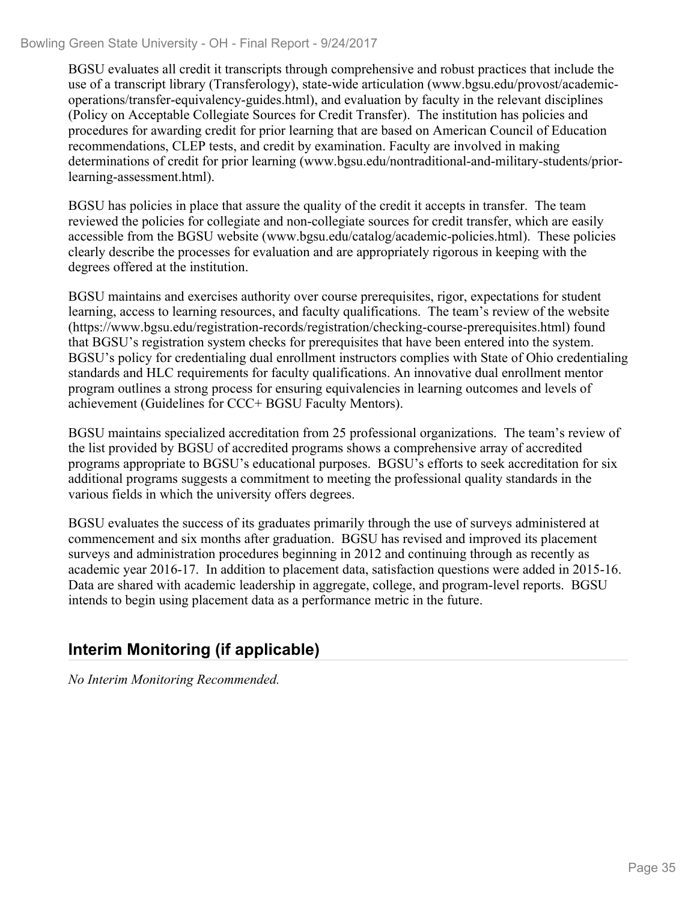#### Bowling Green State University - OH - Final Report - 9/24/2017

BGSU evaluates all credit it transcripts through comprehensive and robust practices that include the use of a transcript library (Transferology), state-wide articulation (www.bgsu.edu/provost/academicoperations/transfer-equivalency-guides.html), and evaluation by faculty in the relevant disciplines (Policy on Acceptable Collegiate Sources for Credit Transfer). The institution has policies and procedures for awarding credit for prior learning that are based on American Council of Education recommendations, CLEP tests, and credit by examination. Faculty are involved in making determinations of credit for prior learning (www.bgsu.edu/nontraditional-and-military-students/priorlearning-assessment.html).

BGSU has policies in place that assure the quality of the credit it accepts in transfer. The team reviewed the policies for collegiate and non-collegiate sources for credit transfer, which are easily accessible from the BGSU website (www.bgsu.edu/catalog/academic-policies.html). These policies clearly describe the processes for evaluation and are appropriately rigorous in keeping with the degrees offered at the institution.

BGSU maintains and exercises authority over course prerequisites, rigor, expectations for student learning, access to learning resources, and faculty qualifications. The team's review of the website (https://www.bgsu.edu/registration-records/registration/checking-course-prerequisites.html) found that BGSU's registration system checks for prerequisites that have been entered into the system. BGSU's policy for credentialing dual enrollment instructors complies with State of Ohio credentialing standards and HLC requirements for faculty qualifications. An innovative dual enrollment mentor program outlines a strong process for ensuring equivalencies in learning outcomes and levels of achievement (Guidelines for CCC+ BGSU Faculty Mentors).

BGSU maintains specialized accreditation from 25 professional organizations. The team's review of the list provided by BGSU of accredited programs shows a comprehensive array of accredited programs appropriate to BGSU's educational purposes. BGSU's efforts to seek accreditation for six additional programs suggests a commitment to meeting the professional quality standards in the various fields in which the university offers degrees.

BGSU evaluates the success of its graduates primarily through the use of surveys administered at commencement and six months after graduation. BGSU has revised and improved its placement surveys and administration procedures beginning in 2012 and continuing through as recently as academic year 2016-17. In addition to placement data, satisfaction questions were added in 2015-16. Data are shared with academic leadership in aggregate, college, and program-level reports. BGSU intends to begin using placement data as a performance metric in the future.

## **Interim Monitoring (if applicable)**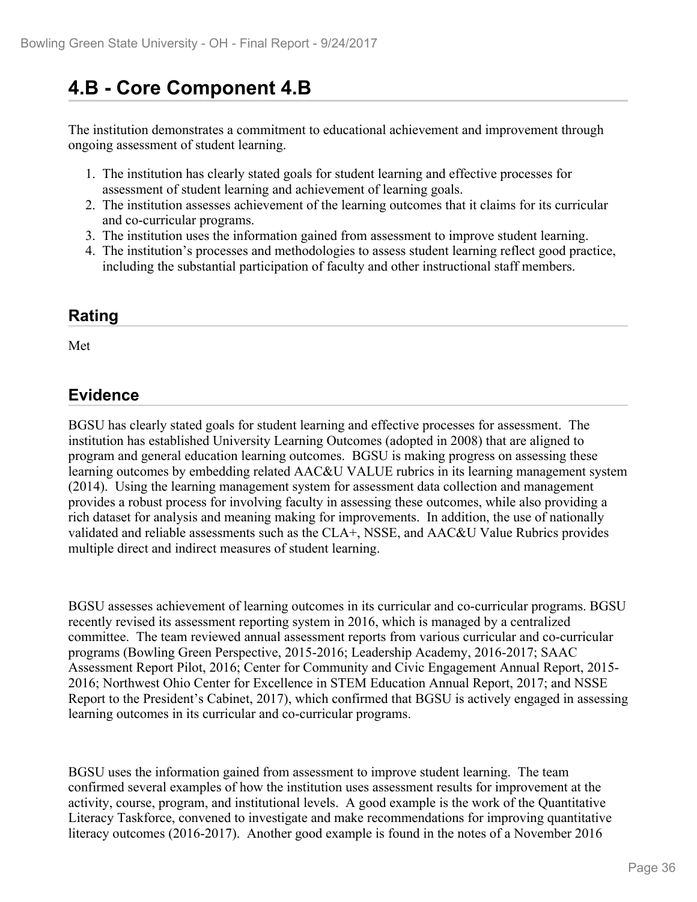# **4.B - Core Component 4.B**

The institution demonstrates a commitment to educational achievement and improvement through ongoing assessment of student learning.

- 1. The institution has clearly stated goals for student learning and effective processes for assessment of student learning and achievement of learning goals.
- 2. The institution assesses achievement of the learning outcomes that it claims for its curricular and co-curricular programs.
- 3. The institution uses the information gained from assessment to improve student learning.
- 4. The institution's processes and methodologies to assess student learning reflect good practice, including the substantial participation of faculty and other instructional staff members.

## **Rating**

Met and the state of the state of the state of the state of the state of the state of the state of the state of the state of the state of the state of the state of the state of the state of the state of the state of the st

## **Evidence**

BGSU has clearly stated goals for student learning and effective processes for assessment. The institution has established University Learning Outcomes (adopted in 2008) that are aligned to program and general education learning outcomes. BGSU is making progress on assessing these learning outcomes by embedding related AAC&U VALUE rubrics in its learning management system (2014). Using the learning management system for assessment data collection and management provides a robust process for involving faculty in assessing these outcomes, while also providing a rich dataset for analysis and meaning making for improvements. In addition, the use of nationally validated and reliable assessments such as the CLA+, NSSE, and AAC&U Value Rubrics provides multiple direct and indirect measures of student learning.

BGSU assesses achievement of learning outcomes in its curricular and co-curricular programs. BGSU recently revised its assessment reporting system in 2016, which is managed by a centralized committee. The team reviewed annual assessment reports from various curricular and co-curricular programs (Bowling Green Perspective, 2015-2016; Leadership Academy, 2016-2017; SAAC Assessment Report Pilot, 2016; Center for Community and Civic Engagement Annual Report, 2015- 2016; Northwest Ohio Center for Excellence in STEM Education Annual Report, 2017; and NSSE Report to the President's Cabinet, 2017), which confirmed that BGSU is actively engaged in assessing learning outcomes in its curricular and co-curricular programs.

BGSU uses the information gained from assessment to improve student learning. The team confirmed several examples of how the institution uses assessment results for improvement at the activity, course, program, and institutional levels. A good example is the work of the Quantitative Literacy Taskforce, convened to investigate and make recommendations for improving quantitative literacy outcomes (2016-2017). Another good example is found in the notes of a November 2016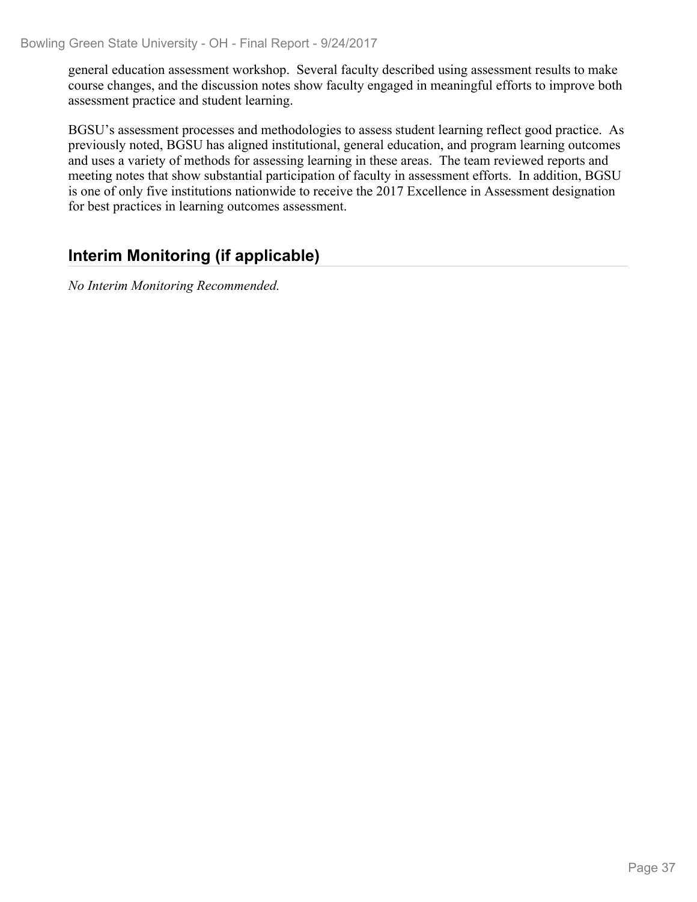general education assessment workshop. Several faculty described using assessment results to make course changes, and the discussion notes show faculty engaged in meaningful efforts to improve both assessment practice and student learning.

BGSU's assessment processes and methodologies to assess student learning reflect good practice. As previously noted, BGSU has aligned institutional, general education, and program learning outcomes and uses a variety of methods for assessing learning in these areas. The team reviewed reports and meeting notes that show substantial participation of faculty in assessment efforts. In addition, BGSU is one of only five institutions nationwide to receive the 2017 Excellence in Assessment designation for best practices in learning outcomes assessment.

## **Interim Monitoring (if applicable)**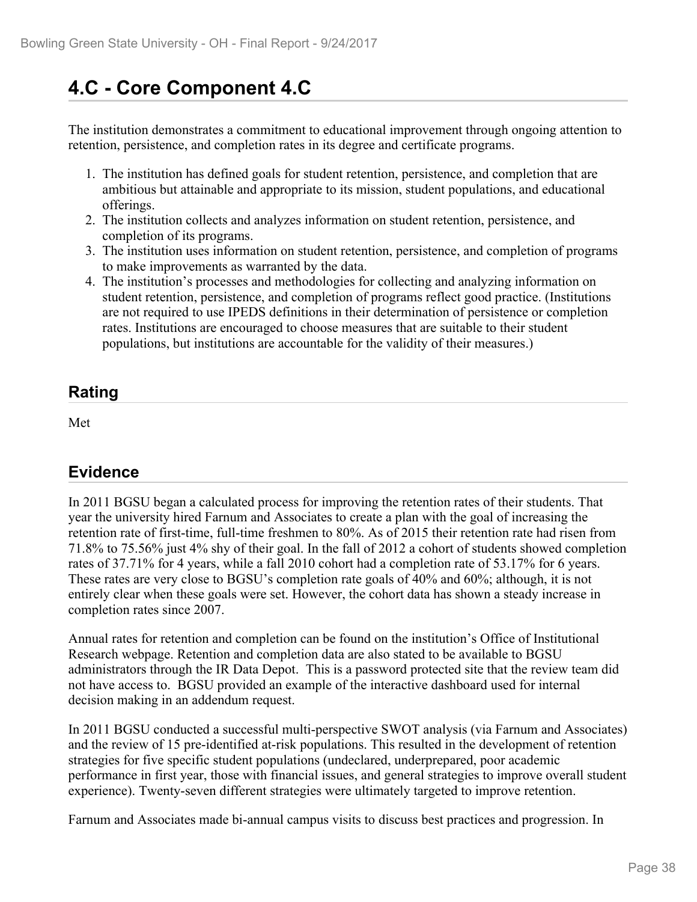# **4.C - Core Component 4.C**

The institution demonstrates a commitment to educational improvement through ongoing attention to retention, persistence, and completion rates in its degree and certificate programs.

- 1. The institution has defined goals for student retention, persistence, and completion that are ambitious but attainable and appropriate to its mission, student populations, and educational offerings.
- 2. The institution collects and analyzes information on student retention, persistence, and completion of its programs.
- 3. The institution uses information on student retention, persistence, and completion of programs to make improvements as warranted by the data.
- 4. The institution's processes and methodologies for collecting and analyzing information on student retention, persistence, and completion of programs reflect good practice. (Institutions are not required to use IPEDS definitions in their determination of persistence or completion rates. Institutions are encouraged to choose measures that are suitable to their student populations, but institutions are accountable for the validity of their measures.)

## **Rating**

Met and the state of the state of the state of the state of the state of the state of the state of the state of the state of the state of the state of the state of the state of the state of the state of the state of the st

## **Evidence**

In 2011 BGSU began a calculated process for improving the retention rates of their students. That year the university hired Farnum and Associates to create a plan with the goal of increasing the retention rate of first-time, full-time freshmen to 80%. As of 2015 their retention rate had risen from 71.8% to 75.56% just 4% shy of their goal. In the fall of 2012 a cohort of students showed completion rates of 37.71% for 4 years, while a fall 2010 cohort had a completion rate of 53.17% for 6 years. These rates are very close to BGSU's completion rate goals of 40% and 60%; although, it is not entirely clear when these goals were set. However, the cohort data has shown a steady increase in completion rates since 2007.

Annual rates for retention and completion can be found on the institution's Office of Institutional Research webpage. Retention and completion data are also stated to be available to BGSU administrators through the IR Data Depot. This is a password protected site that the review team did not have access to. BGSU provided an example of the interactive dashboard used for internal decision making in an addendum request.

In 2011 BGSU conducted a successful multi-perspective SWOT analysis (via Farnum and Associates) and the review of 15 pre-identified at-risk populations. This resulted in the development of retention strategies for five specific student populations (undeclared, underprepared, poor academic performance in first year, those with financial issues, and general strategies to improve overall student experience). Twenty-seven different strategies were ultimately targeted to improve retention.

Farnum and Associates made bi-annual campus visits to discuss best practices and progression. In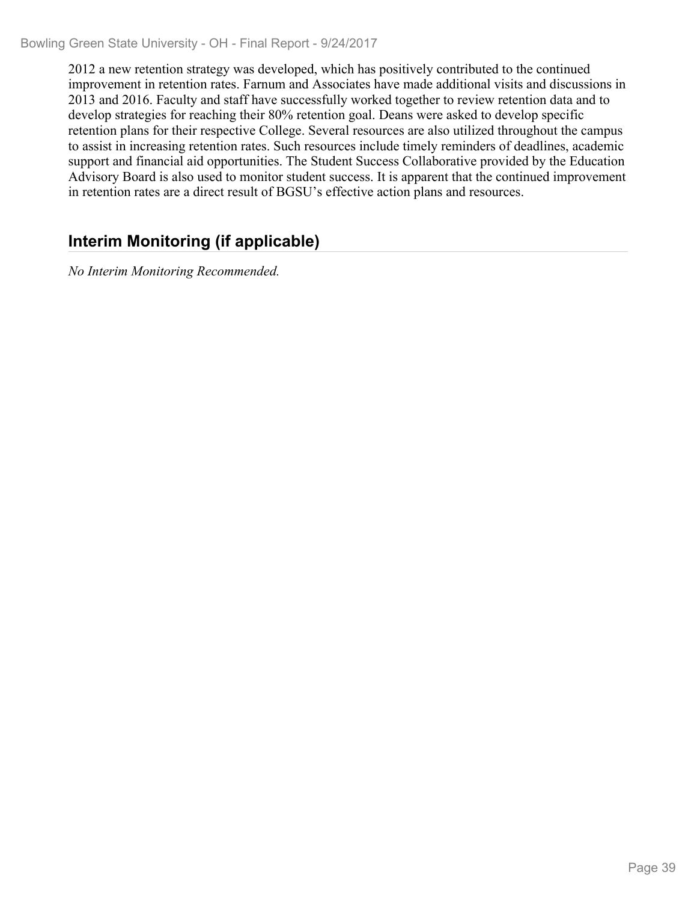2012 a new retention strategy was developed, which has positively contributed to the continued improvement in retention rates. Farnum and Associates have made additional visits and discussions in 2013 and 2016. Faculty and staff have successfully worked together to review retention data and to develop strategies for reaching their 80% retention goal. Deans were asked to develop specific retention plans for their respective College. Several resources are also utilized throughout the campus to assist in increasing retention rates. Such resources include timely reminders of deadlines, academic support and financial aid opportunities. The Student Success Collaborative provided by the Education Advisory Board is also used to monitor student success. It is apparent that the continued improvement in retention rates are a direct result of BGSU's effective action plans and resources.

## **Interim Monitoring (if applicable)**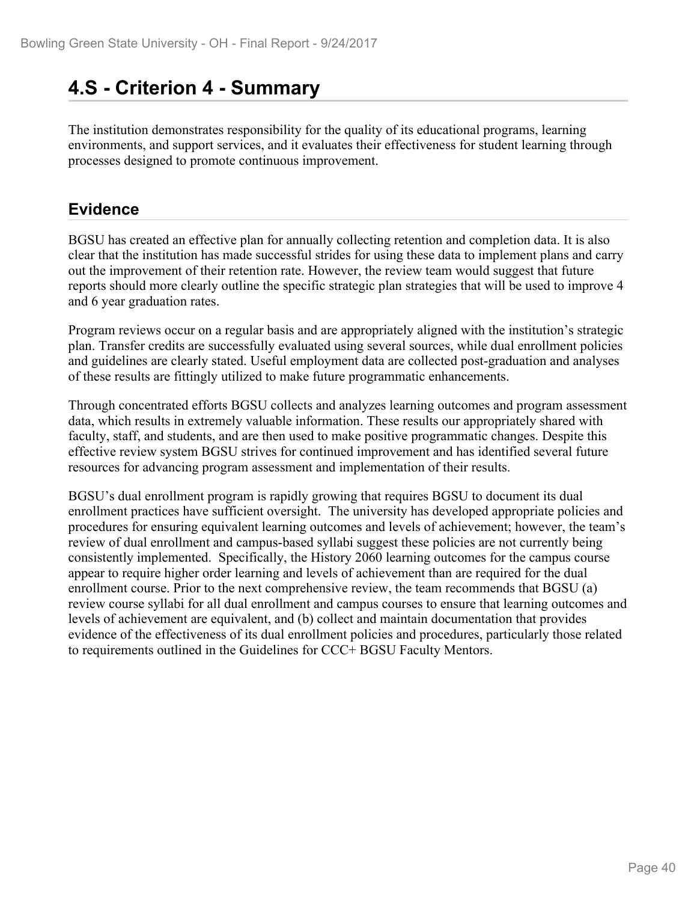## **4.S - Criterion 4 - Summary**

The institution demonstrates responsibility for the quality of its educational programs, learning environments, and support services, and it evaluates their effectiveness for student learning through processes designed to promote continuous improvement.

## **Evidence**

BGSU has created an effective plan for annually collecting retention and completion data. It is also clear that the institution has made successful strides for using these data to implement plans and carry out the improvement of their retention rate. However, the review team would suggest that future reports should more clearly outline the specific strategic plan strategies that will be used to improve 4 and 6 year graduation rates.

Program reviews occur on a regular basis and are appropriately aligned with the institution's strategic plan. Transfer credits are successfully evaluated using several sources, while dual enrollment policies and guidelines are clearly stated. Useful employment data are collected post-graduation and analyses of these results are fittingly utilized to make future programmatic enhancements.

Through concentrated efforts BGSU collects and analyzes learning outcomes and program assessment data, which results in extremely valuable information. These results our appropriately shared with faculty, staff, and students, and are then used to make positive programmatic changes. Despite this effective review system BGSU strives for continued improvement and has identified several future resources for advancing program assessment and implementation of their results.

BGSU's dual enrollment program is rapidly growing that requires BGSU to document its dual enrollment practices have sufficient oversight. The university has developed appropriate policies and procedures for ensuring equivalent learning outcomes and levels of achievement; however, the team's review of dual enrollment and campus-based syllabi suggest these policies are not currently being consistently implemented. Specifically, the History 2060 learning outcomes for the campus course appear to require higher order learning and levels of achievement than are required for the dual enrollment course. Prior to the next comprehensive review, the team recommends that BGSU (a) review course syllabi for all dual enrollment and campus courses to ensure that learning outcomes and levels of achievement are equivalent, and (b) collect and maintain documentation that provides evidence of the effectiveness of its dual enrollment policies and procedures, particularly those related to requirements outlined in the Guidelines for CCC+ BGSU Faculty Mentors.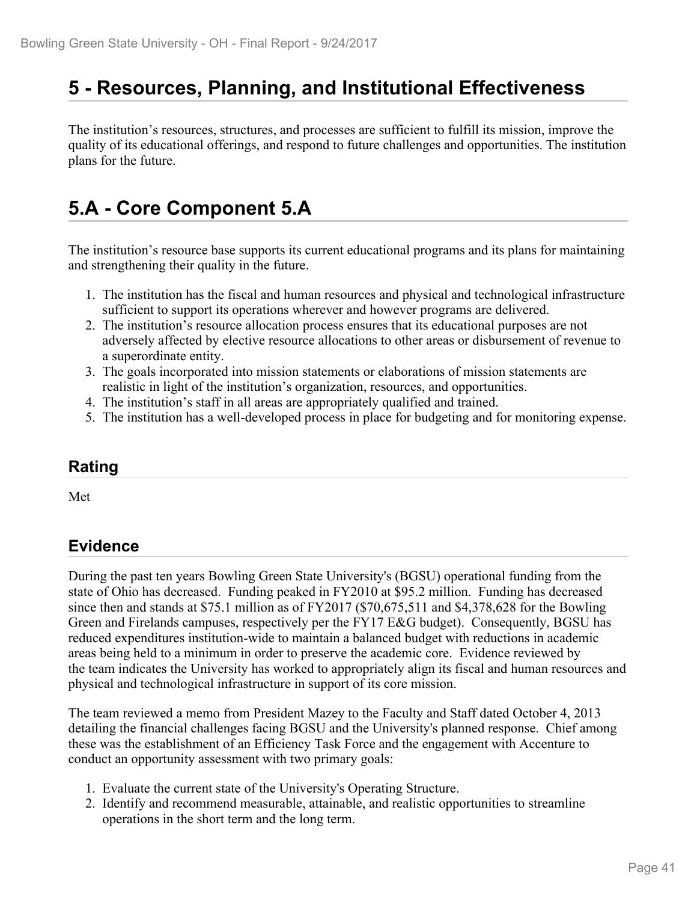## **5 - Resources, Planning, and Institutional Effectiveness**

The institution's resources, structures, and processes are sufficient to fulfill its mission, improve the quality of its educational offerings, and respond to future challenges and opportunities. The institution plans for the future.

## **5.A - Core Component 5.A**

The institution's resource base supports its current educational programs and its plans for maintaining and strengthening their quality in the future.

- 1. The institution has the fiscal and human resources and physical and technological infrastructure sufficient to support its operations wherever and however programs are delivered.
- 2. The institution's resource allocation process ensures that its educational purposes are not adversely affected by elective resource allocations to other areas or disbursement of revenue to a superordinate entity.
- 3. The goals incorporated into mission statements or elaborations of mission statements are realistic in light of the institution's organization, resources, and opportunities.
- 4. The institution's staff in all areas are appropriately qualified and trained.
- 5. The institution has a well-developed process in place for budgeting and for monitoring expense.

#### **Rating**

Met and the state of the state of the state of the state of the state of the state of the state of the state of the state of the state of the state of the state of the state of the state of the state of the state of the st

### **Evidence**

During the past ten years Bowling Green State University's (BGSU) operational funding from the state of Ohio has decreased. Funding peaked in FY2010 at \$95.2 million. Funding has decreased since then and stands at \$75.1 million as of FY2017 (\$70,675,511 and \$4,378,628 for the Bowling Green and Firelands campuses, respectively per the FY17 E&G budget). Consequently, BGSU has reduced expenditures institution-wide to maintain a balanced budget with reductions in academic areas being held to a minimum in order to preserve the academic core. Evidence reviewed by the team indicates the University has worked to appropriately align its fiscal and human resources and physical and technological infrastructure in support of its core mission.

The team reviewed a memo from President Mazey to the Faculty and Staff dated October 4, 2013 detailing the financial challenges facing BGSU and the University's planned response. Chief among these was the establishment of an Efficiency Task Force and the engagement with Accenture to conduct an opportunity assessment with two primary goals:

- 1. Evaluate the current state of the University's Operating Structure.
- 2. Identify and recommend measurable, attainable, and realistic opportunities to streamline operations in the short term and the long term.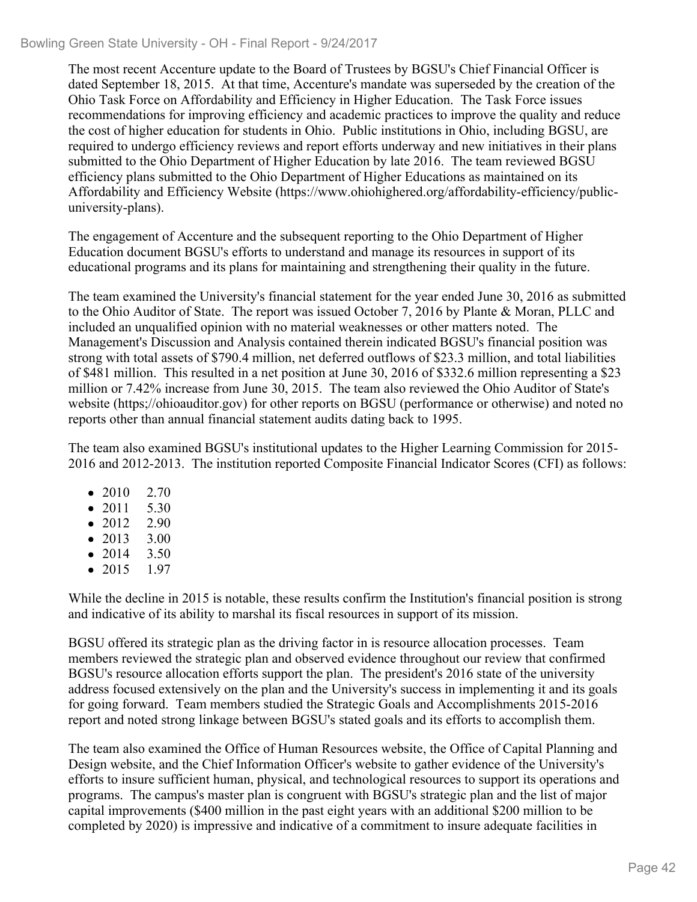#### Bowling Green State University - OH - Final Report - 9/24/2017

The most recent Accenture update to the Board of Trustees by BGSU's Chief Financial Officer is dated September 18, 2015. At that time, Accenture's mandate was superseded by the creation of the Ohio Task Force on Affordability and Efficiency in Higher Education. The Task Force issues recommendations for improving efficiency and academic practices to improve the quality and reduce the cost of higher education for students in Ohio. Public institutions in Ohio, including BGSU, are required to undergo efficiency reviews and report efforts underway and new initiatives in their plans submitted to the Ohio Department of Higher Education by late 2016. The team reviewed BGSU efficiency plans submitted to the Ohio Department of Higher Educations as maintained on its Affordability and Efficiency Website (https://www.ohiohighered.org/affordability-efficiency/publicuniversity-plans).

The engagement of Accenture and the subsequent reporting to the Ohio Department of Higher Education document BGSU's efforts to understand and manage its resources in support of its educational programs and its plans for maintaining and strengthening their quality in the future.

The team examined the University's financial statement for the year ended June 30, 2016 as submitted to the Ohio Auditor of State. The report was issued October 7, 2016 by Plante & Moran, PLLC and included an unqualified opinion with no material weaknesses or other matters noted. The Management's Discussion and Analysis contained therein indicated BGSU's financial position was strong with total assets of \$790.4 million, net deferred outflows of \$23.3 million, and total liabilities of \$481 million. This resulted in a net position at June 30, 2016 of \$332.6 million representing a \$23 million or 7.42% increase from June 30, 2015. The team also reviewed the Ohio Auditor of State's website (https;//ohioauditor.gov) for other reports on BGSU (performance or otherwise) and noted no reports other than annual financial statement audits dating back to 1995.

The team also examined BGSU's institutional updates to the Higher Learning Commission for 2015- 2016 and 2012-2013. The institution reported Composite Financial Indicator Scores (CFI) as follows:

- 2010 2.70
- 2011 5.30
- 2012 2.90
- 2013 3.00
- 2014 3.50
- 2015 1.97

While the decline in 2015 is notable, these results confirm the Institution's financial position is strong and indicative of its ability to marshal its fiscal resources in support of its mission.

BGSU offered its strategic plan as the driving factor in is resource allocation processes. Team members reviewed the strategic plan and observed evidence throughout our review that confirmed BGSU's resource allocation efforts support the plan. The president's 2016 state of the university address focused extensively on the plan and the University's success in implementing it and its goals for going forward. Team members studied the Strategic Goals and Accomplishments 2015-2016 report and noted strong linkage between BGSU's stated goals and its efforts to accomplish them.

The team also examined the Office of Human Resources website, the Office of Capital Planning and Design website, and the Chief Information Officer's website to gather evidence of the University's efforts to insure sufficient human, physical, and technological resources to support its operations and programs. The campus's master plan is congruent with BGSU's strategic plan and the list of major capital improvements (\$400 million in the past eight years with an additional \$200 million to be completed by 2020) is impressive and indicative of a commitment to insure adequate facilities in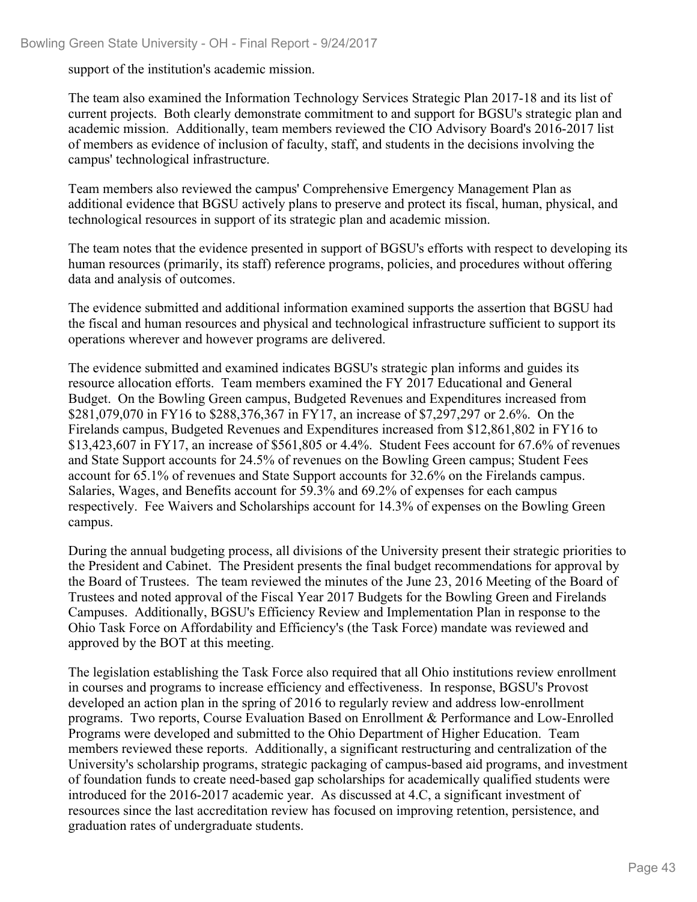support of the institution's academic mission.

The team also examined the Information Technology Services Strategic Plan 2017-18 and its list of current projects. Both clearly demonstrate commitment to and support for BGSU's strategic plan and academic mission. Additionally, team members reviewed the CIO Advisory Board's 2016-2017 list of members as evidence of inclusion of faculty, staff, and students in the decisions involving the campus' technological infrastructure.

Team members also reviewed the campus' Comprehensive Emergency Management Plan as additional evidence that BGSU actively plans to preserve and protect its fiscal, human, physical, and technological resources in support of its strategic plan and academic mission.

The team notes that the evidence presented in support of BGSU's efforts with respect to developing its human resources (primarily, its staff) reference programs, policies, and procedures without offering data and analysis of outcomes.

The evidence submitted and additional information examined supports the assertion that BGSU had the fiscal and human resources and physical and technological infrastructure sufficient to support its operations wherever and however programs are delivered.

The evidence submitted and examined indicates BGSU's strategic plan informs and guides its resource allocation efforts. Team members examined the FY 2017 Educational and General Budget. On the Bowling Green campus, Budgeted Revenues and Expenditures increased from \$281,079,070 in FY16 to \$288,376,367 in FY17, an increase of \$7,297,297 or 2.6%. On the Firelands campus, Budgeted Revenues and Expenditures increased from \$12,861,802 in FY16 to \$13,423,607 in FY17, an increase of \$561,805 or 4.4%. Student Fees account for 67.6% of revenues and State Support accounts for 24.5% of revenues on the Bowling Green campus; Student Fees account for 65.1% of revenues and State Support accounts for 32.6% on the Firelands campus. Salaries, Wages, and Benefits account for 59.3% and 69.2% of expenses for each campus respectively. Fee Waivers and Scholarships account for 14.3% of expenses on the Bowling Green campus.

During the annual budgeting process, all divisions of the University present their strategic priorities to the President and Cabinet. The President presents the final budget recommendations for approval by the Board of Trustees. The team reviewed the minutes of the June 23, 2016 Meeting of the Board of Trustees and noted approval of the Fiscal Year 2017 Budgets for the Bowling Green and Firelands Campuses. Additionally, BGSU's Efficiency Review and Implementation Plan in response to the Ohio Task Force on Affordability and Efficiency's (the Task Force) mandate was reviewed and approved by the BOT at this meeting.

The legislation establishing the Task Force also required that all Ohio institutions review enrollment in courses and programs to increase efficiency and effectiveness. In response, BGSU's Provost developed an action plan in the spring of 2016 to regularly review and address low-enrollment programs. Two reports, Course Evaluation Based on Enrollment & Performance and Low-Enrolled Programs were developed and submitted to the Ohio Department of Higher Education. Team members reviewed these reports. Additionally, a significant restructuring and centralization of the University's scholarship programs, strategic packaging of campus-based aid programs, and investment of foundation funds to create need-based gap scholarships for academically qualified students were introduced for the 2016-2017 academic year. As discussed at 4.C, a significant investment of resources since the last accreditation review has focused on improving retention, persistence, and graduation rates of undergraduate students.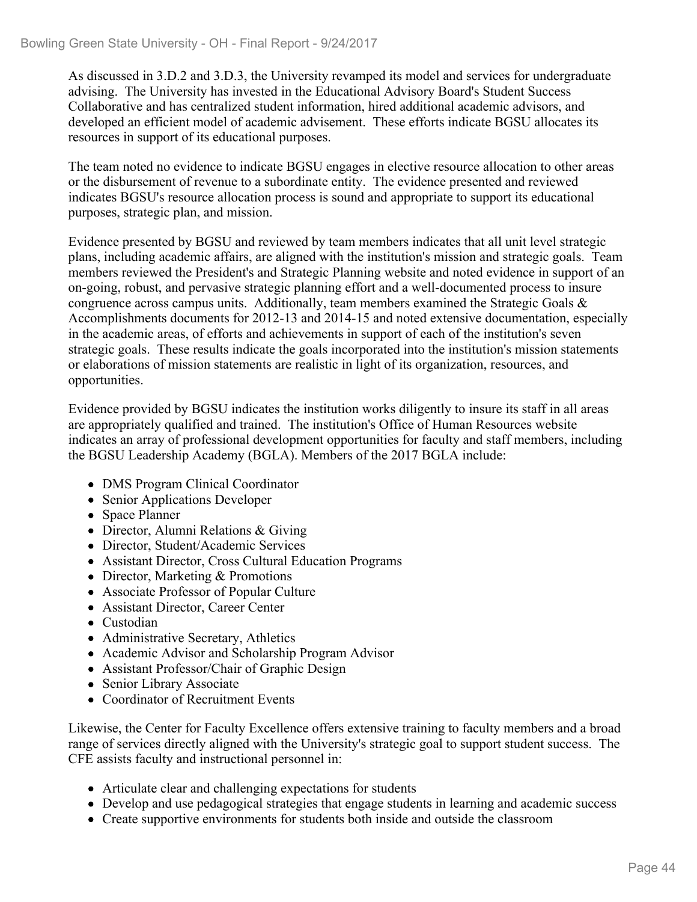As discussed in 3.D.2 and 3.D.3, the University revamped its model and services for undergraduate advising. The University has invested in the Educational Advisory Board's Student Success Collaborative and has centralized student information, hired additional academic advisors, and developed an efficient model of academic advisement. These efforts indicate BGSU allocates its resources in support of its educational purposes.

The team noted no evidence to indicate BGSU engages in elective resource allocation to other areas or the disbursement of revenue to a subordinate entity. The evidence presented and reviewed indicates BGSU's resource allocation process is sound and appropriate to support its educational purposes, strategic plan, and mission.

Evidence presented by BGSU and reviewed by team members indicates that all unit level strategic plans, including academic affairs, are aligned with the institution's mission and strategic goals. Team members reviewed the President's and Strategic Planning website and noted evidence in support of an on-going, robust, and pervasive strategic planning effort and a well-documented process to insure congruence across campus units. Additionally, team members examined the Strategic Goals & Accomplishments documents for 2012-13 and 2014-15 and noted extensive documentation, especially in the academic areas, of efforts and achievements in support of each of the institution's seven strategic goals. These results indicate the goals incorporated into the institution's mission statements or elaborations of mission statements are realistic in light of its organization, resources, and opportunities.

Evidence provided by BGSU indicates the institution works diligently to insure its staff in all areas are appropriately qualified and trained. The institution's Office of Human Resources website indicates an array of professional development opportunities for faculty and staff members, including the BGSU Leadership Academy (BGLA). Members of the 2017 BGLA include:

- DMS Program Clinical Coordinator
- Senior Applications Developer
- Space Planner
- Director, Alumni Relations & Giving
- Director, Student/Academic Services
- Assistant Director, Cross Cultural Education Programs
- Director, Marketing & Promotions
- Associate Professor of Popular Culture
- Assistant Director, Career Center
- Custodian
- Administrative Secretary, Athletics
- Academic Advisor and Scholarship Program Advisor
- Assistant Professor/Chair of Graphic Design
- Senior Library Associate
- Coordinator of Recruitment Events

Likewise, the Center for Faculty Excellence offers extensive training to faculty members and a broad range of services directly aligned with the University's strategic goal to support student success. The CFE assists faculty and instructional personnel in:

- Articulate clear and challenging expectations for students
- Develop and use pedagogical strategies that engage students in learning and academic success
- Create supportive environments for students both inside and outside the classroom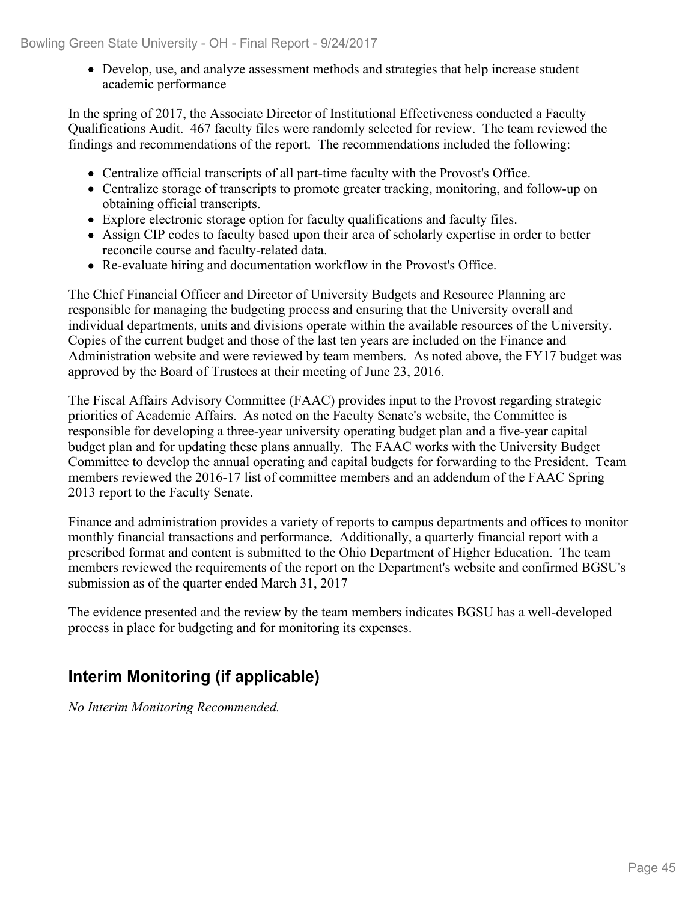Develop, use, and analyze assessment methods and strategies that help increase student academic performance

In the spring of 2017, the Associate Director of Institutional Effectiveness conducted a Faculty Qualifications Audit. 467 faculty files were randomly selected for review. The team reviewed the findings and recommendations of the report. The recommendations included the following:

- Centralize official transcripts of all part-time faculty with the Provost's Office.
- Centralize storage of transcripts to promote greater tracking, monitoring, and follow-up on obtaining official transcripts.
- Explore electronic storage option for faculty qualifications and faculty files.
- Assign CIP codes to faculty based upon their area of scholarly expertise in order to better reconcile course and faculty-related data.
- Re-evaluate hiring and documentation workflow in the Provost's Office.

The Chief Financial Officer and Director of University Budgets and Resource Planning are responsible for managing the budgeting process and ensuring that the University overall and individual departments, units and divisions operate within the available resources of the University. Copies of the current budget and those of the last ten years are included on the Finance and Administration website and were reviewed by team members. As noted above, the FY17 budget was approved by the Board of Trustees at their meeting of June 23, 2016.

The Fiscal Affairs Advisory Committee (FAAC) provides input to the Provost regarding strategic priorities of Academic Affairs. As noted on the Faculty Senate's website, the Committee is responsible for developing a three-year university operating budget plan and a five-year capital budget plan and for updating these plans annually. The FAAC works with the University Budget Committee to develop the annual operating and capital budgets for forwarding to the President. Team members reviewed the 2016-17 list of committee members and an addendum of the FAAC Spring 2013 report to the Faculty Senate.

Finance and administration provides a variety of reports to campus departments and offices to monitor monthly financial transactions and performance. Additionally, a quarterly financial report with a prescribed format and content is submitted to the Ohio Department of Higher Education. The team members reviewed the requirements of the report on the Department's website and confirmed BGSU's submission as of the quarter ended March 31, 2017

The evidence presented and the review by the team members indicates BGSU has a well-developed process in place for budgeting and for monitoring its expenses.

## **Interim Monitoring (if applicable)**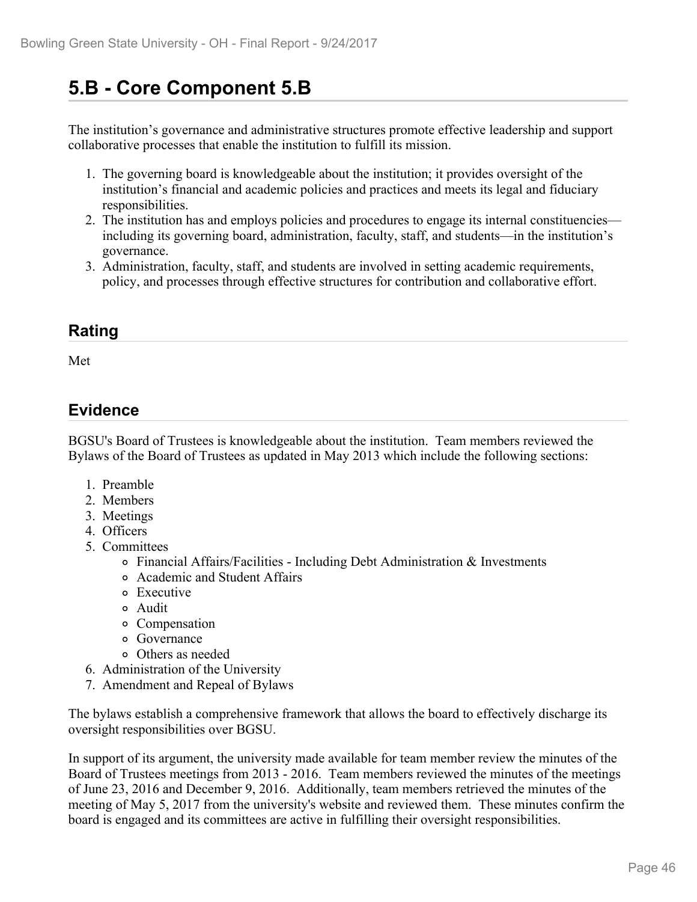# **5.B - Core Component 5.B**

The institution's governance and administrative structures promote effective leadership and support collaborative processes that enable the institution to fulfill its mission.

- 1. The governing board is knowledgeable about the institution; it provides oversight of the institution's financial and academic policies and practices and meets its legal and fiduciary responsibilities.
- 2. The institution has and employs policies and procedures to engage its internal constituencies including its governing board, administration, faculty, staff, and students—in the institution's governance.
- 3. Administration, faculty, staff, and students are involved in setting academic requirements, policy, and processes through effective structures for contribution and collaborative effort.

### **Rating**

Met and the state of the state of the state of the state of the state of the state of the state of the state of the state of the state of the state of the state of the state of the state of the state of the state of the st

### **Evidence**

BGSU's Board of Trustees is knowledgeable about the institution. Team members reviewed the Bylaws of the Board of Trustees as updated in May 2013 which include the following sections:

- 1. Preamble
- 2. Members
- 3. Meetings
- 4. Officers
- 5. Committees
	- $\circ$  Financial Affairs/Facilities Including Debt Administration & Investments
	- Academic and Student Affairs
	- Executive
	- Audit
	- Compensation
	- Governance
	- Others as needed
- 6. Administration of the University
- 7. Amendment and Repeal of Bylaws

The bylaws establish a comprehensive framework that allows the board to effectively discharge its oversight responsibilities over BGSU.

In support of its argument, the university made available for team member review the minutes of the Board of Trustees meetings from 2013 - 2016. Team members reviewed the minutes of the meetings of June 23, 2016 and December 9, 2016. Additionally, team members retrieved the minutes of the meeting of May 5, 2017 from the university's website and reviewed them. These minutes confirm the board is engaged and its committees are active in fulfilling their oversight responsibilities.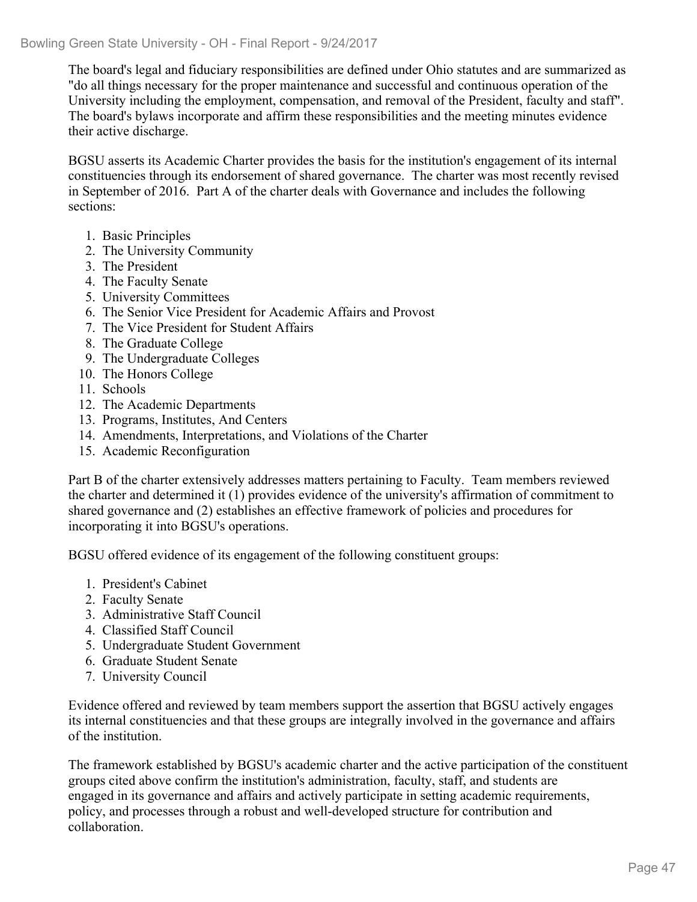The board's legal and fiduciary responsibilities are defined under Ohio statutes and are summarized as "do all things necessary for the proper maintenance and successful and continuous operation of the University including the employment, compensation, and removal of the President, faculty and staff". The board's bylaws incorporate and affirm these responsibilities and the meeting minutes evidence their active discharge.

BGSU asserts its Academic Charter provides the basis for the institution's engagement of its internal constituencies through its endorsement of shared governance. The charter was most recently revised in September of 2016. Part A of the charter deals with Governance and includes the following sections:

- 1. Basic Principles
- 2. The University Community
- 3. The President
- 4. The Faculty Senate
- 5. University Committees
- 6. The Senior Vice President for Academic Affairs and Provost
- 7. The Vice President for Student Affairs
- 8. The Graduate College
- 9. The Undergraduate Colleges
- 10. The Honors College
- 11. Schools
- 12. The Academic Departments
- 13. Programs, Institutes, And Centers
- 14. Amendments, Interpretations, and Violations of the Charter
- 15. Academic Reconfiguration

Part B of the charter extensively addresses matters pertaining to Faculty. Team members reviewed the charter and determined it (1) provides evidence of the university's affirmation of commitment to shared governance and (2) establishes an effective framework of policies and procedures for incorporating it into BGSU's operations.

BGSU offered evidence of its engagement of the following constituent groups:

- 1. President's Cabinet
- 2. Faculty Senate
- 3. Administrative Staff Council
- 4. Classified Staff Council
- 5. Undergraduate Student Government
- 6. Graduate Student Senate
- 7. University Council

Evidence offered and reviewed by team members support the assertion that BGSU actively engages its internal constituencies and that these groups are integrally involved in the governance and affairs of the institution.

The framework established by BGSU's academic charter and the active participation of the constituent groups cited above confirm the institution's administration, faculty, staff, and students are engaged in its governance and affairs and actively participate in setting academic requirements, policy, and processes through a robust and well-developed structure for contribution and collaboration.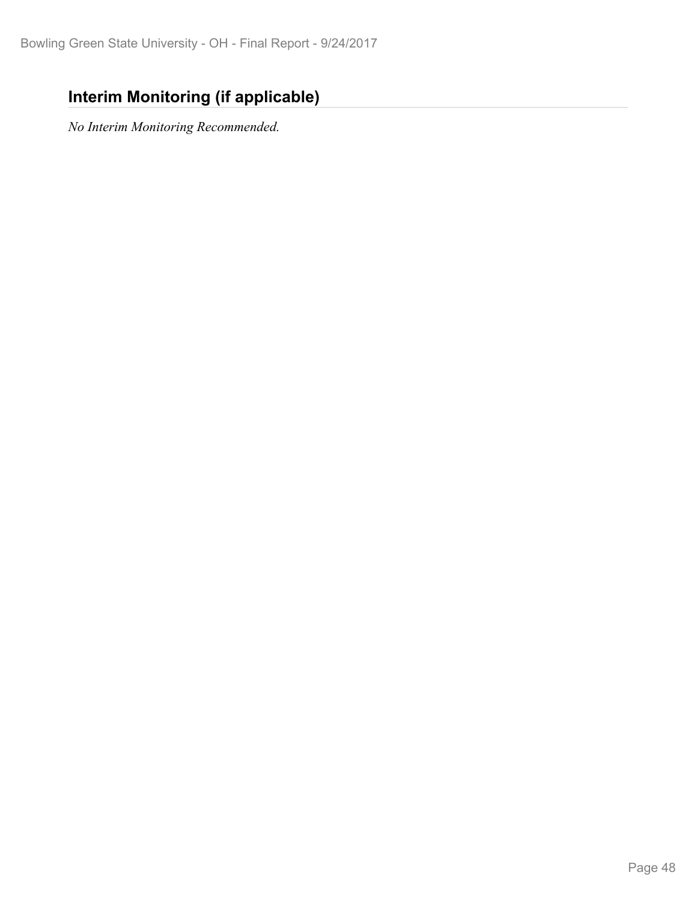## **Interim Monitoring (if applicable)**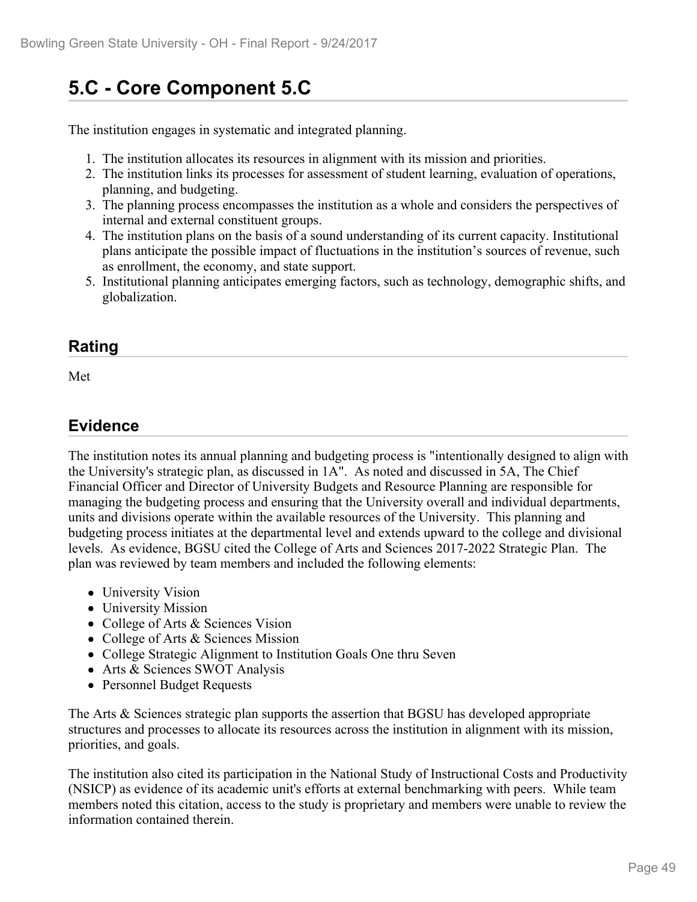# **5.C - Core Component 5.C**

The institution engages in systematic and integrated planning.

- 1. The institution allocates its resources in alignment with its mission and priorities.
- 2. The institution links its processes for assessment of student learning, evaluation of operations, planning, and budgeting.
- 3. The planning process encompasses the institution as a whole and considers the perspectives of internal and external constituent groups.
- 4. The institution plans on the basis of a sound understanding of its current capacity. Institutional plans anticipate the possible impact of fluctuations in the institution's sources of revenue, such as enrollment, the economy, and state support.
- 5. Institutional planning anticipates emerging factors, such as technology, demographic shifts, and globalization.

### **Rating**

Met and the state of the state of the state of the state of the state of the state of the state of the state of the state of the state of the state of the state of the state of the state of the state of the state of the st

## **Evidence**

The institution notes its annual planning and budgeting process is "intentionally designed to align with the University's strategic plan, as discussed in 1A". As noted and discussed in 5A, The Chief Financial Officer and Director of University Budgets and Resource Planning are responsible for managing the budgeting process and ensuring that the University overall and individual departments, units and divisions operate within the available resources of the University. This planning and budgeting process initiates at the departmental level and extends upward to the college and divisional levels. As evidence, BGSU cited the College of Arts and Sciences 2017-2022 Strategic Plan. The plan was reviewed by team members and included the following elements:

- University Vision
- University Mission
- College of Arts & Sciences Vision
- College of Arts & Sciences Mission
- College Strategic Alignment to Institution Goals One thru Seven
- Arts & Sciences SWOT Analysis
- Personnel Budget Requests

The Arts & Sciences strategic plan supports the assertion that BGSU has developed appropriate structures and processes to allocate its resources across the institution in alignment with its mission, priorities, and goals.

The institution also cited its participation in the National Study of Instructional Costs and Productivity (NSICP) as evidence of its academic unit's efforts at external benchmarking with peers. While team members noted this citation, access to the study is proprietary and members were unable to review the information contained therein.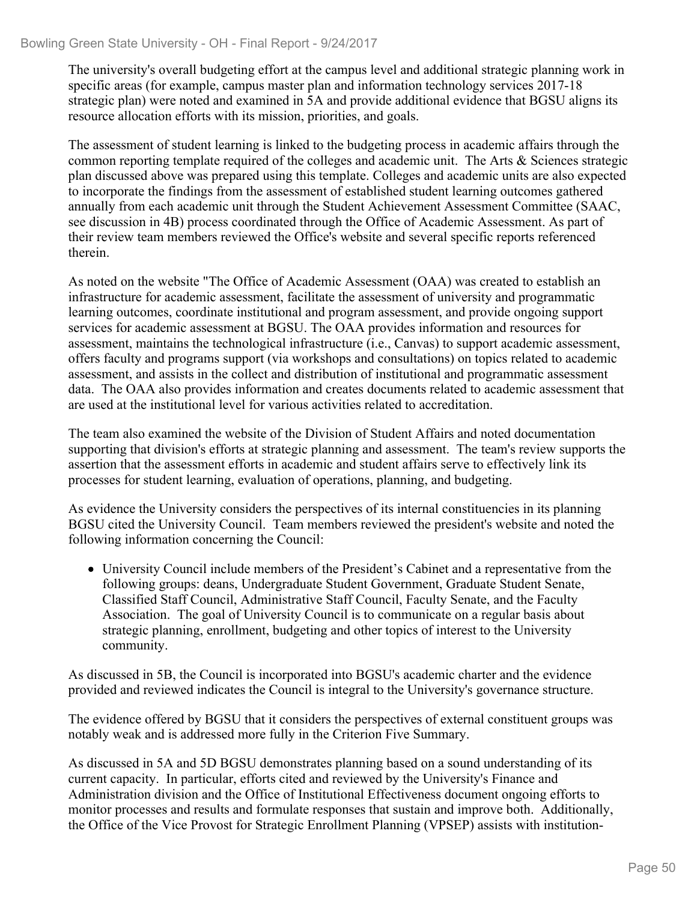The university's overall budgeting effort at the campus level and additional strategic planning work in specific areas (for example, campus master plan and information technology services 2017-18 strategic plan) were noted and examined in 5A and provide additional evidence that BGSU aligns its resource allocation efforts with its mission, priorities, and goals.

The assessment of student learning is linked to the budgeting process in academic affairs through the common reporting template required of the colleges and academic unit. The Arts & Sciences strategic plan discussed above was prepared using this template. Colleges and academic units are also expected to incorporate the findings from the assessment of established student learning outcomes gathered annually from each academic unit through the Student Achievement Assessment Committee (SAAC, see discussion in 4B) process coordinated through the Office of Academic Assessment. As part of their review team members reviewed the Office's website and several specific reports referenced therein.

As noted on the website "The Office of Academic Assessment (OAA) was created to establish an infrastructure for academic assessment, facilitate the assessment of university and programmatic learning outcomes, coordinate institutional and program assessment, and provide ongoing support services for academic assessment at BGSU. The OAA provides information and resources for assessment, maintains the technological infrastructure (i.e., Canvas) to support academic assessment, offers faculty and programs support (via workshops and consultations) on topics related to academic assessment, and assists in the collect and distribution of institutional and programmatic assessment data. The OAA also provides information and creates documents related to academic assessment that are used at the institutional level for various activities related to accreditation.

The team also examined the website of the Division of Student Affairs and noted documentation supporting that division's efforts at strategic planning and assessment. The team's review supports the assertion that the assessment efforts in academic and student affairs serve to effectively link its processes for student learning, evaluation of operations, planning, and budgeting.

As evidence the University considers the perspectives of its internal constituencies in its planning BGSU cited the University Council. Team members reviewed the president's website and noted the following information concerning the Council:

University Council include members of the President's Cabinet and a representative from the following groups: deans, Undergraduate Student Government, Graduate Student Senate, Classified Staff Council, Administrative Staff Council, Faculty Senate, and the Faculty Association. The goal of University Council is to communicate on a regular basis about strategic planning, enrollment, budgeting and other topics of interest to the University community.

As discussed in 5B, the Council is incorporated into BGSU's academic charter and the evidence provided and reviewed indicates the Council is integral to the University's governance structure.

The evidence offered by BGSU that it considers the perspectives of external constituent groups was notably weak and is addressed more fully in the Criterion Five Summary.

As discussed in 5A and 5D BGSU demonstrates planning based on a sound understanding of its current capacity. In particular, efforts cited and reviewed by the University's Finance and Administration division and the Office of Institutional Effectiveness document ongoing efforts to monitor processes and results and formulate responses that sustain and improve both. Additionally, the Office of the Vice Provost for Strategic Enrollment Planning (VPSEP) assists with institution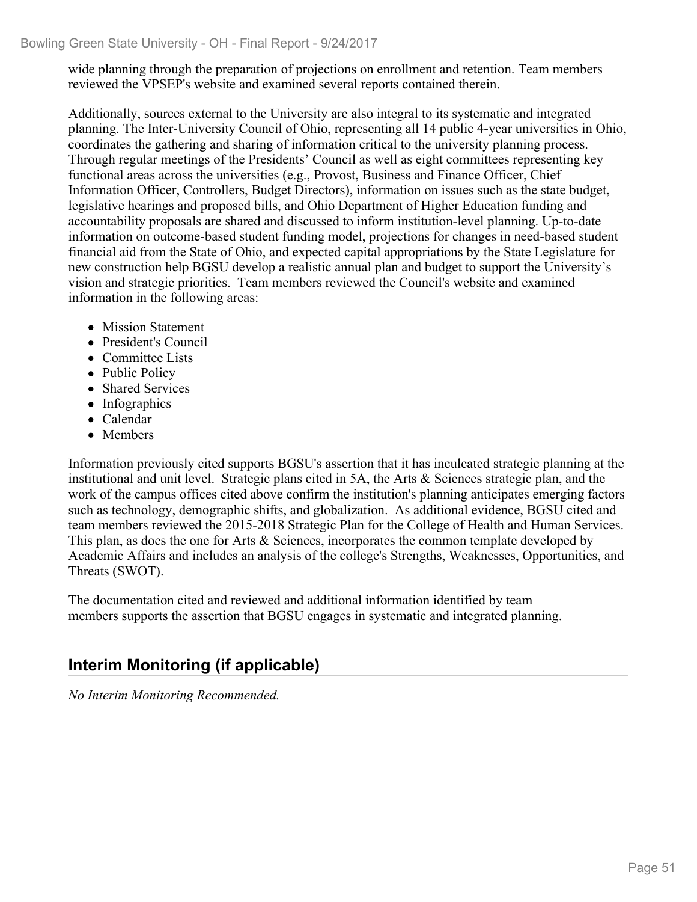wide planning through the preparation of projections on enrollment and retention. Team members reviewed the VPSEP's website and examined several reports contained therein.

Additionally, sources external to the University are also integral to its systematic and integrated planning. The Inter-University Council of Ohio, representing all 14 public 4-year universities in Ohio, coordinates the gathering and sharing of information critical to the university planning process. Through regular meetings of the Presidents' Council as well as eight committees representing key functional areas across the universities (e.g., Provost, Business and Finance Officer, Chief Information Officer, Controllers, Budget Directors), information on issues such as the state budget, legislative hearings and proposed bills, and Ohio Department of Higher Education funding and accountability proposals are shared and discussed to inform institution-level planning. Up-to-date information on outcome-based student funding model, projections for changes in need-based student financial aid from the State of Ohio, and expected capital appropriations by the State Legislature for new construction help BGSU develop a realistic annual plan and budget to support the University's vision and strategic priorities. Team members reviewed the Council's website and examined information in the following areas:

- Mission Statement
- President's Council
- Committee Lists
- Public Policy
- Shared Services
- Infographics
- Calendar
- Members

Information previously cited supports BGSU's assertion that it has inculcated strategic planning at the institutional and unit level. Strategic plans cited in 5A, the Arts & Sciences strategic plan, and the work of the campus offices cited above confirm the institution's planning anticipates emerging factors such as technology, demographic shifts, and globalization. As additional evidence, BGSU cited and team members reviewed the 2015-2018 Strategic Plan for the College of Health and Human Services. This plan, as does the one for Arts & Sciences, incorporates the common template developed by Academic Affairs and includes an analysis of the college's Strengths, Weaknesses, Opportunities, and Threats (SWOT).

The documentation cited and reviewed and additional information identified by team members supports the assertion that BGSU engages in systematic and integrated planning.

## **Interim Monitoring (if applicable)**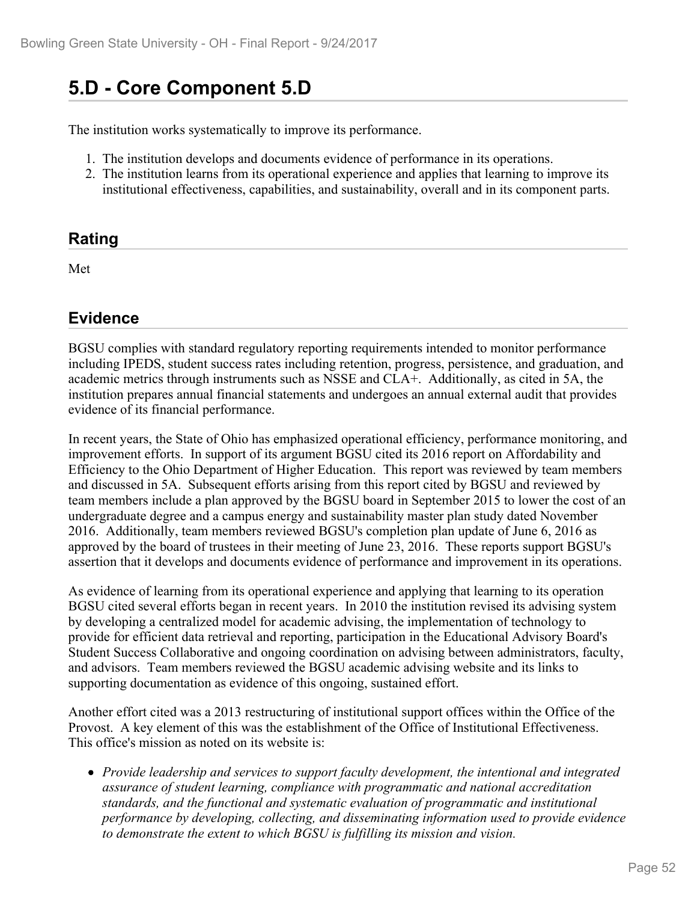## **5.D - Core Component 5.D**

The institution works systematically to improve its performance.

- 1. The institution develops and documents evidence of performance in its operations.
- 2. The institution learns from its operational experience and applies that learning to improve its institutional effectiveness, capabilities, and sustainability, overall and in its component parts.

#### **Rating**

Met and the state of the state of the state of the state of the state of the state of the state of the state of the state of the state of the state of the state of the state of the state of the state of the state of the st

#### **Evidence**

BGSU complies with standard regulatory reporting requirements intended to monitor performance including IPEDS, student success rates including retention, progress, persistence, and graduation, and academic metrics through instruments such as NSSE and CLA+. Additionally, as cited in 5A, the institution prepares annual financial statements and undergoes an annual external audit that provides evidence of its financial performance.

In recent years, the State of Ohio has emphasized operational efficiency, performance monitoring, and improvement efforts. In support of its argument BGSU cited its 2016 report on Affordability and Efficiency to the Ohio Department of Higher Education. This report was reviewed by team members and discussed in 5A. Subsequent efforts arising from this report cited by BGSU and reviewed by team members include a plan approved by the BGSU board in September 2015 to lower the cost of an undergraduate degree and a campus energy and sustainability master plan study dated November 2016. Additionally, team members reviewed BGSU's completion plan update of June 6, 2016 as approved by the board of trustees in their meeting of June 23, 2016. These reports support BGSU's assertion that it develops and documents evidence of performance and improvement in its operations.

As evidence of learning from its operational experience and applying that learning to its operation BGSU cited several efforts began in recent years. In 2010 the institution revised its advising system by developing a centralized model for academic advising, the implementation of technology to provide for efficient data retrieval and reporting, participation in the Educational Advisory Board's Student Success Collaborative and ongoing coordination on advising between administrators, faculty, and advisors. Team members reviewed the BGSU academic advising website and its links to supporting documentation as evidence of this ongoing, sustained effort.

Another effort cited was a 2013 restructuring of institutional support offices within the Office of the Provost. A key element of this was the establishment of the Office of Institutional Effectiveness. This office's mission as noted on its website is:

*Provide leadership and services to support faculty development, the intentional and integrated assurance of student learning, compliance with programmatic and national accreditation standards, and the functional and systematic evaluation of programmatic and institutional performance by developing, collecting, and disseminating information used to provide evidence to demonstrate the extent to which BGSU is fulfilling its mission and vision.*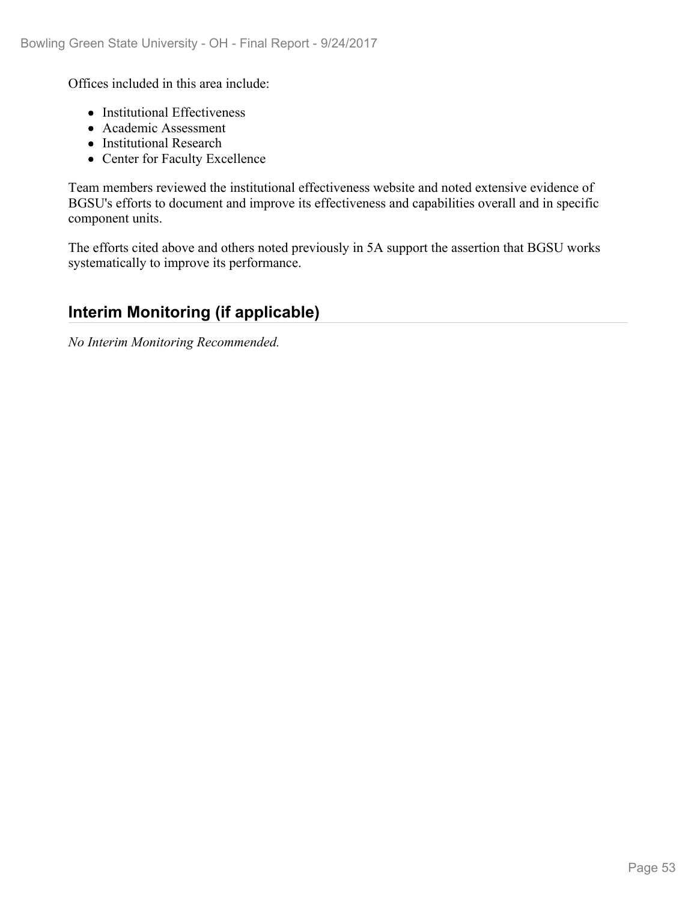Offices included in this area include:

- Institutional Effectiveness
- Academic Assessment
- Institutional Research
- Center for Faculty Excellence

Team members reviewed the institutional effectiveness website and noted extensive evidence of BGSU's efforts to document and improve its effectiveness and capabilities overall and in specific component units.

The efforts cited above and others noted previously in 5A support the assertion that BGSU works systematically to improve its performance.

## **Interim Monitoring (if applicable)**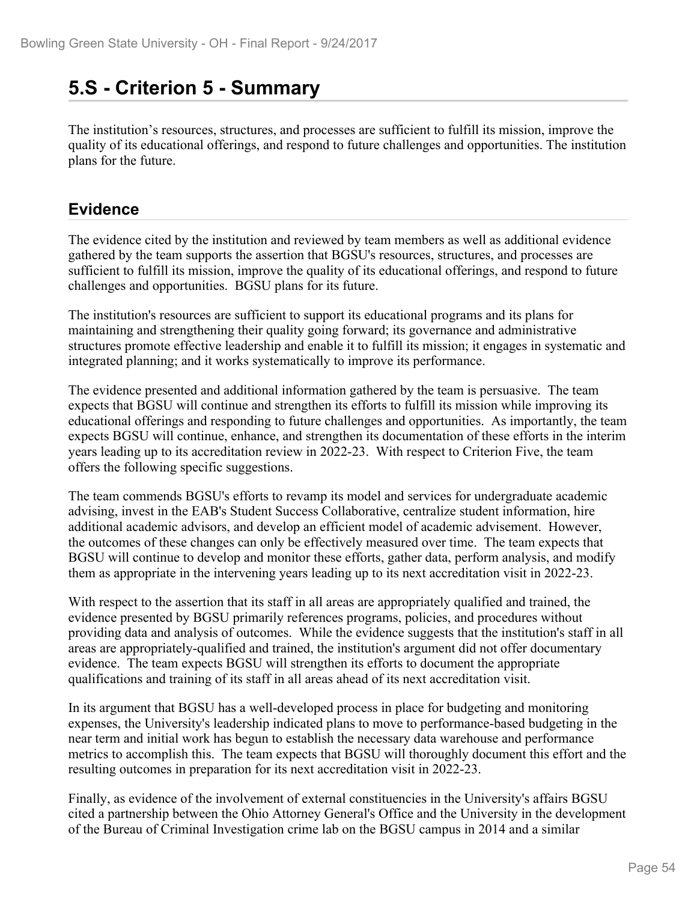## **5.S - Criterion 5 - Summary**

The institution's resources, structures, and processes are sufficient to fulfill its mission, improve the quality of its educational offerings, and respond to future challenges and opportunities. The institution plans for the future.

### **Evidence**

The evidence cited by the institution and reviewed by team members as well as additional evidence gathered by the team supports the assertion that BGSU's resources, structures, and processes are sufficient to fulfill its mission, improve the quality of its educational offerings, and respond to future challenges and opportunities. BGSU plans for its future.

The institution's resources are sufficient to support its educational programs and its plans for maintaining and strengthening their quality going forward; its governance and administrative structures promote effective leadership and enable it to fulfill its mission; it engages in systematic and integrated planning; and it works systematically to improve its performance.

The evidence presented and additional information gathered by the team is persuasive. The team expects that BGSU will continue and strengthen its efforts to fulfill its mission while improving its educational offerings and responding to future challenges and opportunities. As importantly, the team expects BGSU will continue, enhance, and strengthen its documentation of these efforts in the interim years leading up to its accreditation review in 2022-23. With respect to Criterion Five, the team offers the following specific suggestions.

The team commends BGSU's efforts to revamp its model and services for undergraduate academic advising, invest in the EAB's Student Success Collaborative, centralize student information, hire additional academic advisors, and develop an efficient model of academic advisement. However, the outcomes of these changes can only be effectively measured over time. The team expects that BGSU will continue to develop and monitor these efforts, gather data, perform analysis, and modify them as appropriate in the intervening years leading up to its next accreditation visit in 2022-23.

With respect to the assertion that its staff in all areas are appropriately qualified and trained, the evidence presented by BGSU primarily references programs, policies, and procedures without providing data and analysis of outcomes. While the evidence suggests that the institution's staff in all areas are appropriately-qualified and trained, the institution's argument did not offer documentary evidence. The team expects BGSU will strengthen its efforts to document the appropriate qualifications and training of its staff in all areas ahead of its next accreditation visit.

In its argument that BGSU has a well-developed process in place for budgeting and monitoring expenses, the University's leadership indicated plans to move to performance-based budgeting in the near term and initial work has begun to establish the necessary data warehouse and performance metrics to accomplish this. The team expects that BGSU will thoroughly document this effort and the resulting outcomes in preparation for its next accreditation visit in 2022-23.

Finally, as evidence of the involvement of external constituencies in the University's affairs BGSU cited a partnership between the Ohio Attorney General's Office and the University in the development of the Bureau of Criminal Investigation crime lab on the BGSU campus in 2014 and a similar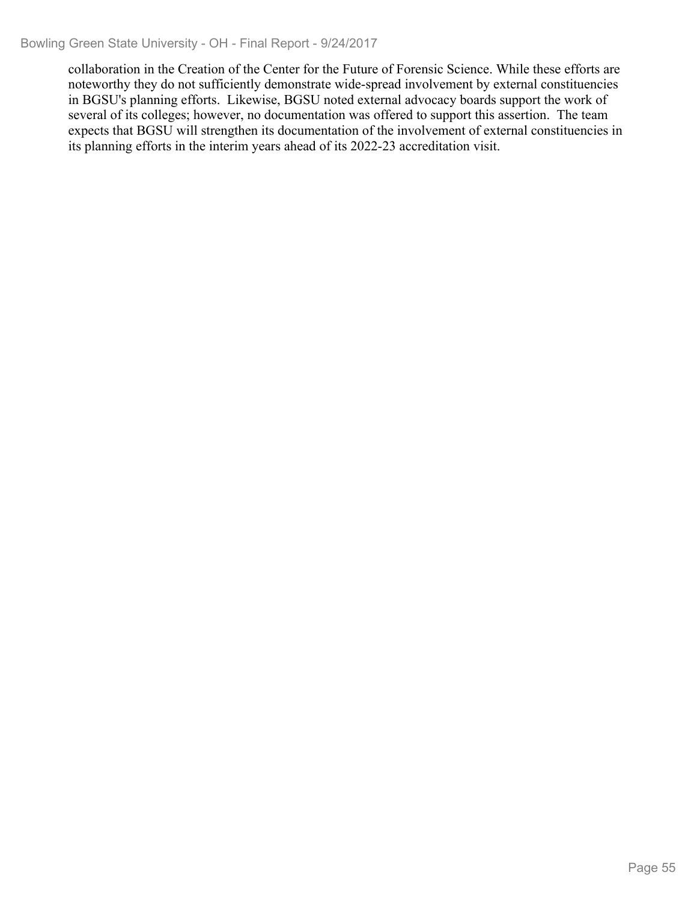collaboration in the Creation of the Center for the Future of Forensic Science. While these efforts are noteworthy they do not sufficiently demonstrate wide-spread involvement by external constituencies in BGSU's planning efforts. Likewise, BGSU noted external advocacy boards support the work of several of its colleges; however, no documentation was offered to support this assertion. The team expects that BGSU will strengthen its documentation of the involvement of external constituencies in its planning efforts in the interim years ahead of its 2022-23 accreditation visit.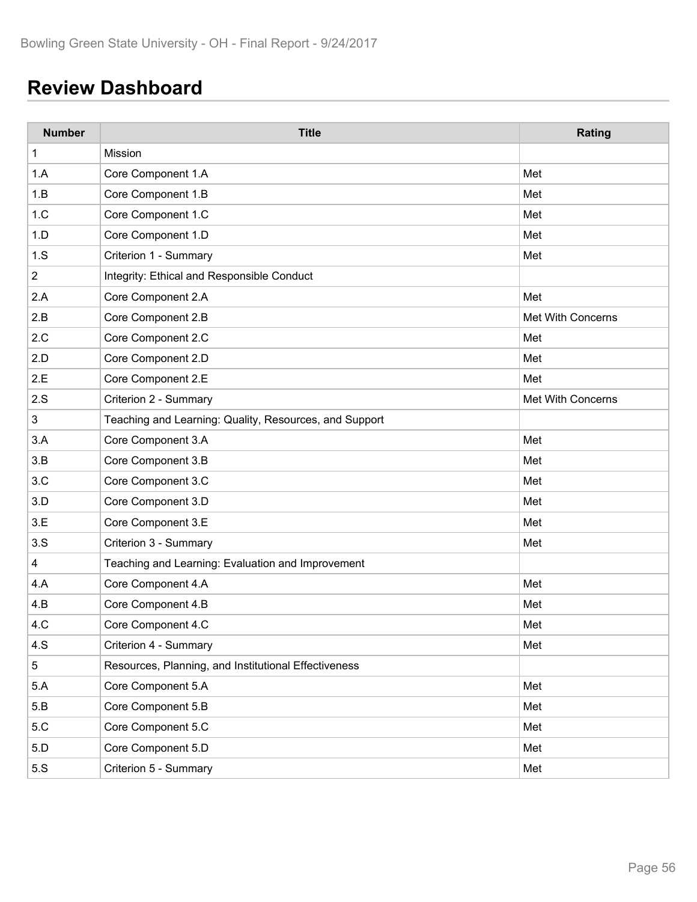# **Review Dashboard**

| <b>Number</b>  | <b>Title</b>                                           | Rating            |
|----------------|--------------------------------------------------------|-------------------|
| 1              | Mission                                                |                   |
| 1.A            | Core Component 1.A                                     | Met               |
| 1.B            | Core Component 1.B                                     | Met               |
| 1.C            | Core Component 1.C                                     | Met               |
| 1.D            | Core Component 1.D                                     | Met               |
| 1.S            | Criterion 1 - Summary                                  | Met               |
| $\overline{c}$ | Integrity: Ethical and Responsible Conduct             |                   |
| 2.A            | Core Component 2.A                                     | Met               |
| 2.B            | Core Component 2.B                                     | Met With Concerns |
| 2.C            | Core Component 2.C                                     | Met               |
| 2.D            | Core Component 2.D                                     | Met               |
| 2.E            | Core Component 2.E                                     | Met               |
| 2.S            | Criterion 2 - Summary                                  | Met With Concerns |
| $\mathsf 3$    | Teaching and Learning: Quality, Resources, and Support |                   |
| 3.A            | Core Component 3.A                                     | Met               |
| 3.B            | Core Component 3.B                                     | Met               |
| 3.C            | Core Component 3.C                                     | Met               |
| 3.D            | Core Component 3.D                                     | Met               |
| 3.E            | Core Component 3.E                                     | Met               |
| 3.S            | Criterion 3 - Summary                                  | Met               |
| 4              | Teaching and Learning: Evaluation and Improvement      |                   |
| 4.A            | Core Component 4.A                                     | Met               |
| 4.B            | Core Component 4.B                                     | Met               |
| 4.C            | Core Component 4.C                                     | Met               |
| 4.S            | Criterion 4 - Summary                                  | Met               |
| $\overline{5}$ | Resources, Planning, and Institutional Effectiveness   |                   |
| 5.A            | Core Component 5.A                                     | Met               |
| 5.B            | Core Component 5.B                                     | Met               |
| 5.C            | Core Component 5.C                                     | Met               |
| 5.D            | Core Component 5.D                                     | Met               |
| 5.S            | Criterion 5 - Summary                                  | Met               |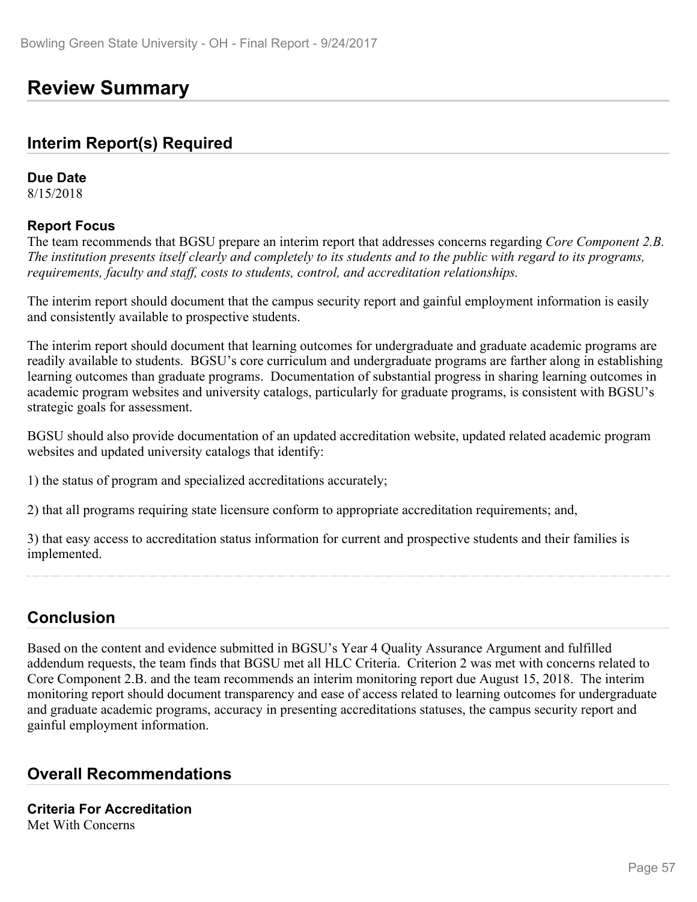## **Review Summary**

#### **Interim Report(s) Required**

#### **Due Date**

8/15/2018

#### **Report Focus**

The team recommends that BGSU prepare an interim report that addresses concerns regarding *Core Component 2.B. The institution presents itself clearly and completely to its students and to the public with regard to its programs, requirements, faculty and staff, costs to students, control, and accreditation relationships.*

The interim report should document that the campus security report and gainful employment information is easily and consistently available to prospective students.

The interim report should document that learning outcomes for undergraduate and graduate academic programs are readily available to students. BGSU's core curriculum and undergraduate programs are farther along in establishing learning outcomes than graduate programs. Documentation of substantial progress in sharing learning outcomes in academic program websites and university catalogs, particularly for graduate programs, is consistent with BGSU's strategic goals for assessment.

BGSU should also provide documentation of an updated accreditation website, updated related academic program websites and updated university catalogs that identify:

1) the status of program and specialized accreditations accurately;

2) that all programs requiring state licensure conform to appropriate accreditation requirements; and,

3) that easy access to accreditation status information for current and prospective students and their families is implemented.

## **Conclusion**

Based on the content and evidence submitted in BGSU's Year 4 Quality Assurance Argument and fulfilled addendum requests, the team finds that BGSU met all HLC Criteria. Criterion 2 was met with concerns related to Core Component 2.B. and the team recommends an interim monitoring report due August 15, 2018. The interim monitoring report should document transparency and ease of access related to learning outcomes for undergraduate and graduate academic programs, accuracy in presenting accreditations statuses, the campus security report and gainful employment information.

### **Overall Recommendations**

#### **Criteria For Accreditation** Met With Concerns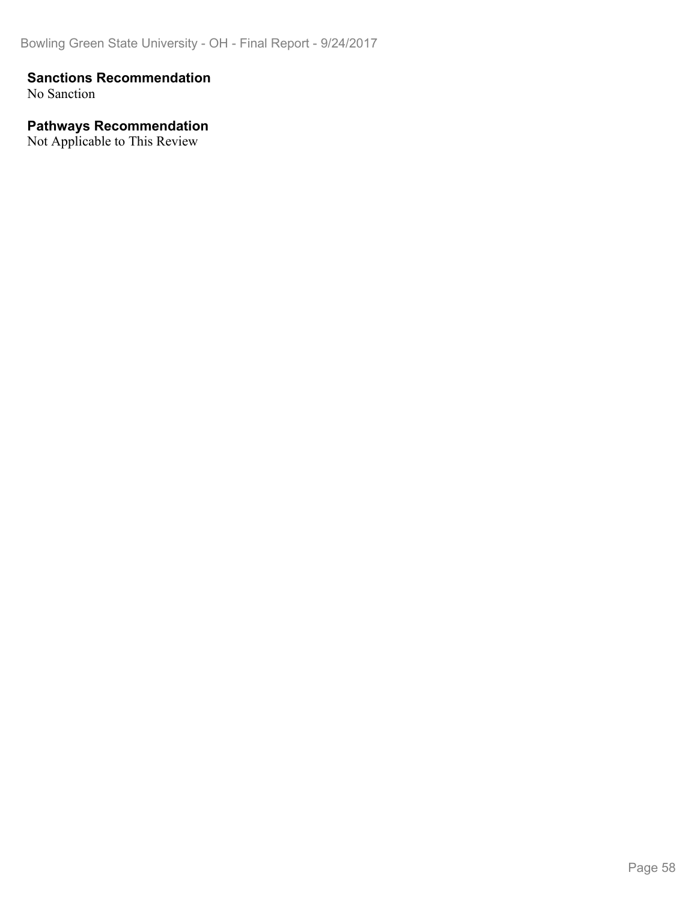#### **Sanctions Recommendation**

No Sanction

#### **Pathways Recommendation**

Not Applicable to This Review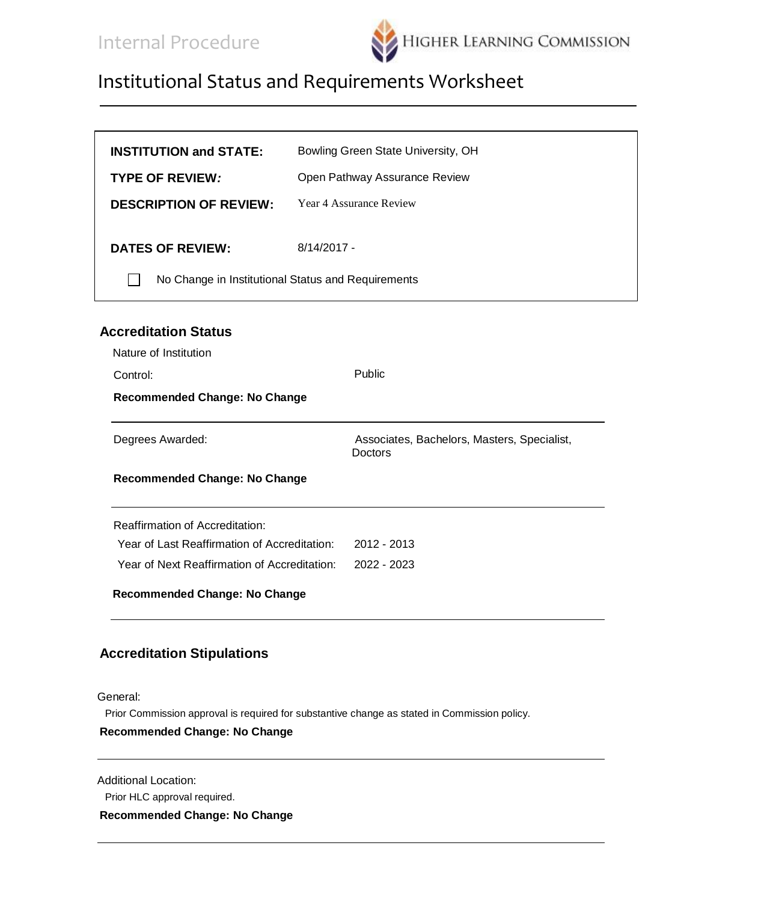

| <b>INSTITUTION and STATE:</b>                      | Bowling Green State University, OH |
|----------------------------------------------------|------------------------------------|
| <b>TYPE OF REVIEW:</b>                             | Open Pathway Assurance Review      |
| <b>DESCRIPTION OF REVIEW:</b>                      | Year 4 Assurance Review            |
| <b>DATES OF REVIEW:</b>                            | $8/14/2017 -$                      |
| No Change in Institutional Status and Requirements |                                    |
|                                                    |                                    |

#### **Accreditation Status**

| Nature of Institution                        |                                                        |
|----------------------------------------------|--------------------------------------------------------|
| Control:                                     | <b>Public</b>                                          |
| <b>Recommended Change: No Change</b>         |                                                        |
| Degrees Awarded:                             | Associates, Bachelors, Masters, Specialist,<br>Doctors |
| <b>Recommended Change: No Change</b>         |                                                        |
| <b>Reaffirmation of Accreditation:</b>       |                                                        |
| Year of Last Reaffirmation of Accreditation: | $2012 - 2013$                                          |
| Year of Next Reaffirmation of Accreditation: | 2022 - 2023                                            |
| <b>Recommended Change: No Change</b>         |                                                        |

#### **Accreditation Stipulations**

General:

Prior Commission approval is required for substantive change as stated in Commission policy.

#### **Recommended Change: No Change**

Additional Location:

Prior HLC approval required.

**Recommended Change: No Change**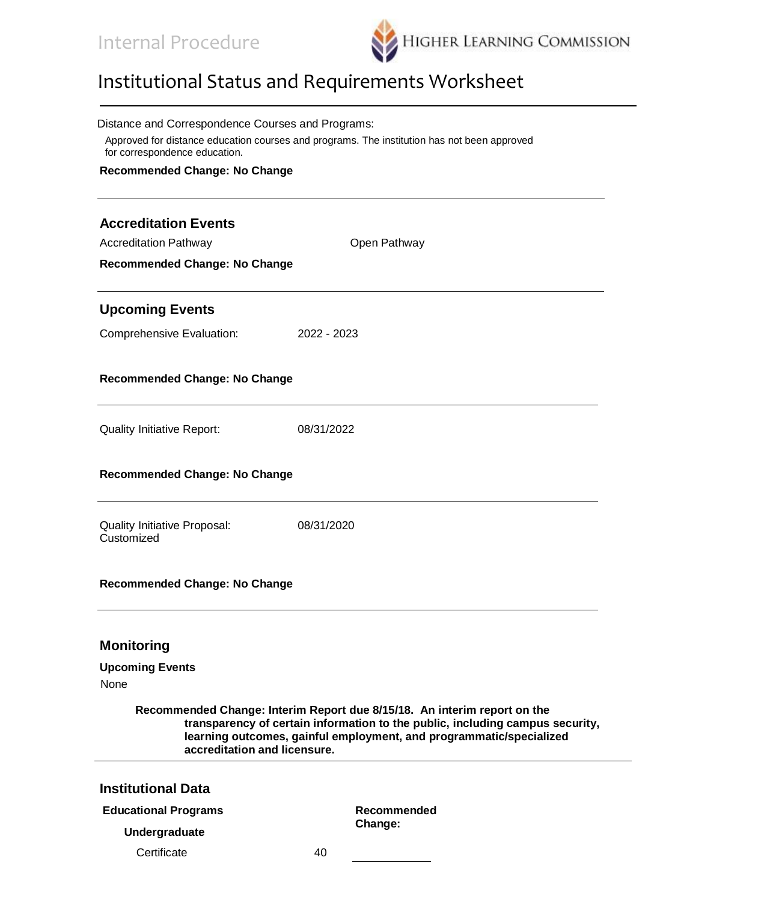

| Distance and Correspondence Courses and Programs:<br>Approved for distance education courses and programs. The institution has not been approved<br>for correspondence education.                                                                                |             |              |  |  |  |  |  |
|------------------------------------------------------------------------------------------------------------------------------------------------------------------------------------------------------------------------------------------------------------------|-------------|--------------|--|--|--|--|--|
| <b>Recommended Change: No Change</b>                                                                                                                                                                                                                             |             |              |  |  |  |  |  |
| <b>Accreditation Events</b>                                                                                                                                                                                                                                      |             |              |  |  |  |  |  |
| <b>Accreditation Pathway</b>                                                                                                                                                                                                                                     |             | Open Pathway |  |  |  |  |  |
| <b>Recommended Change: No Change</b>                                                                                                                                                                                                                             |             |              |  |  |  |  |  |
| <b>Upcoming Events</b>                                                                                                                                                                                                                                           |             |              |  |  |  |  |  |
| <b>Comprehensive Evaluation:</b>                                                                                                                                                                                                                                 | 2022 - 2023 |              |  |  |  |  |  |
| <b>Recommended Change: No Change</b>                                                                                                                                                                                                                             |             |              |  |  |  |  |  |
| <b>Quality Initiative Report:</b>                                                                                                                                                                                                                                | 08/31/2022  |              |  |  |  |  |  |
| <b>Recommended Change: No Change</b>                                                                                                                                                                                                                             |             |              |  |  |  |  |  |
| <b>Quality Initiative Proposal:</b><br>Customized                                                                                                                                                                                                                | 08/31/2020  |              |  |  |  |  |  |
| <b>Recommended Change: No Change</b>                                                                                                                                                                                                                             |             |              |  |  |  |  |  |
| <b>Monitoring</b>                                                                                                                                                                                                                                                |             |              |  |  |  |  |  |
| <b>Upcoming Events</b><br><b>None</b>                                                                                                                                                                                                                            |             |              |  |  |  |  |  |
| Recommended Change: Interim Report due 8/15/18. An interim report on the<br>transparency of certain information to the public, including campus security,<br>learning outcomes, gainful employment, and programmatic/specialized<br>accreditation and licensure. |             |              |  |  |  |  |  |
| <b>Institutional Data</b>                                                                                                                                                                                                                                        |             |              |  |  |  |  |  |
| <b>Educational Programs</b>                                                                                                                                                                                                                                      |             | Recommended  |  |  |  |  |  |
| Undergraduate                                                                                                                                                                                                                                                    |             | Change:      |  |  |  |  |  |
| Certificate                                                                                                                                                                                                                                                      | 40          |              |  |  |  |  |  |
|                                                                                                                                                                                                                                                                  |             |              |  |  |  |  |  |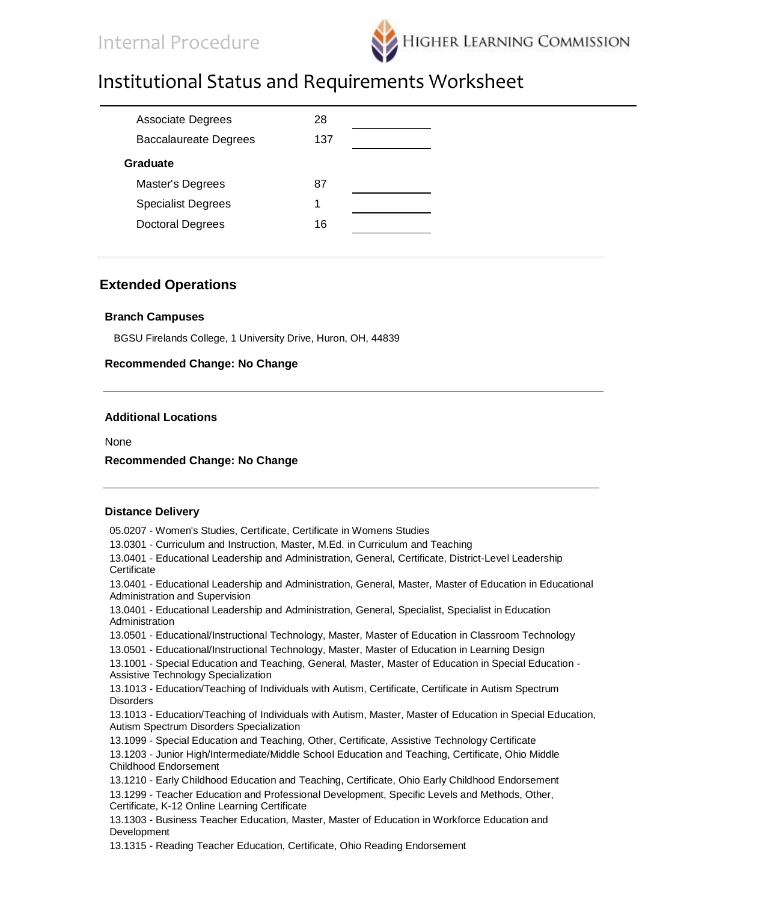

| <b>Associate Degrees</b>     | 28  |  |
|------------------------------|-----|--|
| <b>Baccalaureate Degrees</b> | 137 |  |
| Graduate                     |     |  |
| Master's Degrees             | 87  |  |
| <b>Specialist Degrees</b>    |     |  |
| <b>Doctoral Degrees</b>      | 16  |  |
|                              |     |  |

#### **Extended Operations**

#### **Branch Campuses**

BGSU Firelands College, 1 University Drive, Huron, OH, 44839

#### **Recommended Change: No Change**

#### **Additional Locations**

None

#### **Recommended Change: No Change**

#### **Distance Delivery**

05.0207 - Women's Studies, Certificate, Certificate in Womens Studies 13.0301 - Curriculum and Instruction, Master, M.Ed. in Curriculum and Teaching 13.0401 - Educational Leadership and Administration, General, Certificate, District-Level Leadership **Certificate** 13.0401 - Educational Leadership and Administration, General, Master, Master of Education in Educational Administration and Supervision 13.0401 - Educational Leadership and Administration, General, Specialist, Specialist in Education Administration 13.0501 - Educational/Instructional Technology, Master, Master of Education in Classroom Technology 13.0501 - Educational/Instructional Technology, Master, Master of Education in Learning Design 13.1001 - Special Education and Teaching, General, Master, Master of Education in Special Education - Assistive Technology Specialization 13.1013 - Education/Teaching of Individuals with Autism, Certificate, Certificate in Autism Spectrum **Disorders** 13.1013 - Education/Teaching of Individuals with Autism, Master, Master of Education in Special Education, Autism Spectrum Disorders Specialization 13.1099 - Special Education and Teaching, Other, Certificate, Assistive Technology Certificate 13.1203 - Junior High/Intermediate/Middle School Education and Teaching, Certificate, Ohio Middle Childhood Endorsement 13.1210 - Early Childhood Education and Teaching, Certificate, Ohio Early Childhood Endorsement 13.1299 - Teacher Education and Professional Development, Specific Levels and Methods, Other, Certificate, K-12 Online Learning Certificate 13.1303 - Business Teacher Education, Master, Master of Education in Workforce Education and Development 13.1315 - Reading Teacher Education, Certificate, Ohio Reading Endorsement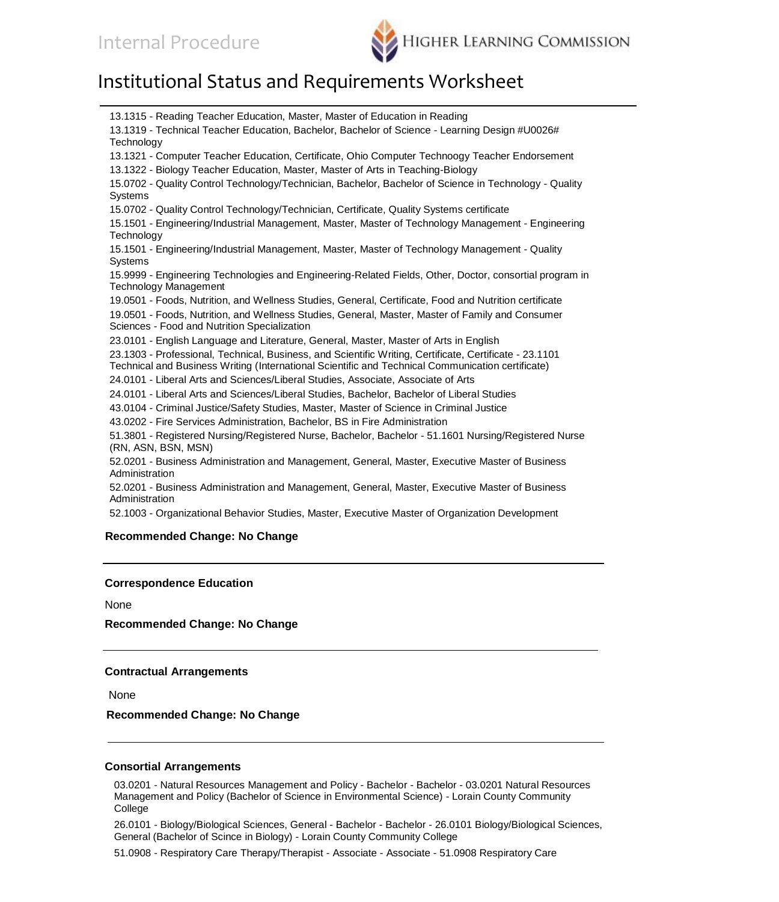

13.1315 - Reading Teacher Education, Master, Master of Education in Reading 13.1319 - Technical Teacher Education, Bachelor, Bachelor of Science - Learning Design #U0026# **Technology** 13.1321 - Computer Teacher Education, Certificate, Ohio Computer Technoogy Teacher Endorsement 13.1322 - Biology Teacher Education, Master, Master of Arts in Teaching-Biology 15.0702 - Quality Control Technology/Technician, Bachelor, Bachelor of Science in Technology - Quality Systems 15.0702 - Quality Control Technology/Technician, Certificate, Quality Systems certificate 15.1501 - Engineering/Industrial Management, Master, Master of Technology Management - Engineering Technology 15.1501 - Engineering/Industrial Management, Master, Master of Technology Management - Quality Systems 15.9999 - Engineering Technologies and Engineering-Related Fields, Other, Doctor, consortial program in Technology Management 19.0501 - Foods, Nutrition, and Wellness Studies, General, Certificate, Food and Nutrition certificate 19.0501 - Foods, Nutrition, and Wellness Studies, General, Master, Master of Family and Consumer Sciences - Food and Nutrition Specialization 23.0101 - English Language and Literature, General, Master, Master of Arts in English 23.1303 - Professional, Technical, Business, and Scientific Writing, Certificate, Certificate - 23.1101 Technical and Business Writing (International Scientific and Technical Communication certificate) 24.0101 - Liberal Arts and Sciences/Liberal Studies, Associate, Associate of Arts 24.0101 - Liberal Arts and Sciences/Liberal Studies, Bachelor, Bachelor of Liberal Studies 43.0104 - Criminal Justice/Safety Studies, Master, Master of Science in Criminal Justice 43.0202 - Fire Services Administration, Bachelor, BS in Fire Administration 51.3801 - Registered Nursing/Registered Nurse, Bachelor, Bachelor - 51.1601 Nursing/Registered Nurse (RN, ASN, BSN, MSN) 52.0201 - Business Administration and Management, General, Master, Executive Master of Business Administration 52.0201 - Business Administration and Management, General, Master, Executive Master of Business Administration 52.1003 - Organizational Behavior Studies, Master, Executive Master of Organization Development **Recommended Change: No Change**

#### **Correspondence Education**

None

**Recommended Change: No Change**

#### **Contractual Arrangements**

None

**Recommended Change: No Change**

#### **Consortial Arrangements**

03.0201 - Natural Resources Management and Policy - Bachelor - Bachelor - 03.0201 Natural Resources Management and Policy (Bachelor of Science in Environmental Science) - Lorain County Community College

26.0101 - Biology/Biological Sciences, General - Bachelor - Bachelor - 26.0101 Biology/Biological Sciences, General (Bachelor of Scince in Biology) - Lorain County Community College

51.0908 - Respiratory Care Therapy/Therapist - Associate - Associate - 51.0908 Respiratory Care